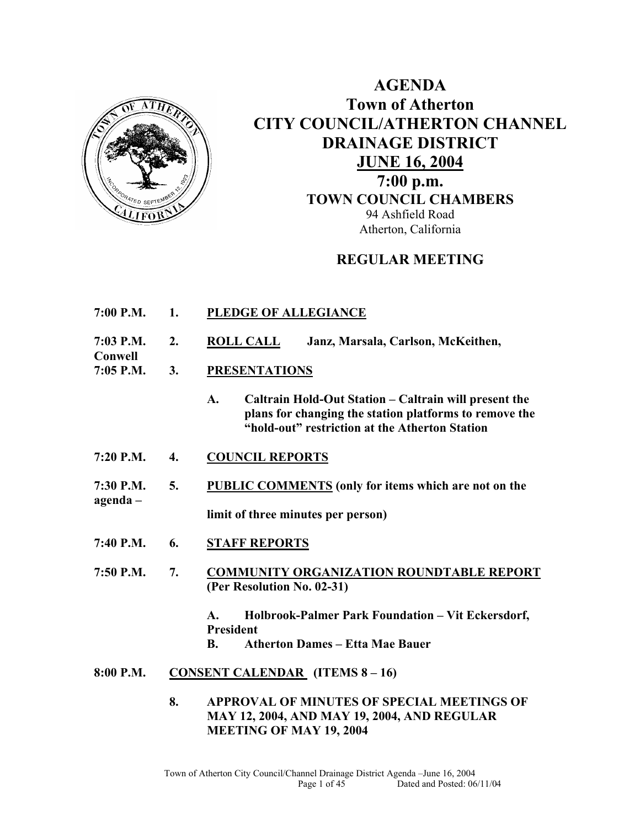

**Conwell** 

**AGENDA Town of Atherton CITY COUNCIL/ATHERTON CHANNEL DRAINAGE DISTRICT JUNE 16, 2004 7:00 p.m. TOWN COUNCIL CHAMBERS** 94 Ashfield Road Atherton, California

### **REGULAR MEETING**

- **7:00 P.M. 1. PLEDGE OF ALLEGIANCE**
- **7:03 P.M. 2. ROLL CALL Janz, Marsala, Carlson, McKeithen,**
- **7:05 P.M. 3. PRESENTATIONS** 
	- **A. Caltrain Hold-Out Station Caltrain will present the plans for changing the station platforms to remove the "hold-out" restriction at the Atherton Station**
- **7:20 P.M. 4. COUNCIL REPORTS**
- **7:30 P.M. 5. PUBLIC COMMENTS (only for items which are not on the agenda –**

**limit of three minutes per person)** 

- **7:40 P.M. 6. STAFF REPORTS**
- **7:50 P.M. 7. COMMUNITY ORGANIZATION ROUNDTABLE REPORT (Per Resolution No. 02-31)** 
	- **A. Holbrook-Palmer Park Foundation Vit Eckersdorf, President**
	- **B. Atherton Dames Etta Mae Bauer**
- **8:00 P.M. CONSENT CALENDAR (ITEMS 8 16)** 
	- **8. APPROVAL OF MINUTES OF SPECIAL MEETINGS OF MAY 12, 2004, AND MAY 19, 2004, AND REGULAR MEETING OF MAY 19, 2004**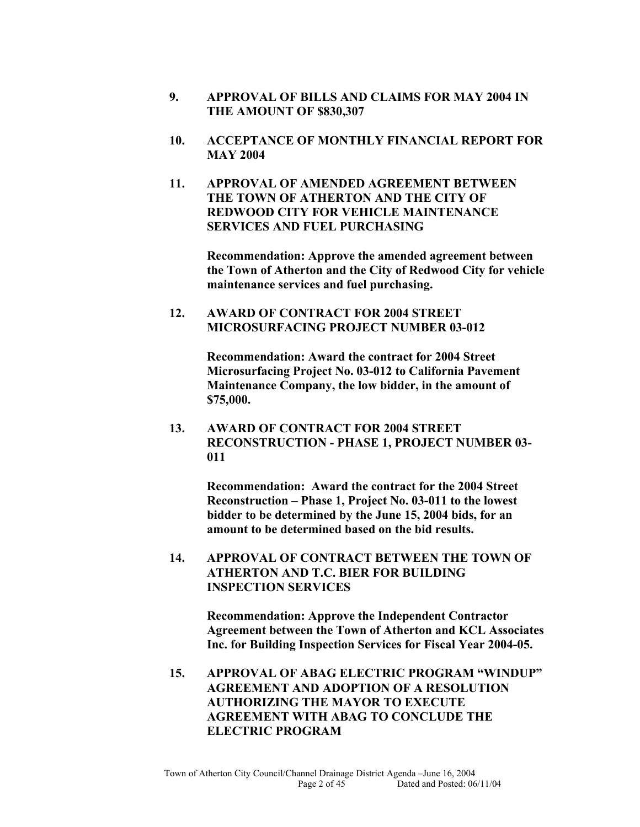- **9. APPROVAL OF BILLS AND CLAIMS FOR MAY 2004 IN THE AMOUNT OF \$830,307**
- **10. ACCEPTANCE OF MONTHLY FINANCIAL REPORT FOR MAY 2004**
- **11. APPROVAL OF AMENDED AGREEMENT BETWEEN THE TOWN OF ATHERTON AND THE CITY OF REDWOOD CITY FOR VEHICLE MAINTENANCE SERVICES AND FUEL PURCHASING**

**Recommendation: Approve the amended agreement between the Town of Atherton and the City of Redwood City for vehicle maintenance services and fuel purchasing.** 

**12. AWARD OF CONTRACT FOR 2004 STREET MICROSURFACING PROJECT NUMBER 03-012** 

> **Recommendation: Award the contract for 2004 Street Microsurfacing Project No. 03-012 to California Pavement Maintenance Company, the low bidder, in the amount of \$75,000.**

**13. AWARD OF CONTRACT FOR 2004 STREET RECONSTRUCTION - PHASE 1, PROJECT NUMBER 03- 011** 

> **Recommendation: Award the contract for the 2004 Street Reconstruction – Phase 1, Project No. 03-011 to the lowest bidder to be determined by the June 15, 2004 bids, for an amount to be determined based on the bid results.**

**14. APPROVAL OF CONTRACT BETWEEN THE TOWN OF ATHERTON AND T.C. BIER FOR BUILDING INSPECTION SERVICES** 

> **Recommendation: Approve the Independent Contractor Agreement between the Town of Atherton and KCL Associates Inc. for Building Inspection Services for Fiscal Year 2004-05.**

**15. APPROVAL OF ABAG ELECTRIC PROGRAM "WINDUP" AGREEMENT AND ADOPTION OF A RESOLUTION AUTHORIZING THE MAYOR TO EXECUTE AGREEMENT WITH ABAG TO CONCLUDE THE ELECTRIC PROGRAM**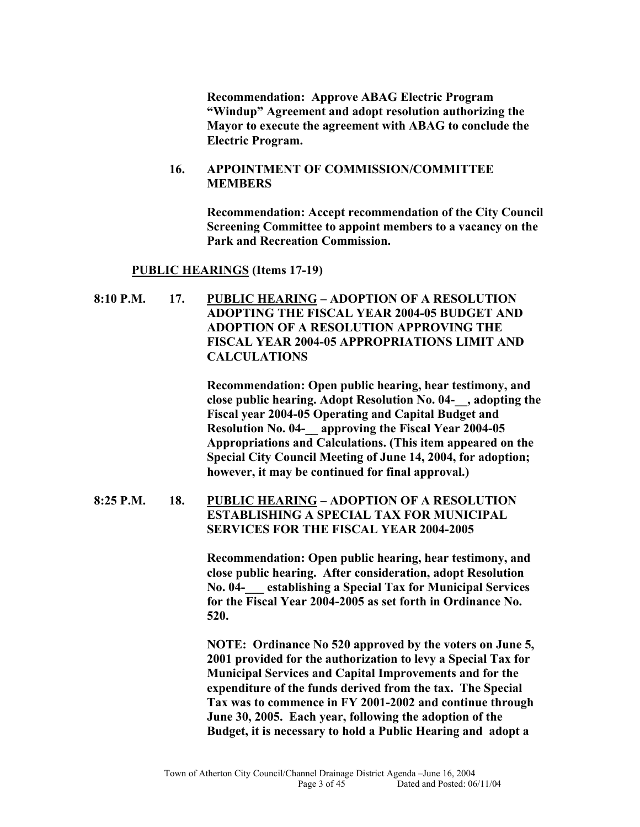**Recommendation: Approve ABAG Electric Program "Windup" Agreement and adopt resolution authorizing the Mayor to execute the agreement with ABAG to conclude the Electric Program.** 

#### **16. APPOINTMENT OF COMMISSION/COMMITTEE MEMBERS**

**Recommendation: Accept recommendation of the City Council Screening Committee to appoint members to a vacancy on the Park and Recreation Commission.**

#### **PUBLIC HEARINGS (Items 17-19)**

**8:10 P.M. 17. PUBLIC HEARING – ADOPTION OF A RESOLUTION ADOPTING THE FISCAL YEAR 2004-05 BUDGET AND ADOPTION OF A RESOLUTION APPROVING THE FISCAL YEAR 2004-05 APPROPRIATIONS LIMIT AND CALCULATIONS** 

> **Recommendation: Open public hearing, hear testimony, and close public hearing. Adopt Resolution No. 04-\_\_, adopting the Fiscal year 2004-05 Operating and Capital Budget and Resolution No. 04-\_\_ approving the Fiscal Year 2004-05 Appropriations and Calculations. (This item appeared on the Special City Council Meeting of June 14, 2004, for adoption; however, it may be continued for final approval.)**

### **8:25 P.M. 18. PUBLIC HEARING – ADOPTION OF A RESOLUTION ESTABLISHING A SPECIAL TAX FOR MUNICIPAL SERVICES FOR THE FISCAL YEAR 2004-2005**

**Recommendation: Open public hearing, hear testimony, and close public hearing. After consideration, adopt Resolution No. 04-\_\_\_ establishing a Special Tax for Municipal Services for the Fiscal Year 2004-2005 as set forth in Ordinance No. 520.** 

**NOTE: Ordinance No 520 approved by the voters on June 5, 2001 provided for the authorization to levy a Special Tax for Municipal Services and Capital Improvements and for the expenditure of the funds derived from the tax. The Special Tax was to commence in FY 2001-2002 and continue through June 30, 2005. Each year, following the adoption of the Budget, it is necessary to hold a Public Hearing and adopt a**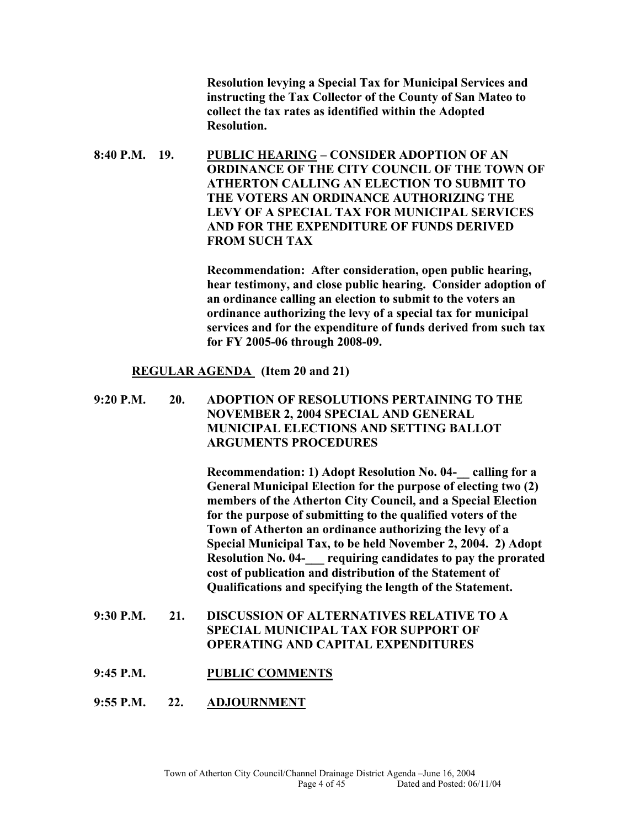**Resolution levying a Special Tax for Municipal Services and instructing the Tax Collector of the County of San Mateo to collect the tax rates as identified within the Adopted Resolution.** 

**8:40 P.M. 19. PUBLIC HEARING – CONSIDER ADOPTION OF AN ORDINANCE OF THE CITY COUNCIL OF THE TOWN OF ATHERTON CALLING AN ELECTION TO SUBMIT TO THE VOTERS AN ORDINANCE AUTHORIZING THE LEVY OF A SPECIAL TAX FOR MUNICIPAL SERVICES AND FOR THE EXPENDITURE OF FUNDS DERIVED FROM SUCH TAX** 

> **Recommendation: After consideration, open public hearing, hear testimony, and close public hearing. Consider adoption of an ordinance calling an election to submit to the voters an ordinance authorizing the levy of a special tax for municipal services and for the expenditure of funds derived from such tax for FY 2005-06 through 2008-09.**

#### **REGULAR AGENDA (Item 20 and 21)**

**9:20 P.M. 20. ADOPTION OF RESOLUTIONS PERTAINING TO THE NOVEMBER 2, 2004 SPECIAL AND GENERAL MUNICIPAL ELECTIONS AND SETTING BALLOT ARGUMENTS PROCEDURES** 

> **Recommendation: 1) Adopt Resolution No. 04-\_\_ calling for a General Municipal Election for the purpose of electing two (2) members of the Atherton City Council, and a Special Election for the purpose of submitting to the qualified voters of the Town of Atherton an ordinance authorizing the levy of a Special Municipal Tax, to be held November 2, 2004. 2) Adopt Resolution No. 04-\_\_\_ requiring candidates to pay the prorated cost of publication and distribution of the Statement of Qualifications and specifying the length of the Statement.**

- **9:30 P.M. 21. DISCUSSION OF ALTERNATIVES RELATIVE TO A SPECIAL MUNICIPAL TAX FOR SUPPORT OF OPERATING AND CAPITAL EXPENDITURES**
- **9:45 P.M. PUBLIC COMMENTS**
- **9:55 P.M. 22. ADJOURNMENT**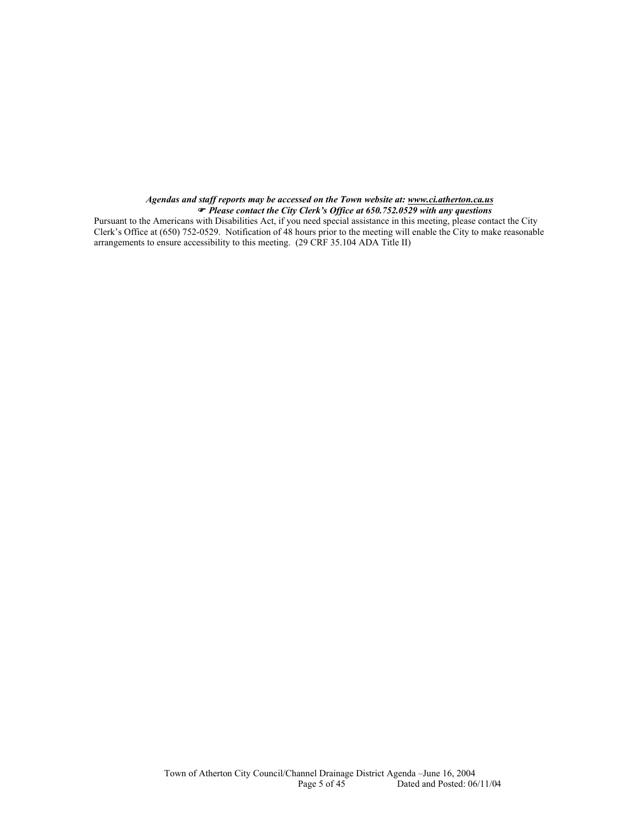#### *Agendas and staff reports may be accessed on the Town website at: www.ci.atherton.ca.us* ) *Please contact the City Clerk's Office at 650.752.0529 with any questions*

Pursuant to the Americans with Disabilities Act, if you need special assistance in this meeting, please contact the City Clerk's Office at (650) 752-0529. Notification of 48 hours prior to the meeting will enable the City to make reasonable arrangements to ensure accessibility to this meeting. (29 CRF 35.104 ADA Title II)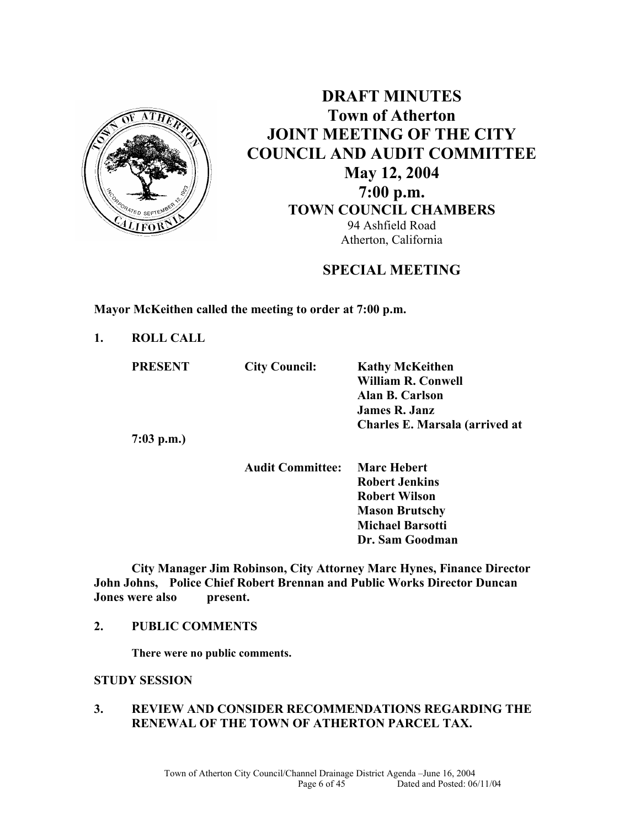

**DRAFT MINUTES Town of Atherton JOINT MEETING OF THE CITY COUNCIL AND AUDIT COMMITTEE May 12, 2004 7:00 p.m. TOWN COUNCIL CHAMBERS**  94 Ashfield Road Atherton, California

**SPECIAL MEETING** 

**Mayor McKeithen called the meeting to order at 7:00 p.m.** 

**1. ROLL CALL** 

| <b>PRESENT</b> | <b>City Council:</b>    | <b>Kathy McKeithen</b>         |
|----------------|-------------------------|--------------------------------|
|                |                         | <b>William R. Conwell</b>      |
|                |                         | <b>Alan B. Carlson</b>         |
|                |                         | <b>James R. Janz</b>           |
|                |                         | Charles E. Marsala (arrived at |
| $7:03$ p.m.)   |                         |                                |
|                | <b>Audit Committee:</b> | <b>Marc Hebert</b>             |

 **Robert Jenkins Robert Wilson Mason Brutschy Michael Barsotti Dr. Sam Goodman**

**City Manager Jim Robinson, City Attorney Marc Hynes, Finance Director John Johns, Police Chief Robert Brennan and Public Works Director Duncan Jones were also present.** 

### **2. PUBLIC COMMENTS**

**There were no public comments.** 

### **STUDY SESSION**

### **3. REVIEW AND CONSIDER RECOMMENDATIONS REGARDING THE RENEWAL OF THE TOWN OF ATHERTON PARCEL TAX.**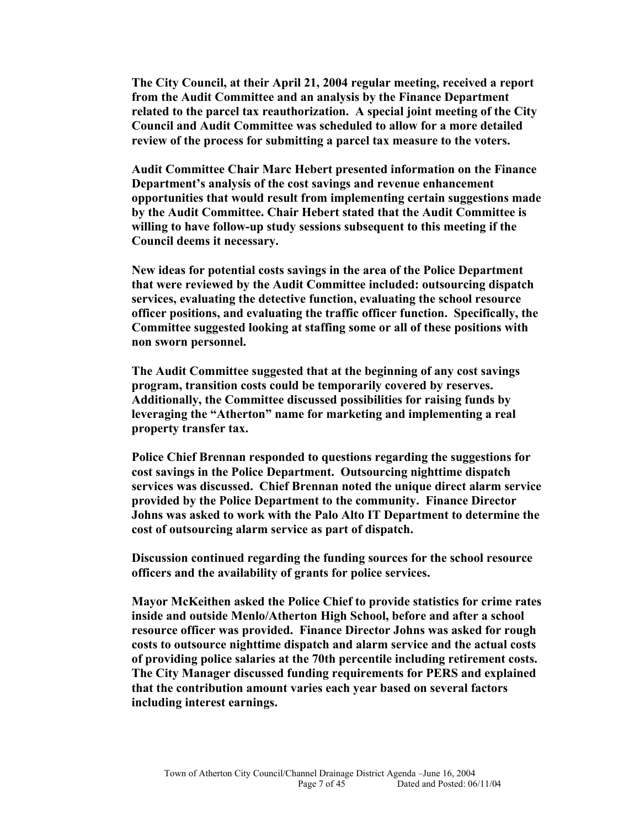**The City Council, at their April 21, 2004 regular meeting, received a report from the Audit Committee and an analysis by the Finance Department related to the parcel tax reauthorization. A special joint meeting of the City Council and Audit Committee was scheduled to allow for a more detailed review of the process for submitting a parcel tax measure to the voters.** 

**Audit Committee Chair Marc Hebert presented information on the Finance Department's analysis of the cost savings and revenue enhancement opportunities that would result from implementing certain suggestions made by the Audit Committee. Chair Hebert stated that the Audit Committee is willing to have follow-up study sessions subsequent to this meeting if the Council deems it necessary.** 

**New ideas for potential costs savings in the area of the Police Department that were reviewed by the Audit Committee included: outsourcing dispatch services, evaluating the detective function, evaluating the school resource officer positions, and evaluating the traffic officer function. Specifically, the Committee suggested looking at staffing some or all of these positions with non sworn personnel.** 

**The Audit Committee suggested that at the beginning of any cost savings program, transition costs could be temporarily covered by reserves. Additionally, the Committee discussed possibilities for raising funds by leveraging the "Atherton" name for marketing and implementing a real property transfer tax.** 

**Police Chief Brennan responded to questions regarding the suggestions for cost savings in the Police Department. Outsourcing nighttime dispatch services was discussed. Chief Brennan noted the unique direct alarm service provided by the Police Department to the community. Finance Director Johns was asked to work with the Palo Alto IT Department to determine the cost of outsourcing alarm service as part of dispatch.** 

**Discussion continued regarding the funding sources for the school resource officers and the availability of grants for police services.** 

**Mayor McKeithen asked the Police Chief to provide statistics for crime rates inside and outside Menlo/Atherton High School, before and after a school resource officer was provided. Finance Director Johns was asked for rough costs to outsource nighttime dispatch and alarm service and the actual costs of providing police salaries at the 70th percentile including retirement costs. The City Manager discussed funding requirements for PERS and explained that the contribution amount varies each year based on several factors including interest earnings.**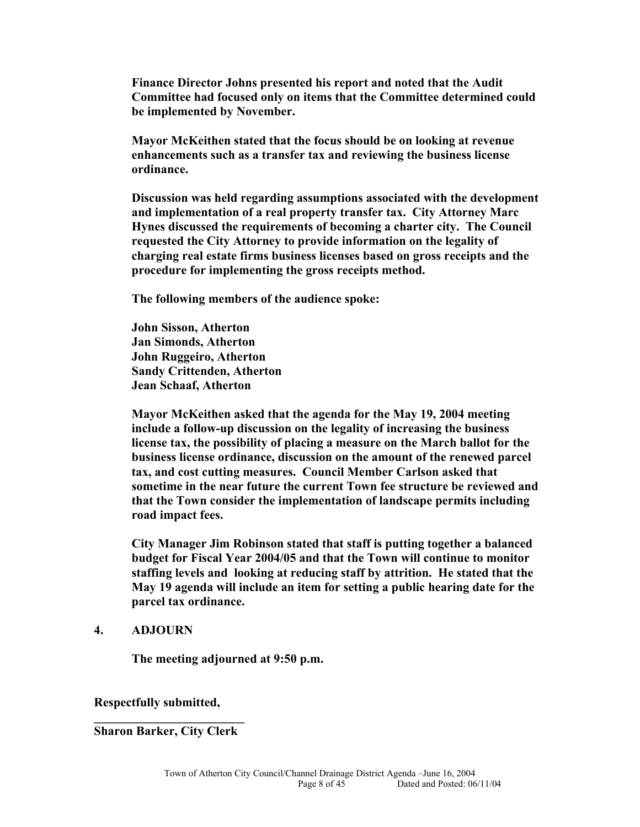**Finance Director Johns presented his report and noted that the Audit Committee had focused only on items that the Committee determined could be implemented by November.** 

**Mayor McKeithen stated that the focus should be on looking at revenue enhancements such as a transfer tax and reviewing the business license ordinance.** 

**Discussion was held regarding assumptions associated with the development and implementation of a real property transfer tax. City Attorney Marc Hynes discussed the requirements of becoming a charter city. The Council requested the City Attorney to provide information on the legality of charging real estate firms business licenses based on gross receipts and the procedure for implementing the gross receipts method.** 

**The following members of the audience spoke:** 

**John Sisson, Atherton Jan Simonds, Atherton John Ruggeiro, Atherton Sandy Crittenden, Atherton Jean Schaaf, Atherton**

**Mayor McKeithen asked that the agenda for the May 19, 2004 meeting include a follow-up discussion on the legality of increasing the business license tax, the possibility of placing a measure on the March ballot for the business license ordinance, discussion on the amount of the renewed parcel tax, and cost cutting measures. Council Member Carlson asked that sometime in the near future the current Town fee structure be reviewed and that the Town consider the implementation of landscape permits including road impact fees.** 

**City Manager Jim Robinson stated that staff is putting together a balanced budget for Fiscal Year 2004/05 and that the Town will continue to monitor staffing levels and looking at reducing staff by attrition. He stated that the May 19 agenda will include an item for setting a public hearing date for the parcel tax ordinance.** 

#### **4. ADJOURN**

**The meeting adjourned at 9:50 p.m.** 

**Respectfully submitted,** 

**\_\_\_\_\_\_\_\_\_\_\_\_\_\_\_\_\_\_\_\_\_\_\_\_ Sharon Barker, City Clerk**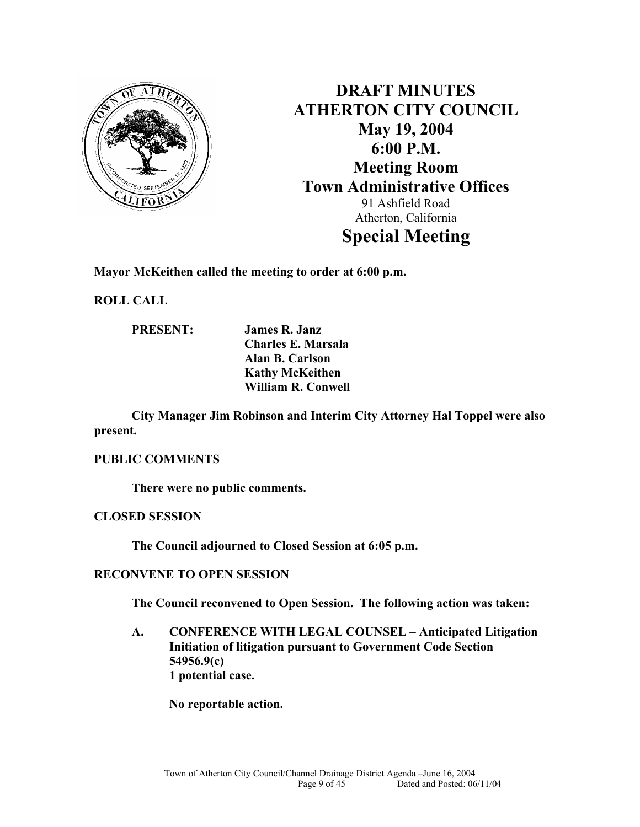

**DRAFT MINUTES ATHERTON CITY COUNCIL May 19, 2004 6:00 P.M. Meeting Room Town Administrative Offices**  91 Ashfield Road Atherton, California **Special Meeting** 

**Mayor McKeithen called the meeting to order at 6:00 p.m.** 

**ROLL CALL** 

**PRESENT: James R. Janz Charles E. Marsala Alan B. Carlson Kathy McKeithen William R. Conwell** 

**City Manager Jim Robinson and Interim City Attorney Hal Toppel were also present.** 

### **PUBLIC COMMENTS**

**There were no public comments.** 

**CLOSED SESSION** 

**The Council adjourned to Closed Session at 6:05 p.m.** 

### **RECONVENE TO OPEN SESSION**

**The Council reconvened to Open Session. The following action was taken:** 

**A. CONFERENCE WITH LEGAL COUNSEL – Anticipated Litigation Initiation of litigation pursuant to Government Code Section 54956.9(c) 1 potential case.** 

**No reportable action.**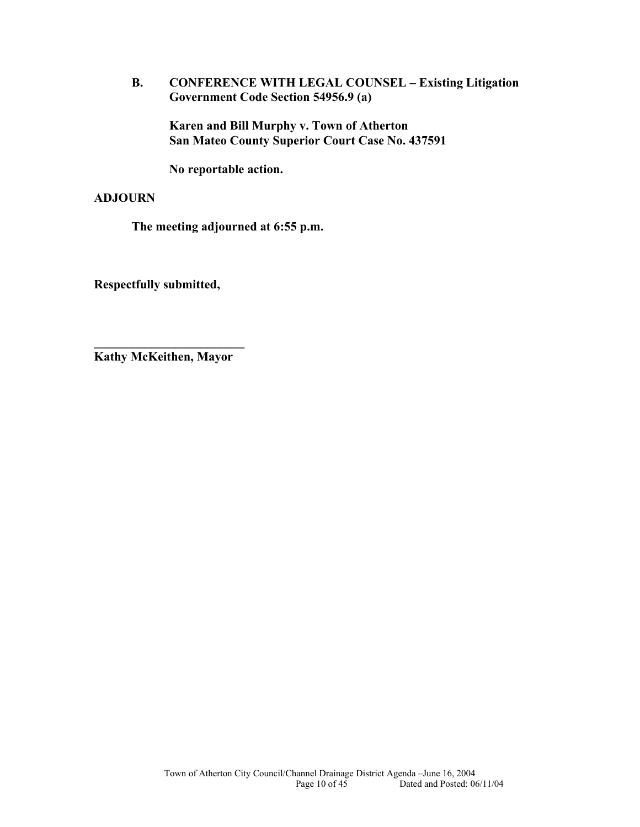**B. CONFERENCE WITH LEGAL COUNSEL – Existing Litigation Government Code Section 54956.9 (a)** 

**Karen and Bill Murphy v. Town of Atherton San Mateo County Superior Court Case No. 437591** 

**No reportable action.** 

### **ADJOURN**

**The meeting adjourned at 6:55 p.m.** 

**Respectfully submitted,** 

**\_\_\_\_\_\_\_\_\_\_\_\_\_\_\_\_\_\_\_\_\_\_\_\_ Kathy McKeithen, Mayor**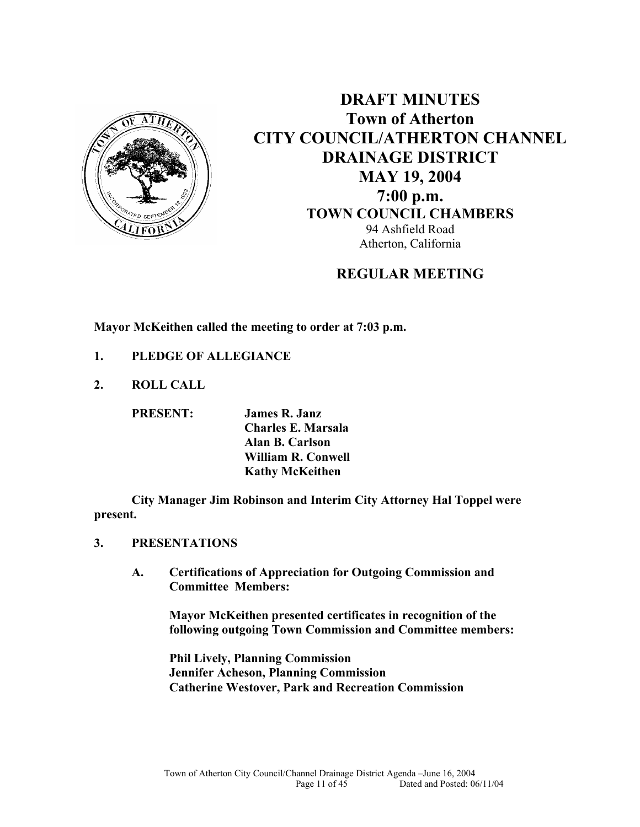

**DRAFT MINUTES Town of Atherton CITY COUNCIL/ATHERTON CHANNEL DRAINAGE DISTRICT MAY 19, 2004 7:00 p.m. TOWN COUNCIL CHAMBERS** 94 Ashfield Road Atherton, California

# **REGULAR MEETING**

**Mayor McKeithen called the meeting to order at 7:03 p.m.** 

- **1. PLEDGE OF ALLEGIANCE**
- **2. ROLL CALL**

**PRESENT: James R. Janz Charles E. Marsala Alan B. Carlson William R. Conwell Kathy McKeithen**

**City Manager Jim Robinson and Interim City Attorney Hal Toppel were present.** 

- **3. PRESENTATIONS** 
	- **A. Certifications of Appreciation for Outgoing Commission and Committee Members:**

**Mayor McKeithen presented certificates in recognition of the following outgoing Town Commission and Committee members:** 

**Phil Lively, Planning Commission Jennifer Acheson, Planning Commission Catherine Westover, Park and Recreation Commission**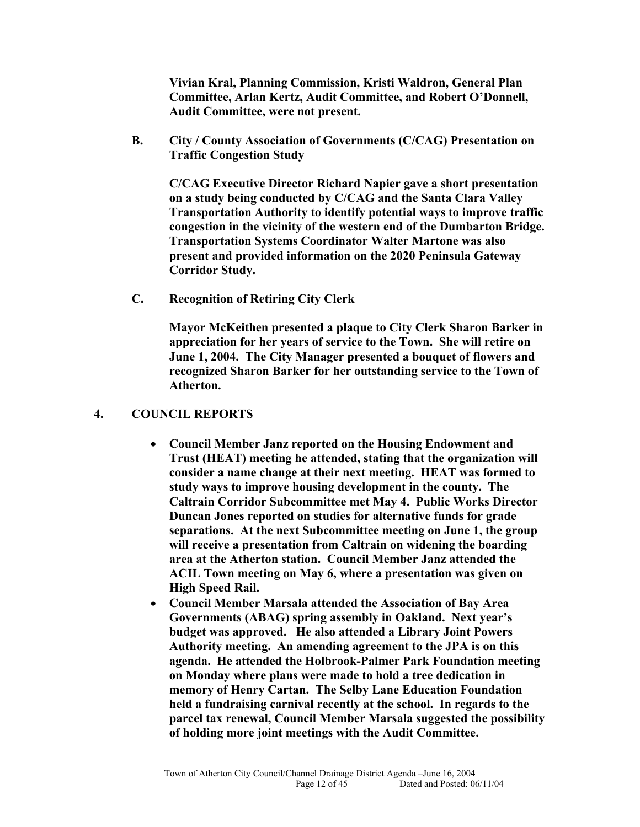**Vivian Kral, Planning Commission, Kristi Waldron, General Plan Committee, Arlan Kertz, Audit Committee, and Robert O'Donnell, Audit Committee, were not present.** 

**B. City / County Association of Governments (C/CAG) Presentation on Traffic Congestion Study** 

**C/CAG Executive Director Richard Napier gave a short presentation on a study being conducted by C/CAG and the Santa Clara Valley Transportation Authority to identify potential ways to improve traffic congestion in the vicinity of the western end of the Dumbarton Bridge. Transportation Systems Coordinator Walter Martone was also present and provided information on the 2020 Peninsula Gateway Corridor Study.** 

**C. Recognition of Retiring City Clerk** 

**Mayor McKeithen presented a plaque to City Clerk Sharon Barker in appreciation for her years of service to the Town. She will retire on June 1, 2004. The City Manager presented a bouquet of flowers and recognized Sharon Barker for her outstanding service to the Town of Atherton.** 

### **4. COUNCIL REPORTS**

- **Council Member Janz reported on the Housing Endowment and Trust (HEAT) meeting he attended, stating that the organization will consider a name change at their next meeting. HEAT was formed to study ways to improve housing development in the county. The Caltrain Corridor Subcommittee met May 4. Public Works Director Duncan Jones reported on studies for alternative funds for grade separations. At the next Subcommittee meeting on June 1, the group will receive a presentation from Caltrain on widening the boarding area at the Atherton station. Council Member Janz attended the ACIL Town meeting on May 6, where a presentation was given on High Speed Rail.**
- **Council Member Marsala attended the Association of Bay Area Governments (ABAG) spring assembly in Oakland. Next year's budget was approved. He also attended a Library Joint Powers Authority meeting. An amending agreement to the JPA is on this agenda. He attended the Holbrook-Palmer Park Foundation meeting on Monday where plans were made to hold a tree dedication in memory of Henry Cartan. The Selby Lane Education Foundation held a fundraising carnival recently at the school. In regards to the parcel tax renewal, Council Member Marsala suggested the possibility of holding more joint meetings with the Audit Committee.**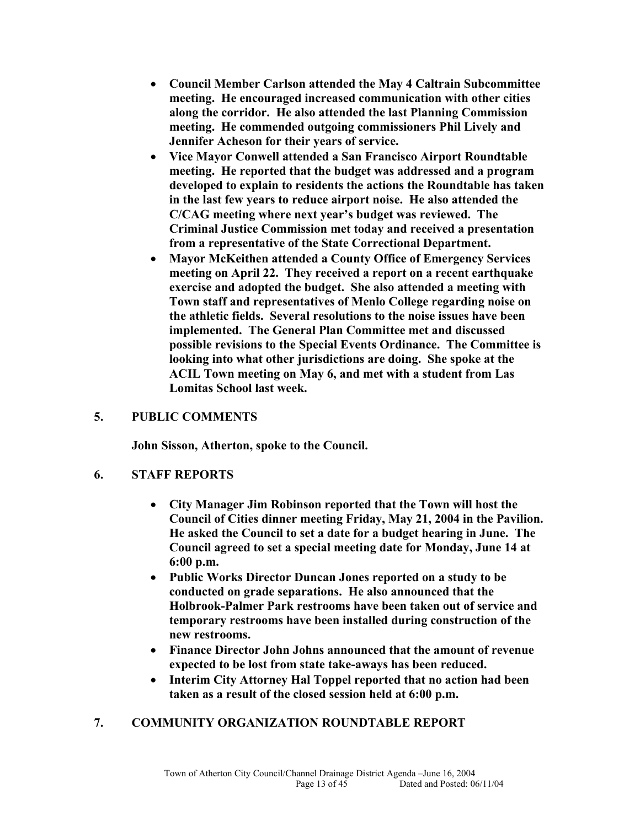- **Council Member Carlson attended the May 4 Caltrain Subcommittee meeting. He encouraged increased communication with other cities along the corridor. He also attended the last Planning Commission meeting. He commended outgoing commissioners Phil Lively and Jennifer Acheson for their years of service.**
- **Vice Mayor Conwell attended a San Francisco Airport Roundtable meeting. He reported that the budget was addressed and a program developed to explain to residents the actions the Roundtable has taken in the last few years to reduce airport noise. He also attended the C/CAG meeting where next year's budget was reviewed. The Criminal Justice Commission met today and received a presentation from a representative of the State Correctional Department.**
- **Mayor McKeithen attended a County Office of Emergency Services meeting on April 22. They received a report on a recent earthquake exercise and adopted the budget. She also attended a meeting with Town staff and representatives of Menlo College regarding noise on the athletic fields. Several resolutions to the noise issues have been implemented. The General Plan Committee met and discussed possible revisions to the Special Events Ordinance. The Committee is looking into what other jurisdictions are doing. She spoke at the ACIL Town meeting on May 6, and met with a student from Las Lomitas School last week.**

### **5. PUBLIC COMMENTS**

**John Sisson, Atherton, spoke to the Council.** 

### **6. STAFF REPORTS**

- **City Manager Jim Robinson reported that the Town will host the Council of Cities dinner meeting Friday, May 21, 2004 in the Pavilion. He asked the Council to set a date for a budget hearing in June. The Council agreed to set a special meeting date for Monday, June 14 at 6:00 p.m.**
- **Public Works Director Duncan Jones reported on a study to be conducted on grade separations. He also announced that the Holbrook-Palmer Park restrooms have been taken out of service and temporary restrooms have been installed during construction of the new restrooms.**
- **Finance Director John Johns announced that the amount of revenue expected to be lost from state take-aways has been reduced.**
- **Interim City Attorney Hal Toppel reported that no action had been taken as a result of the closed session held at 6:00 p.m.**

### **7. COMMUNITY ORGANIZATION ROUNDTABLE REPORT**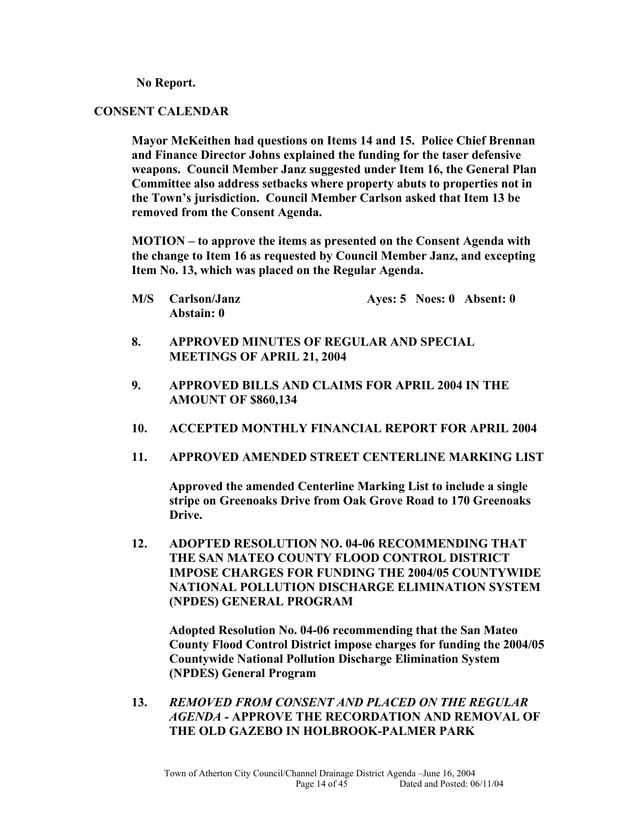**No Report.** 

### **CONSENT CALENDAR**

**Mayor McKeithen had questions on Items 14 and 15. Police Chief Brennan and Finance Director Johns explained the funding for the taser defensive weapons. Council Member Janz suggested under Item 16, the General Plan Committee also address setbacks where property abuts to properties not in the Town's jurisdiction. Council Member Carlson asked that Item 13 be removed from the Consent Agenda.** 

**MOTION – to approve the items as presented on the Consent Agenda with the change to Item 16 as requested by Council Member Janz, and excepting Item No. 13, which was placed on the Regular Agenda.** 

- **M/S Carlson/Janz Ayes: 5 Noes: 0 Absent: 0 Abstain: 0**
- **8. APPROVED MINUTES OF REGULAR AND SPECIAL MEETINGS OF APRIL 21, 2004**
- **9. APPROVED BILLS AND CLAIMS FOR APRIL 2004 IN THE AMOUNT OF \$860,134**
- **10. ACCEPTED MONTHLY FINANCIAL REPORT FOR APRIL 2004**
- **11. APPROVED AMENDED STREET CENTERLINE MARKING LIST**

**Approved the amended Centerline Marking List to include a single stripe on Greenoaks Drive from Oak Grove Road to 170 Greenoaks Drive.** 

**12. ADOPTED RESOLUTION NO. 04-06 RECOMMENDING THAT THE SAN MATEO COUNTY FLOOD CONTROL DISTRICT IMPOSE CHARGES FOR FUNDING THE 2004/05 COUNTYWIDE NATIONAL POLLUTION DISCHARGE ELIMINATION SYSTEM (NPDES) GENERAL PROGRAM** 

**Adopted Resolution No. 04-06 recommending that the San Mateo County Flood Control District impose charges for funding the 2004/05 Countywide National Pollution Discharge Elimination System (NPDES) General Program** 

**13.** *REMOVED FROM CONSENT AND PLACED ON THE REGULAR AGENDA -* **APPROVE THE RECORDATION AND REMOVAL OF THE OLD GAZEBO IN HOLBROOK-PALMER PARK**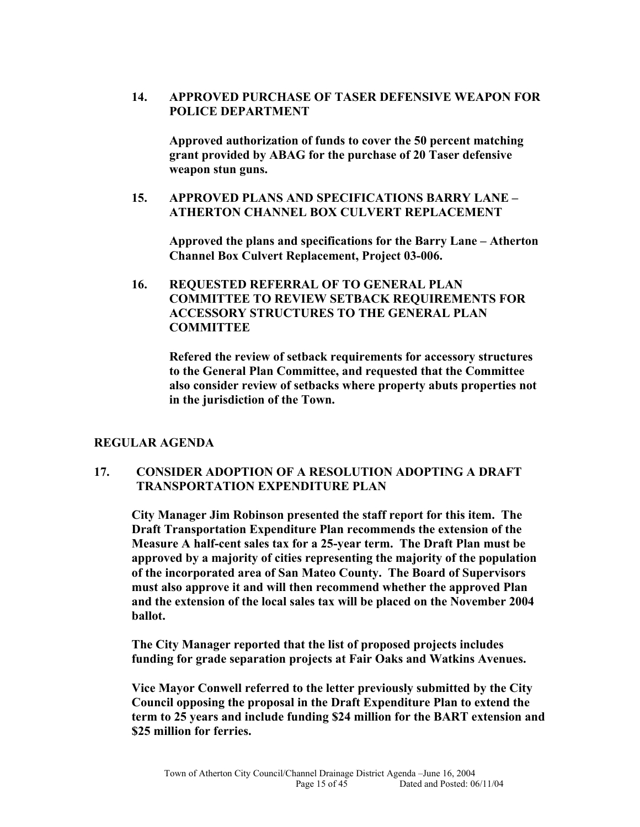**14. APPROVED PURCHASE OF TASER DEFENSIVE WEAPON FOR POLICE DEPARTMENT** 

**Approved authorization of funds to cover the 50 percent matching grant provided by ABAG for the purchase of 20 Taser defensive weapon stun guns.** 

### **15. APPROVED PLANS AND SPECIFICATIONS BARRY LANE – ATHERTON CHANNEL BOX CULVERT REPLACEMENT**

**Approved the plans and specifications for the Barry Lane – Atherton Channel Box Culvert Replacement, Project 03-006.** 

**16. REQUESTED REFERRAL OF TO GENERAL PLAN COMMITTEE TO REVIEW SETBACK REQUIREMENTS FOR ACCESSORY STRUCTURES TO THE GENERAL PLAN COMMITTEE** 

**Refered the review of setback requirements for accessory structures to the General Plan Committee, and requested that the Committee also consider review of setbacks where property abuts properties not in the jurisdiction of the Town.** 

### **REGULAR AGENDA**

### **17. CONSIDER ADOPTION OF A RESOLUTION ADOPTING A DRAFT TRANSPORTATION EXPENDITURE PLAN**

**City Manager Jim Robinson presented the staff report for this item. The Draft Transportation Expenditure Plan recommends the extension of the Measure A half-cent sales tax for a 25-year term. The Draft Plan must be approved by a majority of cities representing the majority of the population of the incorporated area of San Mateo County. The Board of Supervisors must also approve it and will then recommend whether the approved Plan and the extension of the local sales tax will be placed on the November 2004 ballot.** 

**The City Manager reported that the list of proposed projects includes funding for grade separation projects at Fair Oaks and Watkins Avenues.** 

**Vice Mayor Conwell referred to the letter previously submitted by the City Council opposing the proposal in the Draft Expenditure Plan to extend the term to 25 years and include funding \$24 million for the BART extension and \$25 million for ferries.**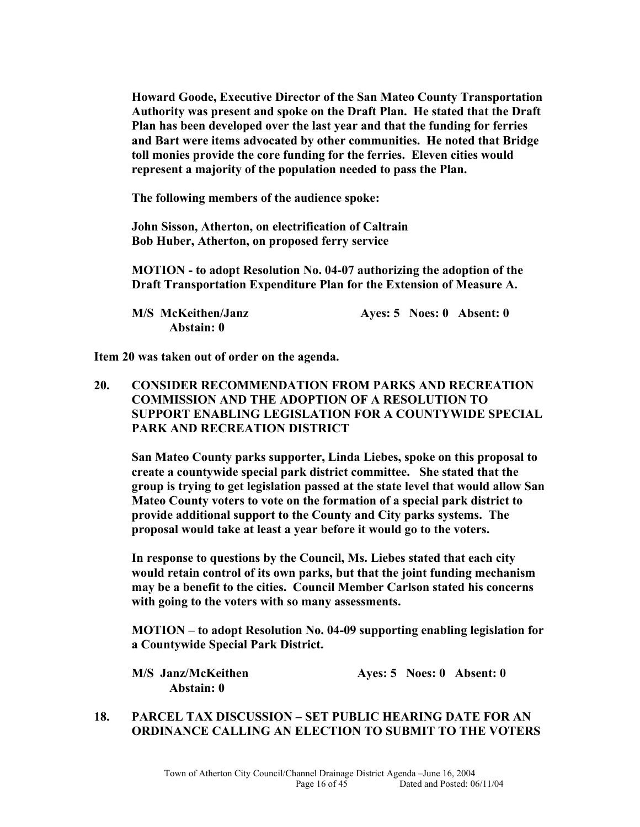**Howard Goode, Executive Director of the San Mateo County Transportation Authority was present and spoke on the Draft Plan. He stated that the Draft Plan has been developed over the last year and that the funding for ferries and Bart were items advocated by other communities. He noted that Bridge toll monies provide the core funding for the ferries. Eleven cities would represent a majority of the population needed to pass the Plan.** 

**The following members of the audience spoke:** 

**John Sisson, Atherton, on electrification of Caltrain Bob Huber, Atherton, on proposed ferry service** 

**MOTION - to adopt Resolution No. 04-07 authorizing the adoption of the Draft Transportation Expenditure Plan for the Extension of Measure A.** 

**M/S McKeithen/Janz Ayes: 5 Noes: 0 Absent: 0 Abstain: 0** 

**Item 20 was taken out of order on the agenda.** 

**20. CONSIDER RECOMMENDATION FROM PARKS AND RECREATION COMMISSION AND THE ADOPTION OF A RESOLUTION TO SUPPORT ENABLING LEGISLATION FOR A COUNTYWIDE SPECIAL PARK AND RECREATION DISTRICT** 

**San Mateo County parks supporter, Linda Liebes, spoke on this proposal to create a countywide special park district committee. She stated that the group is trying to get legislation passed at the state level that would allow San Mateo County voters to vote on the formation of a special park district to provide additional support to the County and City parks systems. The proposal would take at least a year before it would go to the voters.** 

**In response to questions by the Council, Ms. Liebes stated that each city would retain control of its own parks, but that the joint funding mechanism may be a benefit to the cities. Council Member Carlson stated his concerns with going to the voters with so many assessments.** 

**MOTION – to adopt Resolution No. 04-09 supporting enabling legislation for a Countywide Special Park District.** 

| M/S Janz/McKeithen |  | Ayes: $5$ Noes: $0$ Absent: $0$ |
|--------------------|--|---------------------------------|
| <b>Abstain: 0</b>  |  |                                 |

**18. PARCEL TAX DISCUSSION – SET PUBLIC HEARING DATE FOR AN ORDINANCE CALLING AN ELECTION TO SUBMIT TO THE VOTERS**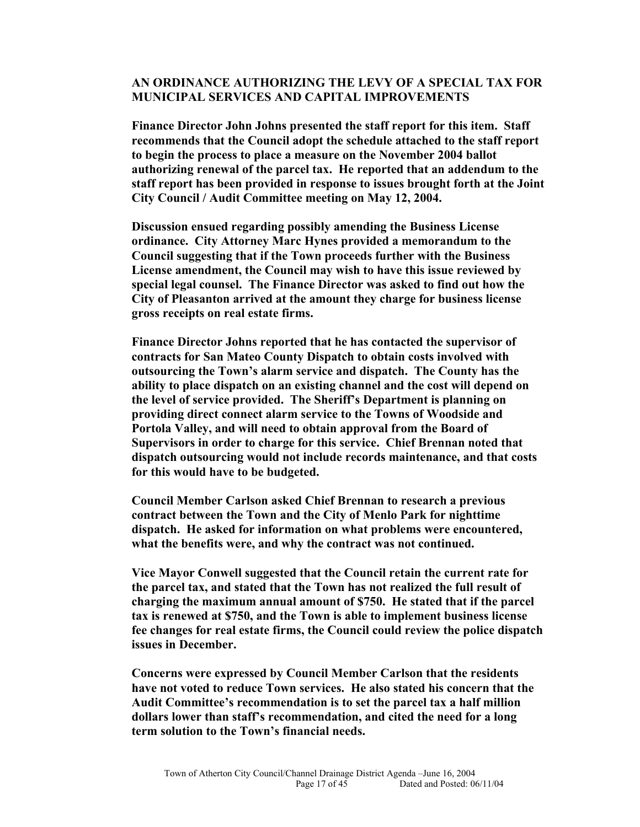### **AN ORDINANCE AUTHORIZING THE LEVY OF A SPECIAL TAX FOR MUNICIPAL SERVICES AND CAPITAL IMPROVEMENTS**

**Finance Director John Johns presented the staff report for this item. Staff recommends that the Council adopt the schedule attached to the staff report to begin the process to place a measure on the November 2004 ballot authorizing renewal of the parcel tax. He reported that an addendum to the staff report has been provided in response to issues brought forth at the Joint City Council / Audit Committee meeting on May 12, 2004.** 

**Discussion ensued regarding possibly amending the Business License ordinance. City Attorney Marc Hynes provided a memorandum to the Council suggesting that if the Town proceeds further with the Business License amendment, the Council may wish to have this issue reviewed by special legal counsel. The Finance Director was asked to find out how the City of Pleasanton arrived at the amount they charge for business license gross receipts on real estate firms.** 

**Finance Director Johns reported that he has contacted the supervisor of contracts for San Mateo County Dispatch to obtain costs involved with outsourcing the Town's alarm service and dispatch. The County has the ability to place dispatch on an existing channel and the cost will depend on the level of service provided. The Sheriff's Department is planning on providing direct connect alarm service to the Towns of Woodside and Portola Valley, and will need to obtain approval from the Board of Supervisors in order to charge for this service. Chief Brennan noted that dispatch outsourcing would not include records maintenance, and that costs for this would have to be budgeted.** 

**Council Member Carlson asked Chief Brennan to research a previous contract between the Town and the City of Menlo Park for nighttime dispatch. He asked for information on what problems were encountered, what the benefits were, and why the contract was not continued.** 

**Vice Mayor Conwell suggested that the Council retain the current rate for the parcel tax, and stated that the Town has not realized the full result of charging the maximum annual amount of \$750. He stated that if the parcel tax is renewed at \$750, and the Town is able to implement business license fee changes for real estate firms, the Council could review the police dispatch issues in December.** 

**Concerns were expressed by Council Member Carlson that the residents have not voted to reduce Town services. He also stated his concern that the Audit Committee's recommendation is to set the parcel tax a half million dollars lower than staff's recommendation, and cited the need for a long term solution to the Town's financial needs.**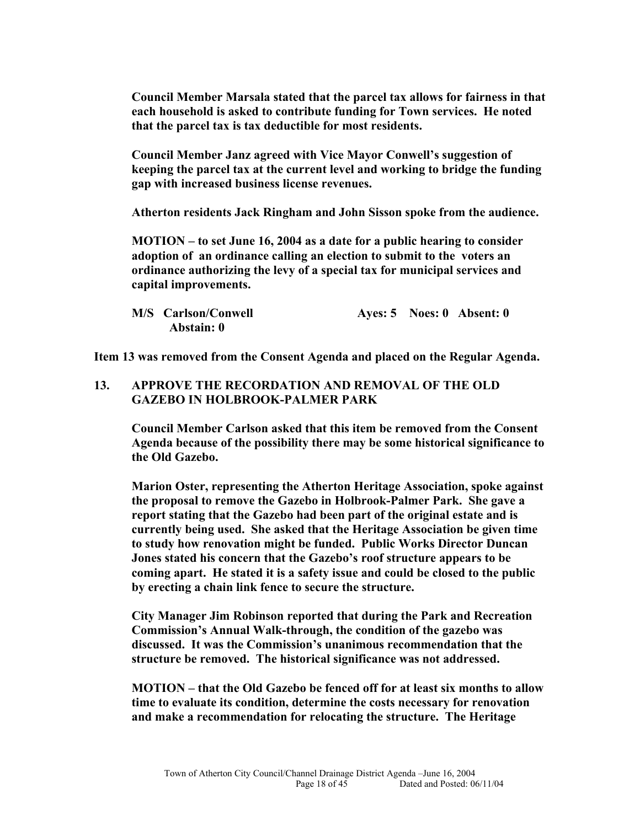**Council Member Marsala stated that the parcel tax allows for fairness in that each household is asked to contribute funding for Town services. He noted that the parcel tax is tax deductible for most residents.** 

**Council Member Janz agreed with Vice Mayor Conwell's suggestion of keeping the parcel tax at the current level and working to bridge the funding gap with increased business license revenues.**

**Atherton residents Jack Ringham and John Sisson spoke from the audience.** 

**MOTION – to set June 16, 2004 as a date for a public hearing to consider adoption of an ordinance calling an election to submit to the voters an ordinance authorizing the levy of a special tax for municipal services and capital improvements.**

| <b>M/S</b> Carlson/Conwell |  | Ayes: $5$ Noes: $0$ Absent: $0$ |
|----------------------------|--|---------------------------------|
| Abstain: 0                 |  |                                 |

**Item 13 was removed from the Consent Agenda and placed on the Regular Agenda.** 

### **13. APPROVE THE RECORDATION AND REMOVAL OF THE OLD GAZEBO IN HOLBROOK-PALMER PARK**

**Council Member Carlson asked that this item be removed from the Consent Agenda because of the possibility there may be some historical significance to the Old Gazebo.** 

**Marion Oster, representing the Atherton Heritage Association, spoke against the proposal to remove the Gazebo in Holbrook-Palmer Park. She gave a report stating that the Gazebo had been part of the original estate and is currently being used. She asked that the Heritage Association be given time to study how renovation might be funded. Public Works Director Duncan Jones stated his concern that the Gazebo's roof structure appears to be coming apart. He stated it is a safety issue and could be closed to the public by erecting a chain link fence to secure the structure.** 

**City Manager Jim Robinson reported that during the Park and Recreation Commission's Annual Walk-through, the condition of the gazebo was discussed. It was the Commission's unanimous recommendation that the structure be removed. The historical significance was not addressed.** 

**MOTION – that the Old Gazebo be fenced off for at least six months to allow time to evaluate its condition, determine the costs necessary for renovation and make a recommendation for relocating the structure. The Heritage**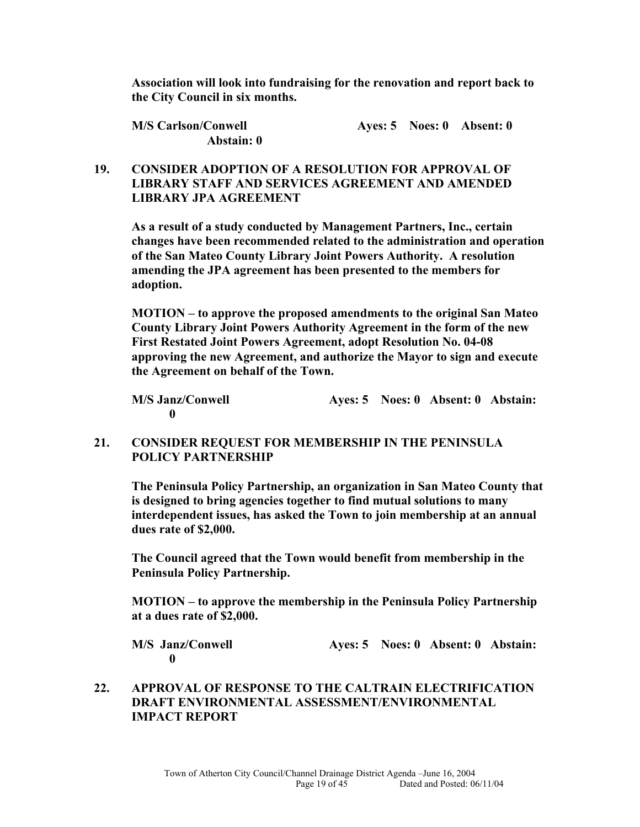**Association will look into fundraising for the renovation and report back to the City Council in six months.** 

| <b>M/S Carlson/Conwell</b> |  | Ayes: $5$ Noes: $0$ Absent: $0$ |
|----------------------------|--|---------------------------------|
| Abstain: 0                 |  |                                 |

### **19. CONSIDER ADOPTION OF A RESOLUTION FOR APPROVAL OF LIBRARY STAFF AND SERVICES AGREEMENT AND AMENDED LIBRARY JPA AGREEMENT**

**As a result of a study conducted by Management Partners, Inc., certain changes have been recommended related to the administration and operation of the San Mateo County Library Joint Powers Authority. A resolution amending the JPA agreement has been presented to the members for adoption.** 

**MOTION – to approve the proposed amendments to the original San Mateo County Library Joint Powers Authority Agreement in the form of the new First Restated Joint Powers Agreement, adopt Resolution No. 04-08 approving the new Agreement, and authorize the Mayor to sign and execute the Agreement on behalf of the Town.** 

**M/S Janz/Conwell Ayes: 5 Noes: 0 Absent: 0 Abstain: 0** 

### **21. CONSIDER REQUEST FOR MEMBERSHIP IN THE PENINSULA POLICY PARTNERSHIP**

**The Peninsula Policy Partnership, an organization in San Mateo County that is designed to bring agencies together to find mutual solutions to many interdependent issues, has asked the Town to join membership at an annual dues rate of \$2,000.** 

**The Council agreed that the Town would benefit from membership in the Peninsula Policy Partnership.** 

**MOTION – to approve the membership in the Peninsula Policy Partnership at a dues rate of \$2,000.** 

**M/S Janz/Conwell Ayes: 5 Noes: 0 Absent: 0 Abstain: 0** 

### **22. APPROVAL OF RESPONSE TO THE CALTRAIN ELECTRIFICATION DRAFT ENVIRONMENTAL ASSESSMENT/ENVIRONMENTAL IMPACT REPORT**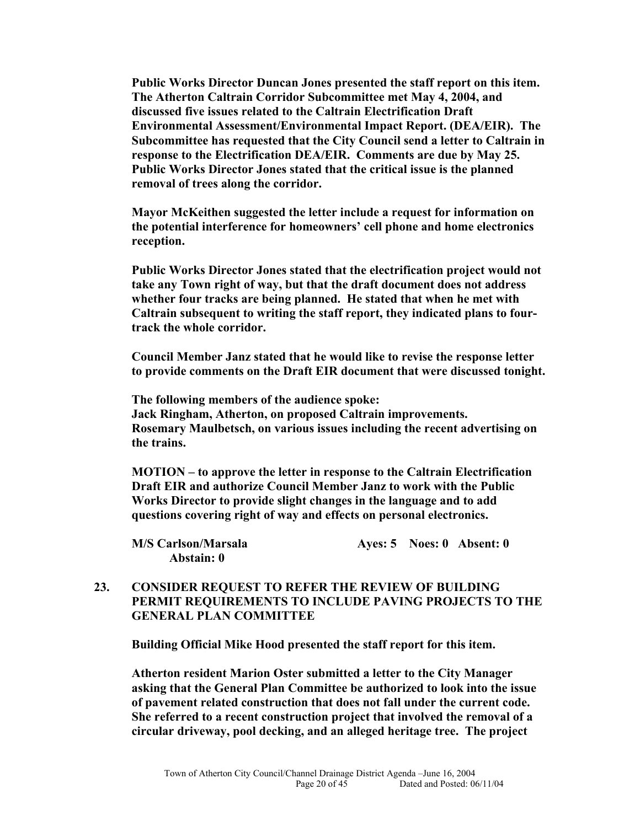**Public Works Director Duncan Jones presented the staff report on this item. The Atherton Caltrain Corridor Subcommittee met May 4, 2004, and discussed five issues related to the Caltrain Electrification Draft Environmental Assessment/Environmental Impact Report. (DEA/EIR). The Subcommittee has requested that the City Council send a letter to Caltrain in response to the Electrification DEA/EIR. Comments are due by May 25. Public Works Director Jones stated that the critical issue is the planned removal of trees along the corridor.** 

**Mayor McKeithen suggested the letter include a request for information on the potential interference for homeowners' cell phone and home electronics reception.** 

**Public Works Director Jones stated that the electrification project would not take any Town right of way, but that the draft document does not address whether four tracks are being planned. He stated that when he met with Caltrain subsequent to writing the staff report, they indicated plans to fourtrack the whole corridor.** 

**Council Member Janz stated that he would like to revise the response letter to provide comments on the Draft EIR document that were discussed tonight.** 

**The following members of the audience spoke: Jack Ringham, Atherton, on proposed Caltrain improvements. Rosemary Maulbetsch, on various issues including the recent advertising on the trains.** 

**MOTION – to approve the letter in response to the Caltrain Electrification Draft EIR and authorize Council Member Janz to work with the Public Works Director to provide slight changes in the language and to add questions covering right of way and effects on personal electronics.**

| M/S Carlson/Marsala |  | Ayes: $5$ Noes: $0$ Absent: $0$ |
|---------------------|--|---------------------------------|
| Abstain: 0          |  |                                 |

### **23. CONSIDER REQUEST TO REFER THE REVIEW OF BUILDING PERMIT REQUIREMENTS TO INCLUDE PAVING PROJECTS TO THE GENERAL PLAN COMMITTEE**

**Building Official Mike Hood presented the staff report for this item.** 

**Atherton resident Marion Oster submitted a letter to the City Manager asking that the General Plan Committee be authorized to look into the issue of pavement related construction that does not fall under the current code. She referred to a recent construction project that involved the removal of a circular driveway, pool decking, and an alleged heritage tree. The project**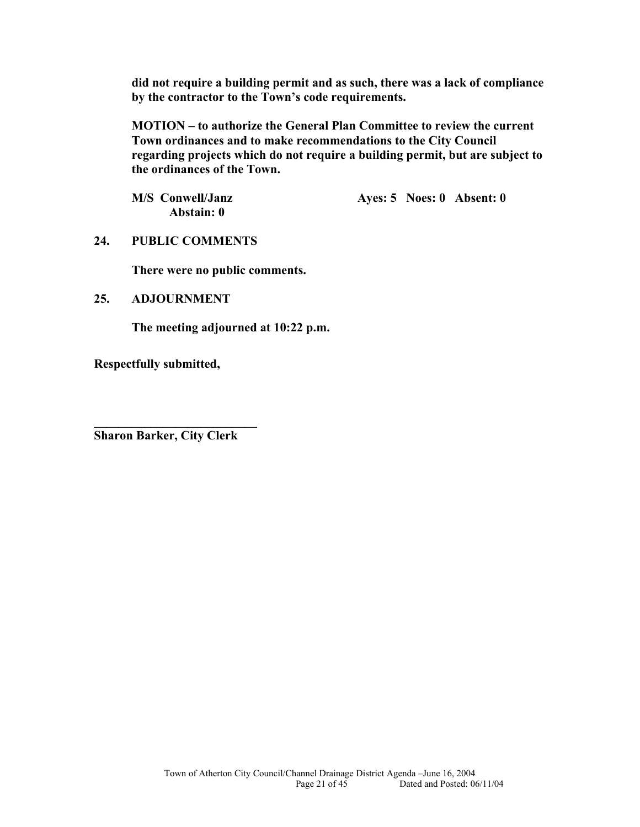**did not require a building permit and as such, there was a lack of compliance by the contractor to the Town's code requirements.** 

**MOTION – to authorize the General Plan Committee to review the current Town ordinances and to make recommendations to the City Council regarding projects which do not require a building permit, but are subject to the ordinances of the Town.** 

**Abstain: 0** 

M/S Conwell/Janz **Ayes: 5 Noes: 0 Absent: 0** 

**24. PUBLIC COMMENTS** 

**There were no public comments.** 

### **25. ADJOURNMENT**

**The meeting adjourned at 10:22 p.m.** 

**Respectfully submitted,** 

**Sharon Barker, City Clerk** 

**\_\_\_\_\_\_\_\_\_\_\_\_\_\_\_\_\_\_\_\_\_\_\_\_\_\_**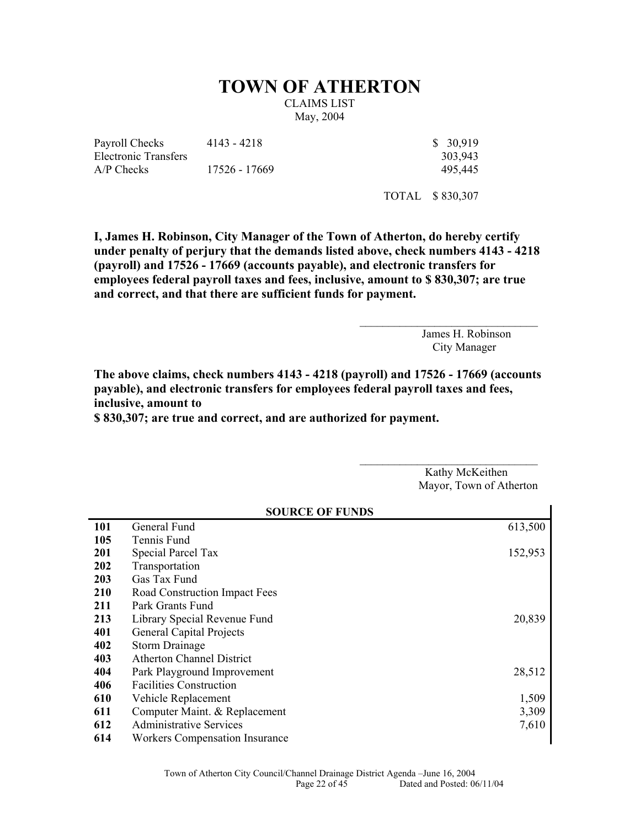# **TOWN OF ATHERTON**

CLAIMS LIST May, 2004

Payroll Checks Electronic Transfers A/P Checks 17526 - 17669 495,445

4143 - 4218 \$ 30,919

303,943

TOTAL \$ 830,307

**I, James H. Robinson, City Manager of the Town of Atherton, do hereby certify under penalty of perjury that the demands listed above, check numbers 4143 - 4218 (payroll) and 17526 - 17669 (accounts payable), and electronic transfers for employees federal payroll taxes and fees, inclusive, amount to \$ 830,307; are true and correct, and that there are sufficient funds for payment.** 

> James H. Robinson City Manager

**The above claims, check numbers 4143 - 4218 (payroll) and 17526 - 17669 (accounts payable), and electronic transfers for employees federal payroll taxes and fees, inclusive, amount to** 

**\$ 830,307; are true and correct, and are authorized for payment.** 

Kathy McKeithen Mayor, Town of Atherton

 $\mathcal{L}_\text{max}$ 

| <b>SOURCE OF FUNDS</b> |                                       |         |
|------------------------|---------------------------------------|---------|
| 101                    | General Fund                          | 613,500 |
| 105                    | Tennis Fund                           |         |
| 201                    | Special Parcel Tax                    | 152,953 |
| 202                    | Transportation                        |         |
| 203                    | Gas Tax Fund                          |         |
| 210                    | Road Construction Impact Fees         |         |
| 211                    | Park Grants Fund                      |         |
| 213                    | Library Special Revenue Fund          | 20,839  |
| 401                    | <b>General Capital Projects</b>       |         |
| 402                    | <b>Storm Drainage</b>                 |         |
| 403                    | <b>Atherton Channel District</b>      |         |
| 404                    | Park Playground Improvement           | 28,512  |
| 406                    | <b>Facilities Construction</b>        |         |
| 610                    | Vehicle Replacement                   | 1,509   |
| 611                    | Computer Maint. & Replacement         | 3,309   |
| 612                    | <b>Administrative Services</b>        | 7,610   |
| 614                    | <b>Workers Compensation Insurance</b> |         |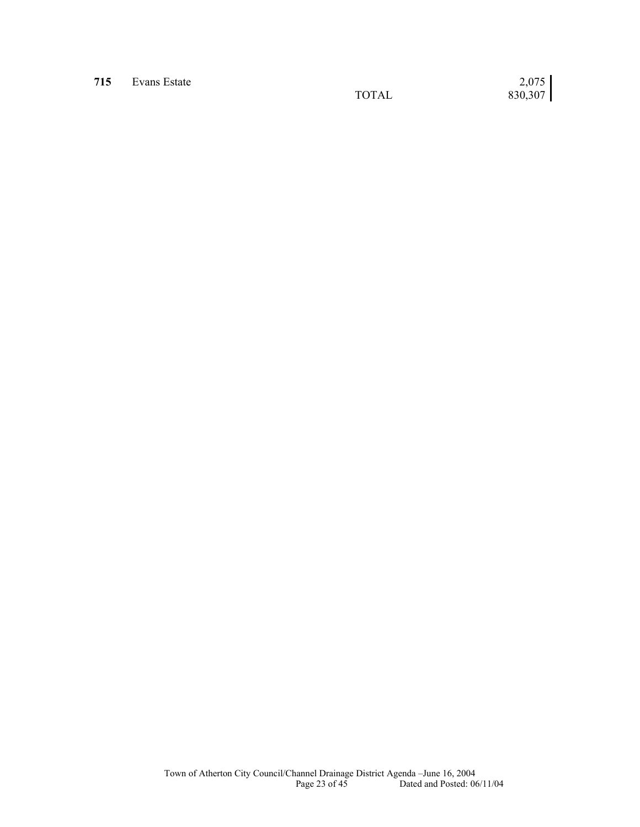**715 Evans Estate 2007 TOTAL** 

 $\begin{bmatrix} 2{,}075 \\ 830{,}307 \end{bmatrix}$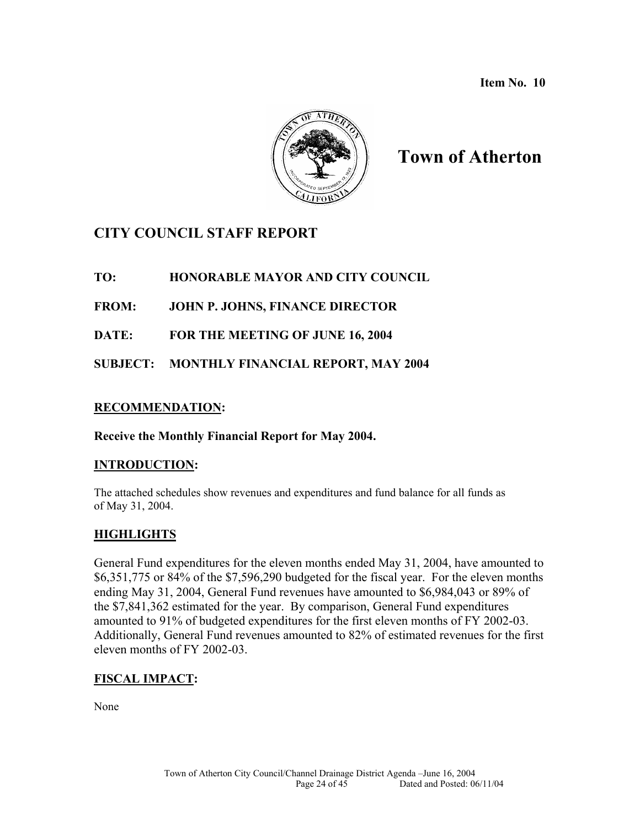**Item No. 10** 



# **Town of Atherton**

# **CITY COUNCIL STAFF REPORT**

**TO: HONORABLE MAYOR AND CITY COUNCIL** 

**FROM: JOHN P. JOHNS, FINANCE DIRECTOR** 

**DATE: FOR THE MEETING OF JUNE 16, 2004** 

**SUBJECT: MONTHLY FINANCIAL REPORT, MAY 2004** 

### **RECOMMENDATION:**

### **Receive the Monthly Financial Report for May 2004.**

### **INTRODUCTION:**

The attached schedules show revenues and expenditures and fund balance for all funds as of May 31, 2004.

# **HIGHLIGHTS**

General Fund expenditures for the eleven months ended May 31, 2004, have amounted to \$6,351,775 or 84% of the \$7,596,290 budgeted for the fiscal year. For the eleven months ending May 31, 2004, General Fund revenues have amounted to \$6,984,043 or 89% of the \$7,841,362 estimated for the year. By comparison, General Fund expenditures amounted to 91% of budgeted expenditures for the first eleven months of FY 2002-03. Additionally, General Fund revenues amounted to 82% of estimated revenues for the first eleven months of FY 2002-03.

### **FISCAL IMPACT:**

None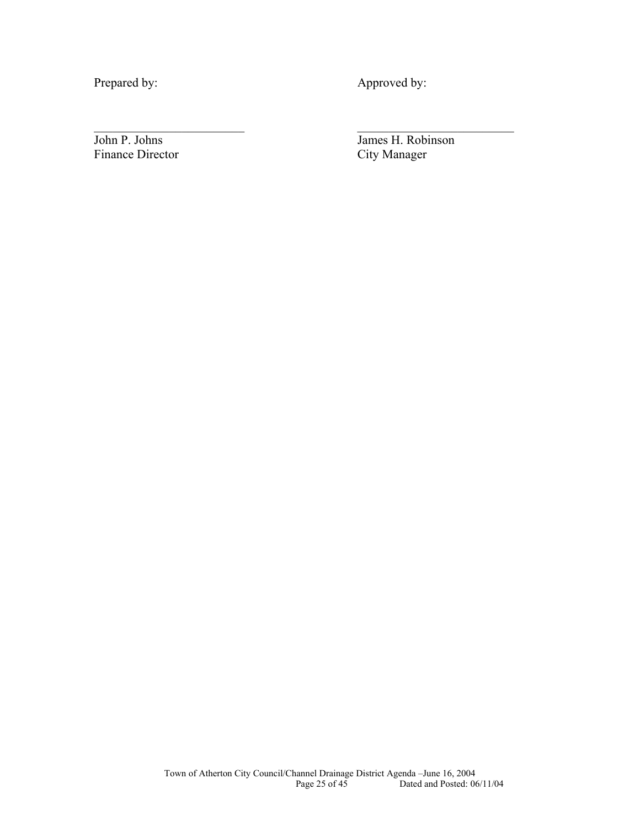Prepared by: Approved by:

 $\mathcal{L}_\text{max}$  , and the contract of the contract of the contract of the contract of the contract of the contract of

Finance Director

John P. Johns James H. Robinson<br>Finance Director City Manager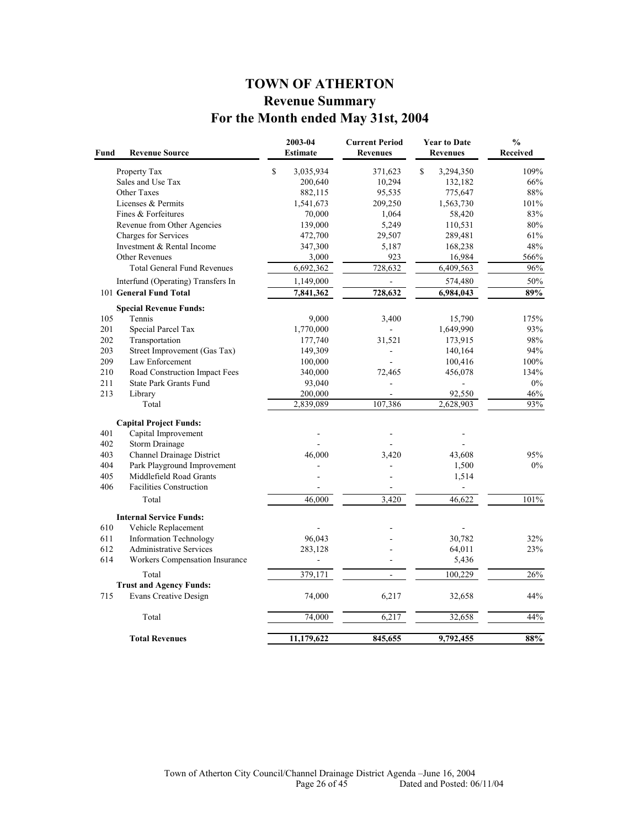# **TOWN OF ATHERTON Revenue Summary For the Month ended May 31st, 2004**

| $\mathbf S$<br>$\mathbf S$<br>3,035,934<br>Property Tax<br>371,623<br>3,294,350<br>Sales and Use Tax<br>10,294<br>200,640<br>132,182<br>Other Taxes<br>95,535<br>775,647<br>882,115<br>Licenses & Permits<br>209,250<br>1,563,730<br>1,541,673<br>Fines & Forfeitures<br>70,000<br>1,064<br>58,420<br>Revenue from Other Agencies<br>139,000<br>5,249<br>110,531<br>Charges for Services<br>472,700<br>29,507<br>289,481<br>Investment & Rental Income<br>347,300<br>5,187<br>168,238<br>923<br>Other Revenues<br>3,000<br>16,984<br><b>Total General Fund Revenues</b><br>6,692,362<br>728,632<br>6,409,563<br>Interfund (Operating) Transfers In<br>1,149,000<br>574,480<br>$\blacksquare$<br>728,632<br>101 General Fund Total<br>7,841,362<br>6,984,043<br><b>Special Revenue Funds:</b><br>105<br>Tennis<br>9,000<br>3,400<br>15,790<br>201<br>Special Parcel Tax<br>1,770,000<br>1,649,990<br>202<br>Transportation<br>177,740<br>31,521<br>173,915<br>203<br>Street Improvement (Gas Tax)<br>149,309<br>140,164<br>$\blacksquare$<br>209<br>Law Enforcement<br>100,000<br>100,416<br>210<br>Road Construction Impact Fees<br>340,000<br>72,465<br>456,078<br>211<br><b>State Park Grants Fund</b><br>93,040<br>ä,<br>213<br>200,000<br>92,550<br>Library<br>Total<br>2,839,089<br>107,386<br>2,628,903<br><b>Capital Project Funds:</b><br>401<br>Capital Improvement<br>402<br><b>Storm Drainage</b><br>403<br>Channel Drainage District<br>46,000<br>3,420<br>43,608<br>Park Playground Improvement<br>404<br>1,500<br>405<br>Middlefield Road Grants<br>1,514<br>406<br><b>Facilities Construction</b><br>Total<br>46,000<br>3,420<br>46,622<br><b>Internal Service Funds:</b> | <b>Received</b> |
|------------------------------------------------------------------------------------------------------------------------------------------------------------------------------------------------------------------------------------------------------------------------------------------------------------------------------------------------------------------------------------------------------------------------------------------------------------------------------------------------------------------------------------------------------------------------------------------------------------------------------------------------------------------------------------------------------------------------------------------------------------------------------------------------------------------------------------------------------------------------------------------------------------------------------------------------------------------------------------------------------------------------------------------------------------------------------------------------------------------------------------------------------------------------------------------------------------------------------------------------------------------------------------------------------------------------------------------------------------------------------------------------------------------------------------------------------------------------------------------------------------------------------------------------------------------------------------------------------------------------------------------------------------------------------------------|-----------------|
|                                                                                                                                                                                                                                                                                                                                                                                                                                                                                                                                                                                                                                                                                                                                                                                                                                                                                                                                                                                                                                                                                                                                                                                                                                                                                                                                                                                                                                                                                                                                                                                                                                                                                          | 109%            |
|                                                                                                                                                                                                                                                                                                                                                                                                                                                                                                                                                                                                                                                                                                                                                                                                                                                                                                                                                                                                                                                                                                                                                                                                                                                                                                                                                                                                                                                                                                                                                                                                                                                                                          | 66%             |
|                                                                                                                                                                                                                                                                                                                                                                                                                                                                                                                                                                                                                                                                                                                                                                                                                                                                                                                                                                                                                                                                                                                                                                                                                                                                                                                                                                                                                                                                                                                                                                                                                                                                                          | 88%             |
|                                                                                                                                                                                                                                                                                                                                                                                                                                                                                                                                                                                                                                                                                                                                                                                                                                                                                                                                                                                                                                                                                                                                                                                                                                                                                                                                                                                                                                                                                                                                                                                                                                                                                          | 101%            |
|                                                                                                                                                                                                                                                                                                                                                                                                                                                                                                                                                                                                                                                                                                                                                                                                                                                                                                                                                                                                                                                                                                                                                                                                                                                                                                                                                                                                                                                                                                                                                                                                                                                                                          | 83%             |
|                                                                                                                                                                                                                                                                                                                                                                                                                                                                                                                                                                                                                                                                                                                                                                                                                                                                                                                                                                                                                                                                                                                                                                                                                                                                                                                                                                                                                                                                                                                                                                                                                                                                                          | 80%             |
|                                                                                                                                                                                                                                                                                                                                                                                                                                                                                                                                                                                                                                                                                                                                                                                                                                                                                                                                                                                                                                                                                                                                                                                                                                                                                                                                                                                                                                                                                                                                                                                                                                                                                          | 61%             |
|                                                                                                                                                                                                                                                                                                                                                                                                                                                                                                                                                                                                                                                                                                                                                                                                                                                                                                                                                                                                                                                                                                                                                                                                                                                                                                                                                                                                                                                                                                                                                                                                                                                                                          | 48%             |
|                                                                                                                                                                                                                                                                                                                                                                                                                                                                                                                                                                                                                                                                                                                                                                                                                                                                                                                                                                                                                                                                                                                                                                                                                                                                                                                                                                                                                                                                                                                                                                                                                                                                                          | 566%            |
|                                                                                                                                                                                                                                                                                                                                                                                                                                                                                                                                                                                                                                                                                                                                                                                                                                                                                                                                                                                                                                                                                                                                                                                                                                                                                                                                                                                                                                                                                                                                                                                                                                                                                          | 96%             |
|                                                                                                                                                                                                                                                                                                                                                                                                                                                                                                                                                                                                                                                                                                                                                                                                                                                                                                                                                                                                                                                                                                                                                                                                                                                                                                                                                                                                                                                                                                                                                                                                                                                                                          | 50%             |
|                                                                                                                                                                                                                                                                                                                                                                                                                                                                                                                                                                                                                                                                                                                                                                                                                                                                                                                                                                                                                                                                                                                                                                                                                                                                                                                                                                                                                                                                                                                                                                                                                                                                                          | 89%             |
|                                                                                                                                                                                                                                                                                                                                                                                                                                                                                                                                                                                                                                                                                                                                                                                                                                                                                                                                                                                                                                                                                                                                                                                                                                                                                                                                                                                                                                                                                                                                                                                                                                                                                          |                 |
|                                                                                                                                                                                                                                                                                                                                                                                                                                                                                                                                                                                                                                                                                                                                                                                                                                                                                                                                                                                                                                                                                                                                                                                                                                                                                                                                                                                                                                                                                                                                                                                                                                                                                          | 175%            |
|                                                                                                                                                                                                                                                                                                                                                                                                                                                                                                                                                                                                                                                                                                                                                                                                                                                                                                                                                                                                                                                                                                                                                                                                                                                                                                                                                                                                                                                                                                                                                                                                                                                                                          | 93%             |
|                                                                                                                                                                                                                                                                                                                                                                                                                                                                                                                                                                                                                                                                                                                                                                                                                                                                                                                                                                                                                                                                                                                                                                                                                                                                                                                                                                                                                                                                                                                                                                                                                                                                                          | 98%             |
|                                                                                                                                                                                                                                                                                                                                                                                                                                                                                                                                                                                                                                                                                                                                                                                                                                                                                                                                                                                                                                                                                                                                                                                                                                                                                                                                                                                                                                                                                                                                                                                                                                                                                          | 94%             |
|                                                                                                                                                                                                                                                                                                                                                                                                                                                                                                                                                                                                                                                                                                                                                                                                                                                                                                                                                                                                                                                                                                                                                                                                                                                                                                                                                                                                                                                                                                                                                                                                                                                                                          | 100%            |
|                                                                                                                                                                                                                                                                                                                                                                                                                                                                                                                                                                                                                                                                                                                                                                                                                                                                                                                                                                                                                                                                                                                                                                                                                                                                                                                                                                                                                                                                                                                                                                                                                                                                                          | 134%            |
|                                                                                                                                                                                                                                                                                                                                                                                                                                                                                                                                                                                                                                                                                                                                                                                                                                                                                                                                                                                                                                                                                                                                                                                                                                                                                                                                                                                                                                                                                                                                                                                                                                                                                          | $0\%$           |
|                                                                                                                                                                                                                                                                                                                                                                                                                                                                                                                                                                                                                                                                                                                                                                                                                                                                                                                                                                                                                                                                                                                                                                                                                                                                                                                                                                                                                                                                                                                                                                                                                                                                                          | 46%             |
|                                                                                                                                                                                                                                                                                                                                                                                                                                                                                                                                                                                                                                                                                                                                                                                                                                                                                                                                                                                                                                                                                                                                                                                                                                                                                                                                                                                                                                                                                                                                                                                                                                                                                          | 93%             |
|                                                                                                                                                                                                                                                                                                                                                                                                                                                                                                                                                                                                                                                                                                                                                                                                                                                                                                                                                                                                                                                                                                                                                                                                                                                                                                                                                                                                                                                                                                                                                                                                                                                                                          |                 |
|                                                                                                                                                                                                                                                                                                                                                                                                                                                                                                                                                                                                                                                                                                                                                                                                                                                                                                                                                                                                                                                                                                                                                                                                                                                                                                                                                                                                                                                                                                                                                                                                                                                                                          |                 |
|                                                                                                                                                                                                                                                                                                                                                                                                                                                                                                                                                                                                                                                                                                                                                                                                                                                                                                                                                                                                                                                                                                                                                                                                                                                                                                                                                                                                                                                                                                                                                                                                                                                                                          |                 |
|                                                                                                                                                                                                                                                                                                                                                                                                                                                                                                                                                                                                                                                                                                                                                                                                                                                                                                                                                                                                                                                                                                                                                                                                                                                                                                                                                                                                                                                                                                                                                                                                                                                                                          | 95%             |
|                                                                                                                                                                                                                                                                                                                                                                                                                                                                                                                                                                                                                                                                                                                                                                                                                                                                                                                                                                                                                                                                                                                                                                                                                                                                                                                                                                                                                                                                                                                                                                                                                                                                                          | $0\%$           |
|                                                                                                                                                                                                                                                                                                                                                                                                                                                                                                                                                                                                                                                                                                                                                                                                                                                                                                                                                                                                                                                                                                                                                                                                                                                                                                                                                                                                                                                                                                                                                                                                                                                                                          |                 |
|                                                                                                                                                                                                                                                                                                                                                                                                                                                                                                                                                                                                                                                                                                                                                                                                                                                                                                                                                                                                                                                                                                                                                                                                                                                                                                                                                                                                                                                                                                                                                                                                                                                                                          |                 |
|                                                                                                                                                                                                                                                                                                                                                                                                                                                                                                                                                                                                                                                                                                                                                                                                                                                                                                                                                                                                                                                                                                                                                                                                                                                                                                                                                                                                                                                                                                                                                                                                                                                                                          | 101%            |
|                                                                                                                                                                                                                                                                                                                                                                                                                                                                                                                                                                                                                                                                                                                                                                                                                                                                                                                                                                                                                                                                                                                                                                                                                                                                                                                                                                                                                                                                                                                                                                                                                                                                                          |                 |
| 610<br>Vehicle Replacement                                                                                                                                                                                                                                                                                                                                                                                                                                                                                                                                                                                                                                                                                                                                                                                                                                                                                                                                                                                                                                                                                                                                                                                                                                                                                                                                                                                                                                                                                                                                                                                                                                                               |                 |
| 611<br><b>Information Technology</b><br>96,043<br>30,782                                                                                                                                                                                                                                                                                                                                                                                                                                                                                                                                                                                                                                                                                                                                                                                                                                                                                                                                                                                                                                                                                                                                                                                                                                                                                                                                                                                                                                                                                                                                                                                                                                 | 32%             |
| 612<br><b>Administrative Services</b><br>283,128<br>64,011                                                                                                                                                                                                                                                                                                                                                                                                                                                                                                                                                                                                                                                                                                                                                                                                                                                                                                                                                                                                                                                                                                                                                                                                                                                                                                                                                                                                                                                                                                                                                                                                                               | 23%             |
| 614<br>Workers Compensation Insurance<br>5,436<br>L,<br>٠                                                                                                                                                                                                                                                                                                                                                                                                                                                                                                                                                                                                                                                                                                                                                                                                                                                                                                                                                                                                                                                                                                                                                                                                                                                                                                                                                                                                                                                                                                                                                                                                                                |                 |
| 379,171<br>100,229<br>Total<br>÷,                                                                                                                                                                                                                                                                                                                                                                                                                                                                                                                                                                                                                                                                                                                                                                                                                                                                                                                                                                                                                                                                                                                                                                                                                                                                                                                                                                                                                                                                                                                                                                                                                                                        | 26%             |
| <b>Trust and Agency Funds:</b>                                                                                                                                                                                                                                                                                                                                                                                                                                                                                                                                                                                                                                                                                                                                                                                                                                                                                                                                                                                                                                                                                                                                                                                                                                                                                                                                                                                                                                                                                                                                                                                                                                                           |                 |
| <b>Evans Creative Design</b><br>715<br>74,000<br>6,217<br>32,658                                                                                                                                                                                                                                                                                                                                                                                                                                                                                                                                                                                                                                                                                                                                                                                                                                                                                                                                                                                                                                                                                                                                                                                                                                                                                                                                                                                                                                                                                                                                                                                                                         | 44%             |
| 74,000<br>6,217<br>32,658<br>Total                                                                                                                                                                                                                                                                                                                                                                                                                                                                                                                                                                                                                                                                                                                                                                                                                                                                                                                                                                                                                                                                                                                                                                                                                                                                                                                                                                                                                                                                                                                                                                                                                                                       | 44%             |
| 11,179,622<br>9,792,455<br><b>Total Revenues</b><br>845,655                                                                                                                                                                                                                                                                                                                                                                                                                                                                                                                                                                                                                                                                                                                                                                                                                                                                                                                                                                                                                                                                                                                                                                                                                                                                                                                                                                                                                                                                                                                                                                                                                              | 88%             |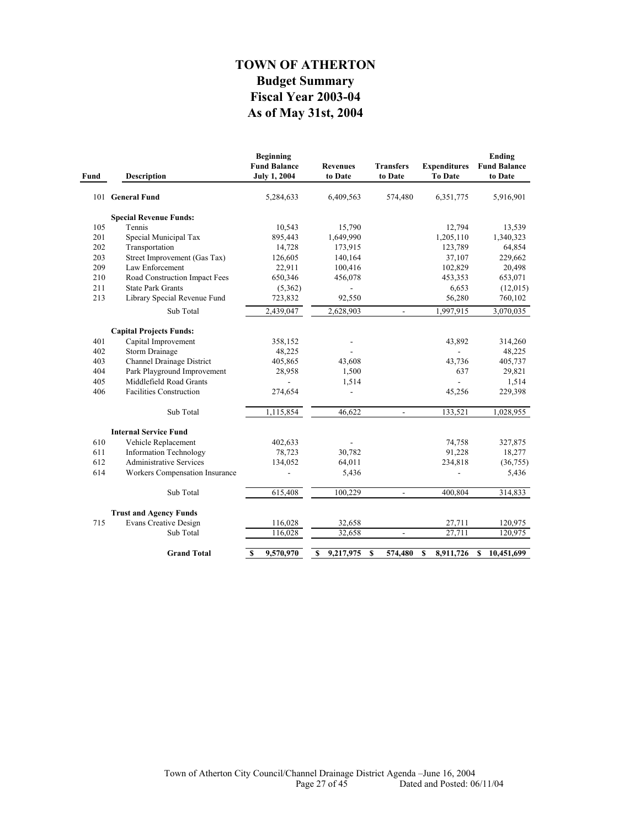# **As of May 31st, 2004 Fiscal Year 2003-04 Budget Summary TOWN OF ATHERTON**

| Fund | <b>Description</b>               | <b>Beginning</b><br><b>Fund Balance</b><br><b>July 1, 2004</b> | <b>Revenues</b><br>to Date | <b>Transfers</b><br>to Date | <b>Expenditures</b><br><b>To Date</b> | Ending<br><b>Fund Balance</b><br>to Date |
|------|----------------------------------|----------------------------------------------------------------|----------------------------|-----------------------------|---------------------------------------|------------------------------------------|
|      | 101 General Fund                 | 5,284,633                                                      | 6,409,563                  | 574,480                     | 6,351,775                             | 5,916,901                                |
|      | <b>Special Revenue Funds:</b>    |                                                                |                            |                             |                                       |                                          |
| 105  | Tennis                           | 10,543                                                         | 15,790                     |                             | 12,794                                | 13,539                                   |
| 201  | Special Municipal Tax            | 895,443                                                        | 1,649,990                  |                             | 1,205,110                             | 1,340,323                                |
| 202  | Transportation                   | 14,728                                                         | 173,915                    |                             | 123,789                               | 64,854                                   |
| 203  | Street Improvement (Gas Tax)     | 126,605                                                        | 140,164                    |                             | 37,107                                | 229,662                                  |
| 209  | Law Enforcement                  | 22,911                                                         | 100,416                    |                             | 102,829                               | 20,498                                   |
| 210  | Road Construction Impact Fees    | 650,346                                                        | 456,078                    |                             | 453,353                               | 653,071                                  |
| 211  | <b>State Park Grants</b>         | (5,362)                                                        |                            |                             | 6,653                                 | (12,015)                                 |
| 213  | Library Special Revenue Fund     | 723,832                                                        | 92,550                     |                             | 56,280                                | 760,102                                  |
|      | Sub Total                        | 2,439,047                                                      | 2,628,903                  | $\overline{\phantom{a}}$    | 1,997,915                             | 3,070,035                                |
|      | <b>Capital Projects Funds:</b>   |                                                                |                            |                             |                                       |                                          |
| 401  | Capital Improvement              | 358,152                                                        |                            |                             | 43,892                                | 314,260                                  |
| 402  | <b>Storm Drainage</b>            | 48,225                                                         |                            |                             | $\overline{a}$                        | 48,225                                   |
| 403  | <b>Channel Drainage District</b> | 405,865                                                        | 43,608                     |                             | 43,736                                | 405,737                                  |
| 404  | Park Playground Improvement      | 28,958                                                         | 1,500                      |                             | 637                                   | 29,821                                   |
| 405  | Middlefield Road Grants          |                                                                | 1,514                      |                             | $\overline{a}$                        | 1,514                                    |
| 406  | <b>Facilities Construction</b>   | 274,654                                                        | $\overline{a}$             |                             | 45,256                                | 229,398                                  |
|      | Sub Total                        |                                                                | 46,622                     | $\mathbf{r}$                | 133,521                               |                                          |
|      |                                  | 1,115,854                                                      |                            |                             |                                       | 1,028,955                                |
|      | <b>Internal Service Fund</b>     |                                                                |                            |                             |                                       |                                          |
| 610  | Vehicle Replacement              | 402,633                                                        |                            |                             | 74,758                                | 327,875                                  |
| 611  | <b>Information Technology</b>    | 78,723                                                         | 30,782                     |                             | 91,228                                | 18,277                                   |
| 612  | <b>Administrative Services</b>   | 134,052                                                        | 64,011                     |                             | 234,818                               | (36, 755)                                |
| 614  | Workers Compensation Insurance   |                                                                | 5,436                      |                             |                                       | 5,436                                    |
|      | Sub Total                        | 615,408                                                        | 100,229                    | $\overline{\phantom{a}}$    | 400,804                               | 314,833                                  |
|      | <b>Trust and Agency Funds</b>    |                                                                |                            |                             |                                       |                                          |
| 715  | <b>Evans Creative Design</b>     | 116,028                                                        | 32,658                     |                             | 27,711                                | 120,975                                  |
|      | Sub Total                        | 116,028                                                        | 32,658                     | $\overline{a}$              | 27,711                                | 120,975                                  |
|      | <b>Grand Total</b>               | $\boldsymbol{s}$<br>9,570,970                                  | 9,217,975<br>\$            | S<br>574,480                | 8,911,726<br>S                        | 10,451,699<br>S                          |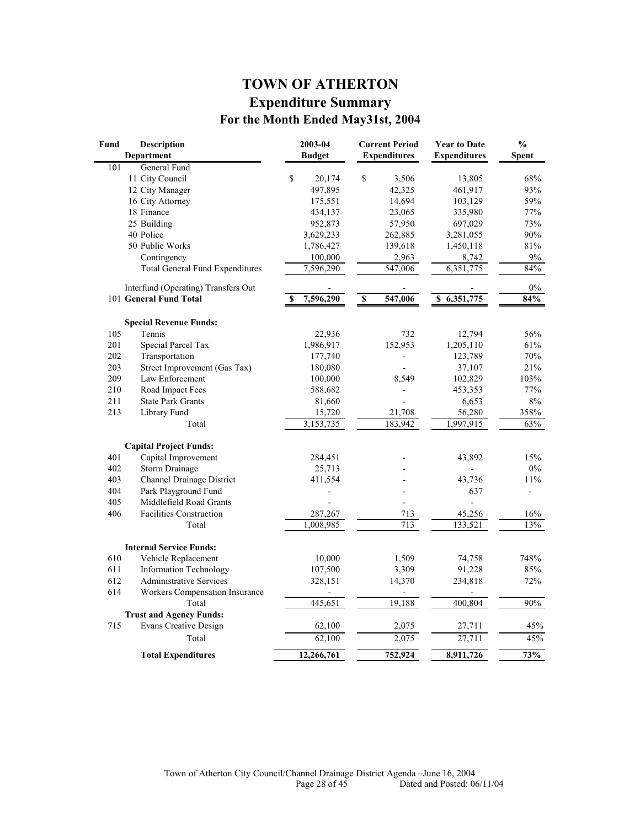# **TOWN OF ATHERTON Expenditure Summary For the Month Ended May31st, 2004**

| Fund | <b>Description</b><br>Department       | 2003-04<br><b>Budget</b> | <b>Current Period</b><br><b>Expenditures</b> | <b>Year to Date</b><br><b>Expenditures</b> | $\frac{0}{0}$<br><b>Spent</b> |
|------|----------------------------------------|--------------------------|----------------------------------------------|--------------------------------------------|-------------------------------|
| 101  | General Fund                           |                          |                                              |                                            |                               |
|      | 11 City Council                        | \$<br>20,174             | $\mathbb S$<br>3,506                         | 13,805                                     | 68%                           |
|      | 12 City Manager                        | 497,895                  | 42,325                                       | 461,917                                    | 93%                           |
|      | 16 City Attorney                       | 175,551                  | 14,694                                       | 103,129                                    | 59%                           |
|      | 18 Finance                             | 434,137                  | 23,065                                       | 335,980                                    | 77%                           |
|      | 25 Building                            | 952,873                  | 57,950                                       | 697,029                                    | 73%                           |
|      | 40 Police                              | 3,629,233                | 262,885                                      | 3,281,055                                  | 90%                           |
|      | 50 Public Works                        | 1,786,427                | 139,618                                      | 1,450,118                                  | 81%                           |
|      | Contingency                            | 100,000                  | 2,963                                        | 8,742                                      | $9\%$                         |
|      | <b>Total General Fund Expenditures</b> | 7,596,290                | 547,006                                      | 6,351,775                                  | 84%                           |
|      | Interfund (Operating) Transfers Out    |                          |                                              |                                            | $0\%$                         |
|      | 101 General Fund Total                 | 7,596,290<br>S           | $\overline{\mathbf{s}}$<br>547,006           | \$6,351,775                                | 84%                           |
|      | <b>Special Revenue Funds:</b>          |                          |                                              |                                            |                               |
| 105  | Tennis                                 | 22,936                   | 732                                          | 12,794                                     | 56%                           |
| 201  | Special Parcel Tax                     | 1,986,917                | 152,953                                      | 1,205,110                                  | 61%                           |
| 202  | Transportation                         | 177,740                  |                                              | 123,789                                    | 70%                           |
| 203  | Street Improvement (Gas Tax)           | 180,080                  | $\overline{a}$                               | 37,107                                     | 21%                           |
| 209  | Law Enforcement                        | 100,000                  | 8,549                                        | 102,829                                    | 103%                          |
| 210  | Road Impact Fees                       | 588,682                  | $\overline{a}$                               | 453,353                                    | 77%                           |
| 211  | <b>State Park Grants</b>               | 81,660                   |                                              | 6,653                                      | 8%                            |
| 213  | Library Fund                           | 15,720                   | 21,708                                       | 56,280                                     | 358%                          |
|      | Total                                  | 3,153,735                | 183,942                                      | 1,997,915                                  | 63%                           |
|      | <b>Capital Project Funds:</b>          |                          |                                              |                                            |                               |
| 401  | Capital Improvement                    | 284,451                  |                                              | 43,892                                     | 15%                           |
| 402  | <b>Storm Drainage</b>                  | 25,713                   |                                              |                                            | $0\%$                         |
| 403  | Channel Drainage District              | 411,554                  |                                              | 43,736                                     | 11%                           |
| 404  | Park Playground Fund                   |                          |                                              | 637                                        | $\overline{\phantom{0}}$      |
| 405  | Middlefield Road Grants                |                          | $\overline{a}$                               | $\overline{a}$                             |                               |
| 406  | <b>Facilities Construction</b>         | 287,267                  | 713                                          | 45,256                                     | 16%                           |
|      | Total                                  | 1,008,985                | 713                                          | 133,521                                    | 13%                           |
|      | <b>Internal Service Funds:</b>         |                          |                                              |                                            |                               |
| 610  | Vehicle Replacement                    | 10,000                   | 1,509                                        | 74,758                                     | 748%                          |
| 611  | <b>Information Technology</b>          | 107,500                  | 3,309                                        | 91,228                                     | 85%                           |
| 612  | <b>Administrative Services</b>         | 328,151                  | 14,370                                       | 234,818                                    | 72%                           |
| 614  | <b>Workers Compensation Insurance</b>  |                          |                                              |                                            |                               |
|      | Total                                  | 445,651                  | 19,188                                       | 400,804                                    | $90\%$                        |
|      | <b>Trust and Agency Funds:</b>         |                          |                                              |                                            |                               |
| 715  | <b>Evans Creative Design</b>           | 62,100                   | 2,075                                        | 27,711                                     | 45%                           |
|      | Total                                  | 62,100                   | 2,075                                        | 27,711                                     | 45%                           |
|      | <b>Total Expenditures</b>              | 12,266,761               | 752,924                                      | 8,911,726                                  | 73%                           |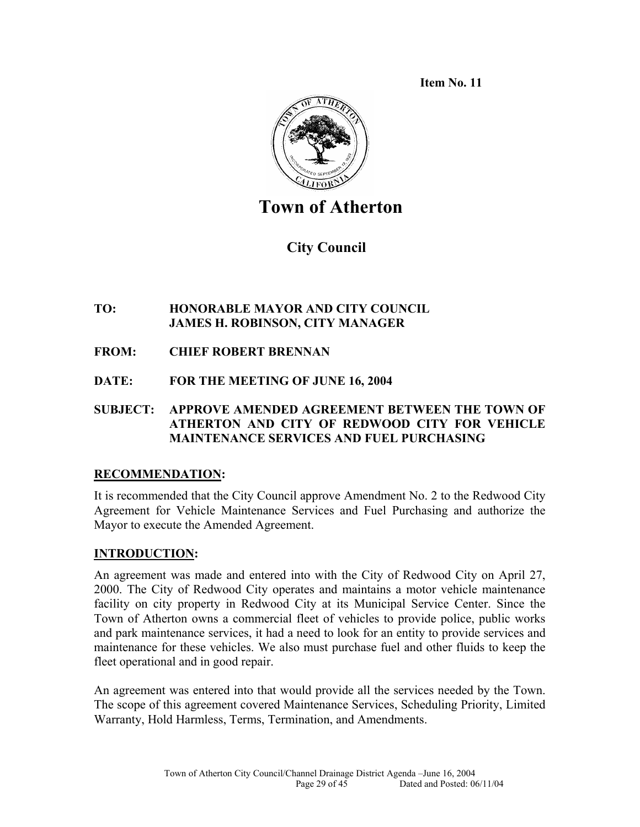**Item No. 11** 



# **Town of Atherton**

 **City Council** 

# **TO: HONORABLE MAYOR AND CITY COUNCIL JAMES H. ROBINSON, CITY MANAGER**

- **FROM: CHIEF ROBERT BRENNAN**
- **DATE: FOR THE MEETING OF JUNE 16, 2004**

### **SUBJECT: APPROVE AMENDED AGREEMENT BETWEEN THE TOWN OF ATHERTON AND CITY OF REDWOOD CITY FOR VEHICLE MAINTENANCE SERVICES AND FUEL PURCHASING**

# **RECOMMENDATION:**

It is recommended that the City Council approve Amendment No. 2 to the Redwood City Agreement for Vehicle Maintenance Services and Fuel Purchasing and authorize the Mayor to execute the Amended Agreement.

# **INTRODUCTION:**

An agreement was made and entered into with the City of Redwood City on April 27, 2000. The City of Redwood City operates and maintains a motor vehicle maintenance facility on city property in Redwood City at its Municipal Service Center. Since the Town of Atherton owns a commercial fleet of vehicles to provide police, public works and park maintenance services, it had a need to look for an entity to provide services and maintenance for these vehicles. We also must purchase fuel and other fluids to keep the fleet operational and in good repair.

An agreement was entered into that would provide all the services needed by the Town. The scope of this agreement covered Maintenance Services, Scheduling Priority, Limited Warranty, Hold Harmless, Terms, Termination, and Amendments.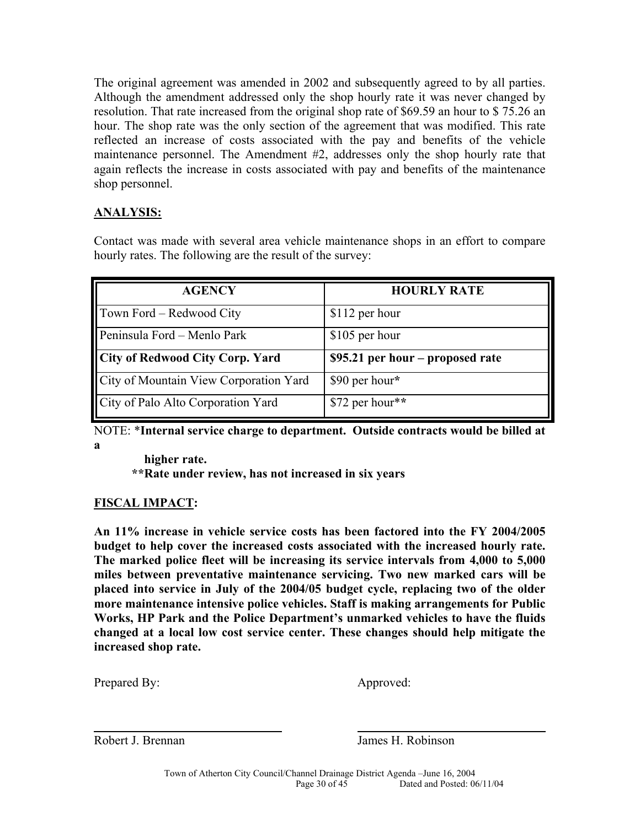The original agreement was amended in 2002 and subsequently agreed to by all parties. Although the amendment addressed only the shop hourly rate it was never changed by resolution. That rate increased from the original shop rate of \$69.59 an hour to \$ 75.26 an hour. The shop rate was the only section of the agreement that was modified. This rate reflected an increase of costs associated with the pay and benefits of the vehicle maintenance personnel. The Amendment #2, addresses only the shop hourly rate that again reflects the increase in costs associated with pay and benefits of the maintenance shop personnel.

# **ANALYSIS:**

Contact was made with several area vehicle maintenance shops in an effort to compare hourly rates. The following are the result of the survey:

| <b>AGENCY</b>                          | <b>HOURLY RATE</b>                |
|----------------------------------------|-----------------------------------|
| Town Ford - Redwood City               | \$112 per hour                    |
| Peninsula Ford - Menlo Park            | \$105 per hour                    |
| City of Redwood City Corp. Yard        | $$95.21$ per hour – proposed rate |
| City of Mountain View Corporation Yard | \$90 per hour*                    |
| City of Palo Alto Corporation Yard     | \$72 per hour**                   |

NOTE: \***Internal service charge to department. Outside contracts would be billed at a** 

 **higher rate. \*\*Rate under review, has not increased in six years** 

### **FISCAL IMPACT:**

**An 11% increase in vehicle service costs has been factored into the FY 2004/2005 budget to help cover the increased costs associated with the increased hourly rate. The marked police fleet will be increasing its service intervals from 4,000 to 5,000 miles between preventative maintenance servicing. Two new marked cars will be placed into service in July of the 2004/05 budget cycle, replacing two of the older more maintenance intensive police vehicles. Staff is making arrangements for Public Works, HP Park and the Police Department's unmarked vehicles to have the fluids changed at a local low cost service center. These changes should help mitigate the increased shop rate.** 

Prepared By: Approved:

 $\overline{a}$ 

Robert J. Brennan James H. Robinson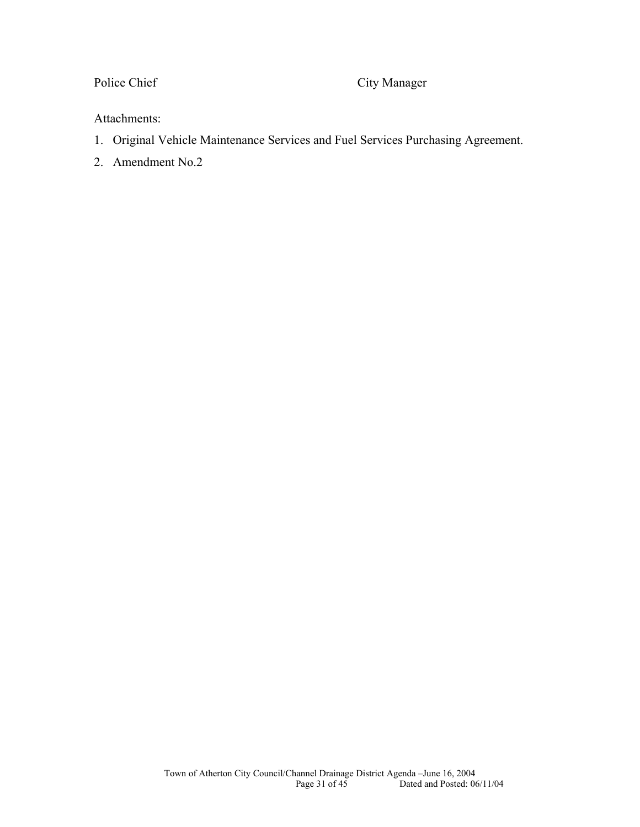Police Chief City Manager

### Attachments:

- 1. Original Vehicle Maintenance Services and Fuel Services Purchasing Agreement.
- 2. Amendment No.2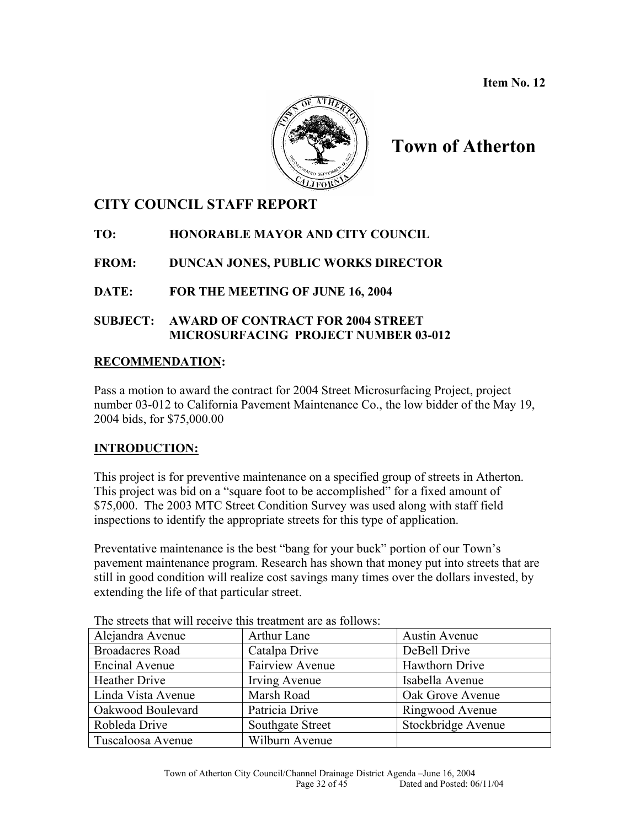**Item No. 12**



# **Town of Atherton**

# **CITY COUNCIL STAFF REPORT**

**TO: HONORABLE MAYOR AND CITY COUNCIL** 

**FROM: DUNCAN JONES, PUBLIC WORKS DIRECTOR** 

### **DATE: FOR THE MEETING OF JUNE 16, 2004**

### **SUBJECT: AWARD OF CONTRACT FOR 2004 STREET MICROSURFACING PROJECT NUMBER 03-012**

### **RECOMMENDATION:**

Pass a motion to award the contract for 2004 Street Microsurfacing Project, project number 03-012 to California Pavement Maintenance Co., the low bidder of the May 19, 2004 bids, for \$75,000.00

# **INTRODUCTION:**

This project is for preventive maintenance on a specified group of streets in Atherton. This project was bid on a "square foot to be accomplished" for a fixed amount of \$75,000. The 2003 MTC Street Condition Survey was used along with staff field inspections to identify the appropriate streets for this type of application.

Preventative maintenance is the best "bang for your buck" portion of our Town's pavement maintenance program. Research has shown that money put into streets that are still in good condition will realize cost savings many times over the dollars invested, by extending the life of that particular street.

| The streets that will receive this treatment are as follows. |                        |                      |  |  |
|--------------------------------------------------------------|------------------------|----------------------|--|--|
| Alejandra Avenue                                             | Arthur Lane            | <b>Austin Avenue</b> |  |  |
| <b>Broadacres Road</b>                                       | Catalpa Drive          | DeBell Drive         |  |  |
| Encinal Avenue                                               | <b>Fairview Avenue</b> | Hawthorn Drive       |  |  |
| <b>Heather Drive</b>                                         | Irving Avenue          | Isabella Avenue      |  |  |
| Linda Vista Avenue                                           | Marsh Road             | Oak Grove Avenue     |  |  |
| Oakwood Boulevard                                            | Patricia Drive         | Ringwood Avenue      |  |  |
| Robleda Drive                                                | Southgate Street       | Stockbridge Avenue   |  |  |
| Tuscaloosa Avenue                                            | Wilburn Avenue         |                      |  |  |

The streets that will receive this treatment are as follows: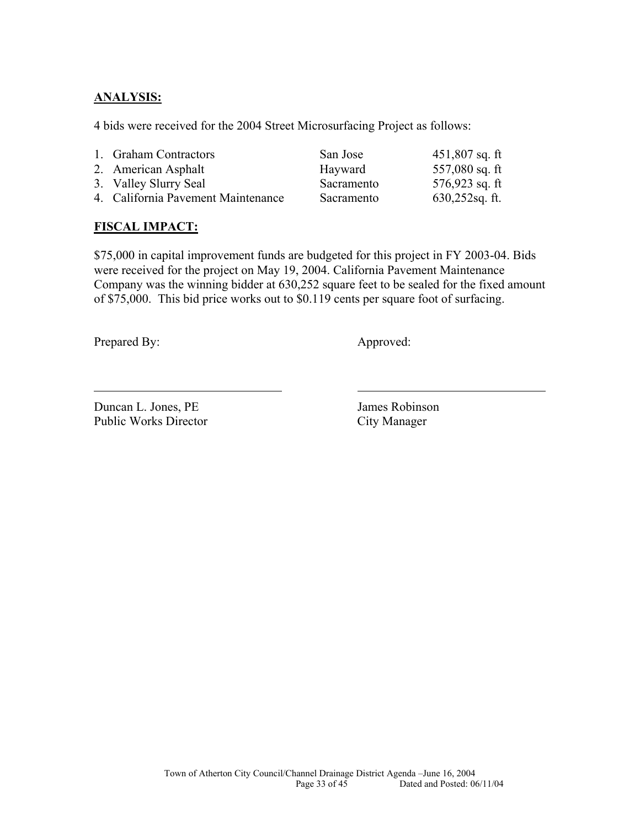### **ANALYSIS:**

4 bids were received for the 2004 Street Microsurfacing Project as follows:

| 1. Graham Contractors              | San Jose   | $451,807$ sq. ft  |
|------------------------------------|------------|-------------------|
| 2. American Asphalt                | Hayward    | 557,080 sq. ft    |
| 3. Valley Slurry Seal              | Sacramento | $576,923$ sq. ft  |
| 4. California Pavement Maintenance | Sacramento | $630,252$ sq. ft. |

### **FISCAL IMPACT:**

\$75,000 in capital improvement funds are budgeted for this project in FY 2003-04. Bids were received for the project on May 19, 2004. California Pavement Maintenance Company was the winning bidder at 630,252 square feet to be sealed for the fixed amount of \$75,000. This bid price works out to \$0.119 cents per square foot of surfacing.

Prepared By: Approved:

l

Duncan L. Jones, PE James Robinson Public Works Director City Manager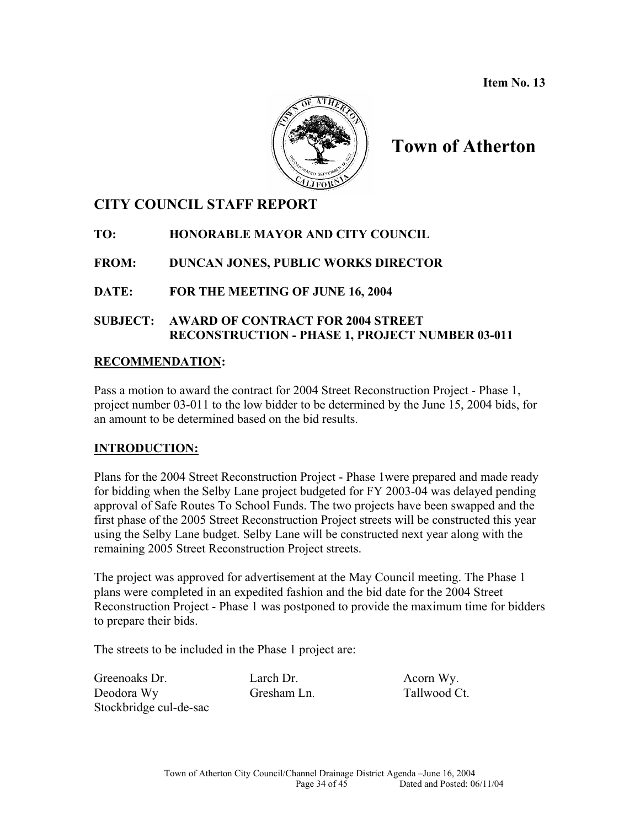**Item No. 13**



# **Town of Atherton**

# **CITY COUNCIL STAFF REPORT**

**TO: HONORABLE MAYOR AND CITY COUNCIL** 

**FROM: DUNCAN JONES, PUBLIC WORKS DIRECTOR** 

**DATE: FOR THE MEETING OF JUNE 16, 2004** 

### **SUBJECT: AWARD OF CONTRACT FOR 2004 STREET RECONSTRUCTION - PHASE 1, PROJECT NUMBER 03-011**

### **RECOMMENDATION:**

Pass a motion to award the contract for 2004 Street Reconstruction Project - Phase 1, project number 03-011 to the low bidder to be determined by the June 15, 2004 bids, for an amount to be determined based on the bid results.

# **INTRODUCTION:**

Plans for the 2004 Street Reconstruction Project - Phase 1were prepared and made ready for bidding when the Selby Lane project budgeted for FY 2003-04 was delayed pending approval of Safe Routes To School Funds. The two projects have been swapped and the first phase of the 2005 Street Reconstruction Project streets will be constructed this year using the Selby Lane budget. Selby Lane will be constructed next year along with the remaining 2005 Street Reconstruction Project streets.

The project was approved for advertisement at the May Council meeting. The Phase 1 plans were completed in an expedited fashion and the bid date for the 2004 Street Reconstruction Project - Phase 1 was postponed to provide the maximum time for bidders to prepare their bids.

The streets to be included in the Phase 1 project are:

Greenoaks Dr. Larch Dr. Acorn Wy. Deodora Wy Gresham Ln. Tallwood Ct. Stockbridge cul-de-sac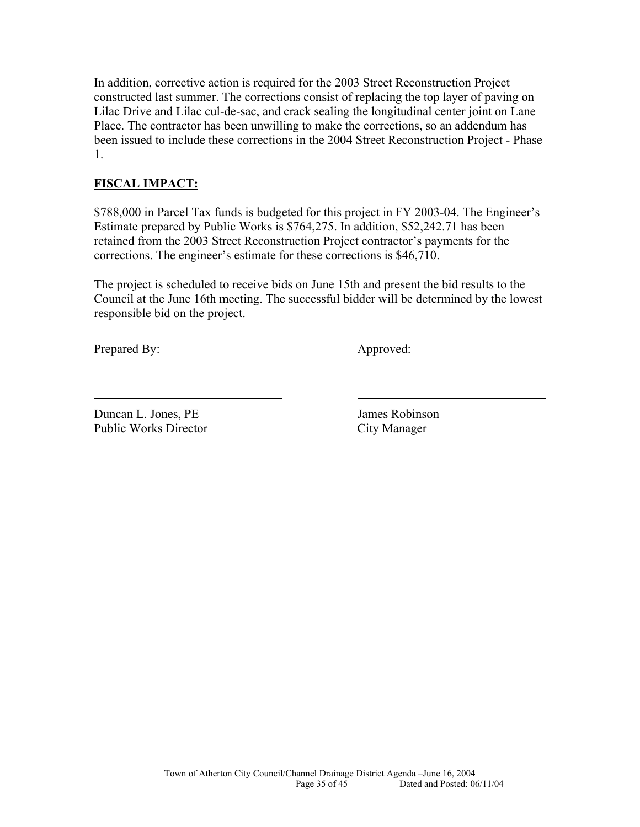In addition, corrective action is required for the 2003 Street Reconstruction Project constructed last summer. The corrections consist of replacing the top layer of paving on Lilac Drive and Lilac cul-de-sac, and crack sealing the longitudinal center joint on Lane Place. The contractor has been unwilling to make the corrections, so an addendum has been issued to include these corrections in the 2004 Street Reconstruction Project - Phase 1.

### **FISCAL IMPACT:**

\$788,000 in Parcel Tax funds is budgeted for this project in FY 2003-04. The Engineer's Estimate prepared by Public Works is \$764,275. In addition, \$52,242.71 has been retained from the 2003 Street Reconstruction Project contractor's payments for the corrections. The engineer's estimate for these corrections is \$46,710.

The project is scheduled to receive bids on June 15th and present the bid results to the Council at the June 16th meeting. The successful bidder will be determined by the lowest responsible bid on the project.

Prepared By: Approved:

l

Duncan L. Jones, PE James Robinson Public Works Director City Manager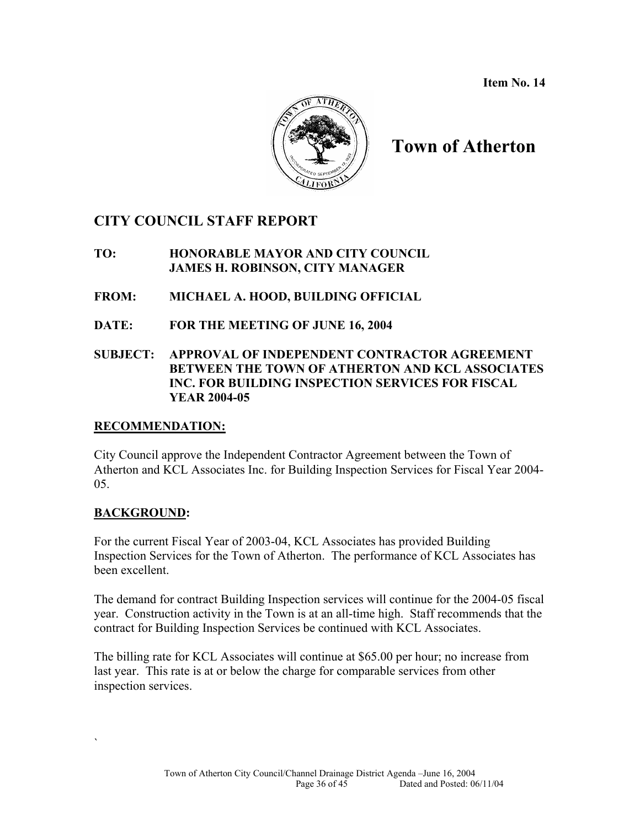**Item No. 14** 



# **Town of Atherton**

# **CITY COUNCIL STAFF REPORT**

### **TO: HONORABLE MAYOR AND CITY COUNCIL JAMES H. ROBINSON, CITY MANAGER**

- **FROM: MICHAEL A. HOOD, BUILDING OFFICIAL**
- **DATE: FOR THE MEETING OF JUNE 16, 2004**

### **SUBJECT: APPROVAL OF INDEPENDENT CONTRACTOR AGREEMENT BETWEEN THE TOWN OF ATHERTON AND KCL ASSOCIATES INC. FOR BUILDING INSPECTION SERVICES FOR FISCAL YEAR 2004-05**

### **RECOMMENDATION:**

City Council approve the Independent Contractor Agreement between the Town of Atherton and KCL Associates Inc. for Building Inspection Services for Fiscal Year 2004- 05.

### **BACKGROUND:**

 $\mathcal{L}_{\mathcal{L}}$ 

For the current Fiscal Year of 2003-04, KCL Associates has provided Building Inspection Services for the Town of Atherton. The performance of KCL Associates has been excellent.

The demand for contract Building Inspection services will continue for the 2004-05 fiscal year. Construction activity in the Town is at an all-time high. Staff recommends that the contract for Building Inspection Services be continued with KCL Associates.

The billing rate for KCL Associates will continue at \$65.00 per hour; no increase from last year. This rate is at or below the charge for comparable services from other inspection services.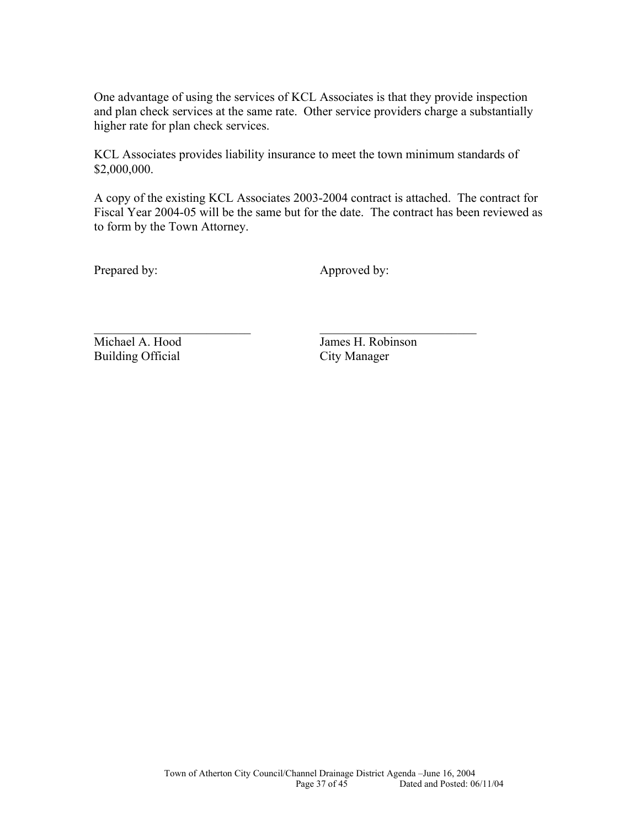One advantage of using the services of KCL Associates is that they provide inspection and plan check services at the same rate. Other service providers charge a substantially higher rate for plan check services.

KCL Associates provides liability insurance to meet the town minimum standards of \$2,000,000.

\_\_\_\_\_\_\_\_\_\_\_\_\_\_\_\_\_\_\_\_\_\_\_\_\_ \_\_\_\_\_\_\_\_\_\_\_\_\_\_\_\_\_\_\_\_\_\_\_\_\_

A copy of the existing KCL Associates 2003-2004 contract is attached. The contract for Fiscal Year 2004-05 will be the same but for the date. The contract has been reviewed as to form by the Town Attorney.

Prepared by: Approved by:

Building Official City Manager

Michael A. Hood James H. Robinson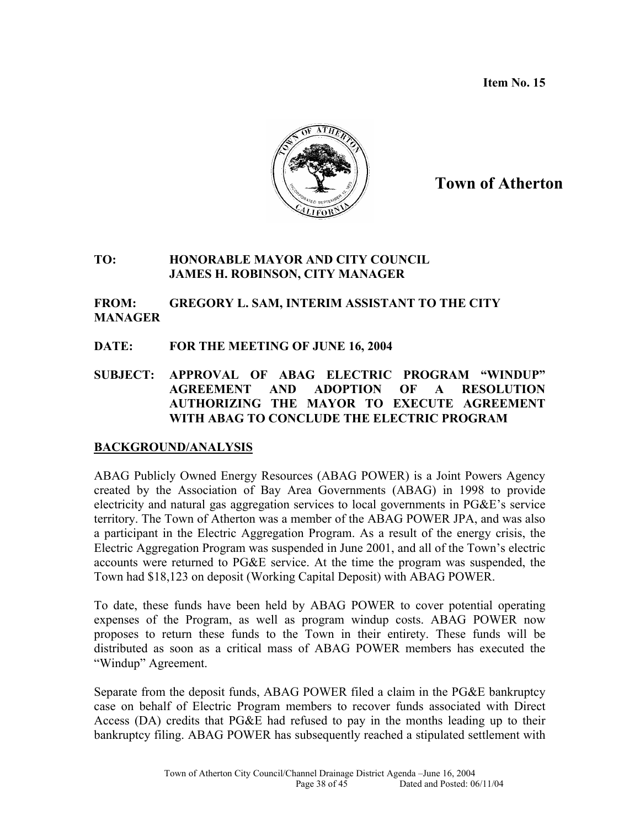**Item No. 15** 



# **Town of Atherton**

### **TO: HONORABLE MAYOR AND CITY COUNCIL JAMES H. ROBINSON, CITY MANAGER**

### **FROM: GREGORY L. SAM, INTERIM ASSISTANT TO THE CITY MANAGER**

### **DATE: FOR THE MEETING OF JUNE 16, 2004**

**SUBJECT: APPROVAL OF ABAG ELECTRIC PROGRAM "WINDUP" AGREEMENT AND ADOPTION OF A RESOLUTION AUTHORIZING THE MAYOR TO EXECUTE AGREEMENT WITH ABAG TO CONCLUDE THE ELECTRIC PROGRAM** 

### **BACKGROUND/ANALYSIS**

ABAG Publicly Owned Energy Resources (ABAG POWER) is a Joint Powers Agency created by the Association of Bay Area Governments (ABAG) in 1998 to provide electricity and natural gas aggregation services to local governments in PG&E's service territory. The Town of Atherton was a member of the ABAG POWER JPA, and was also a participant in the Electric Aggregation Program. As a result of the energy crisis, the Electric Aggregation Program was suspended in June 2001, and all of the Town's electric accounts were returned to PG&E service. At the time the program was suspended, the Town had \$18,123 on deposit (Working Capital Deposit) with ABAG POWER.

To date, these funds have been held by ABAG POWER to cover potential operating expenses of the Program, as well as program windup costs. ABAG POWER now proposes to return these funds to the Town in their entirety. These funds will be distributed as soon as a critical mass of ABAG POWER members has executed the "Windup" Agreement.

Separate from the deposit funds, ABAG POWER filed a claim in the PG&E bankruptcy case on behalf of Electric Program members to recover funds associated with Direct Access (DA) credits that PG&E had refused to pay in the months leading up to their bankruptcy filing. ABAG POWER has subsequently reached a stipulated settlement with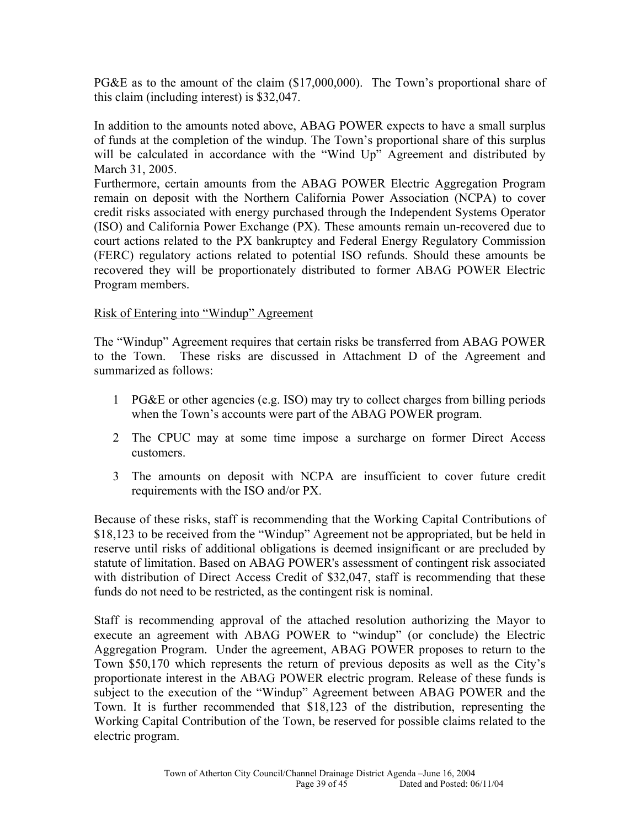PG&E as to the amount of the claim (\$17,000,000). The Town's proportional share of this claim (including interest) is \$32,047.

In addition to the amounts noted above, ABAG POWER expects to have a small surplus of funds at the completion of the windup. The Town's proportional share of this surplus will be calculated in accordance with the "Wind Up" Agreement and distributed by March 31, 2005.

Furthermore, certain amounts from the ABAG POWER Electric Aggregation Program remain on deposit with the Northern California Power Association (NCPA) to cover credit risks associated with energy purchased through the Independent Systems Operator (ISO) and California Power Exchange (PX). These amounts remain un-recovered due to court actions related to the PX bankruptcy and Federal Energy Regulatory Commission (FERC) regulatory actions related to potential ISO refunds. Should these amounts be recovered they will be proportionately distributed to former ABAG POWER Electric Program members.

### Risk of Entering into "Windup" Agreement

The "Windup" Agreement requires that certain risks be transferred from ABAG POWER to the Town. These risks are discussed in Attachment D of the Agreement and summarized as follows:

- 1 PG&E or other agencies (e.g. ISO) may try to collect charges from billing periods when the Town's accounts were part of the ABAG POWER program.
- 2 The CPUC may at some time impose a surcharge on former Direct Access customers.
- 3 The amounts on deposit with NCPA are insufficient to cover future credit requirements with the ISO and/or PX.

Because of these risks, staff is recommending that the Working Capital Contributions of \$18,123 to be received from the "Windup" Agreement not be appropriated, but be held in reserve until risks of additional obligations is deemed insignificant or are precluded by statute of limitation. Based on ABAG POWER's assessment of contingent risk associated with distribution of Direct Access Credit of \$32,047, staff is recommending that these funds do not need to be restricted, as the contingent risk is nominal.

Staff is recommending approval of the attached resolution authorizing the Mayor to execute an agreement with ABAG POWER to "windup" (or conclude) the Electric Aggregation Program. Under the agreement, ABAG POWER proposes to return to the Town \$50,170 which represents the return of previous deposits as well as the City's proportionate interest in the ABAG POWER electric program. Release of these funds is subject to the execution of the "Windup" Agreement between ABAG POWER and the Town. It is further recommended that \$18,123 of the distribution, representing the Working Capital Contribution of the Town, be reserved for possible claims related to the electric program.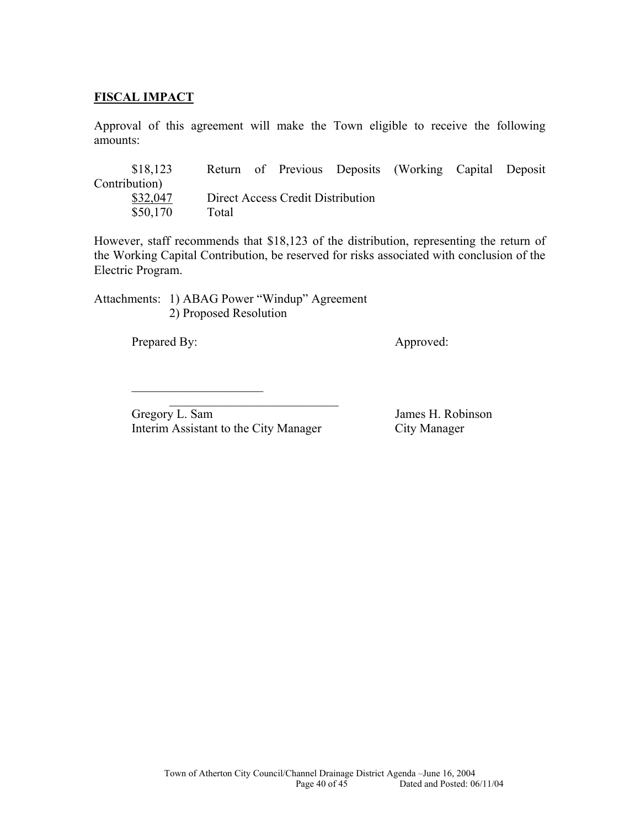### **FISCAL IMPACT**

Approval of this agreement will make the Town eligible to receive the following amounts:

| \$18,123      |       |                                   | Return of Previous Deposits (Working Capital Deposit |  |
|---------------|-------|-----------------------------------|------------------------------------------------------|--|
| Contribution) |       |                                   |                                                      |  |
| \$32,047      |       | Direct Access Credit Distribution |                                                      |  |
| \$50,170      | Total |                                   |                                                      |  |

However, staff recommends that \$18,123 of the distribution, representing the return of the Working Capital Contribution, be reserved for risks associated with conclusion of the Electric Program.

Attachments: 1) ABAG Power "Windup" Agreement 2) Proposed Resolution

Prepared By: Approved:

 $\mathcal{L}_\text{max} = \frac{1}{2} \sum_{i=1}^{n} \frac{1}{2} \sum_{i=1}^{n} \frac{1}{2} \sum_{i=1}^{n} \frac{1}{2} \sum_{i=1}^{n} \frac{1}{2} \sum_{i=1}^{n} \frac{1}{2} \sum_{i=1}^{n} \frac{1}{2} \sum_{i=1}^{n} \frac{1}{2} \sum_{i=1}^{n} \frac{1}{2} \sum_{i=1}^{n} \frac{1}{2} \sum_{i=1}^{n} \frac{1}{2} \sum_{i=1}^{n} \frac{1}{2} \sum_{i=1}^{n} \frac{1$ Gregory L. Sam James H. Robinson Interim Assistant to the City Manager City Manager

 $\mathcal{L}_\text{max}$  , where  $\mathcal{L}_\text{max}$  , we have the set of  $\mathcal{L}_\text{max}$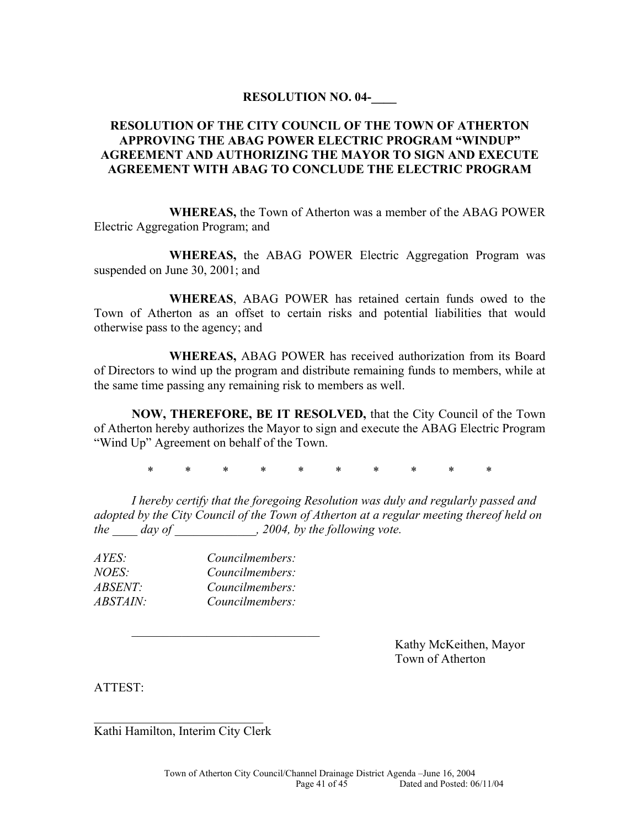### **RESOLUTION NO. 04-\_\_\_\_**

### **RESOLUTION OF THE CITY COUNCIL OF THE TOWN OF ATHERTON APPROVING THE ABAG POWER ELECTRIC PROGRAM "WINDUP" AGREEMENT AND AUTHORIZING THE MAYOR TO SIGN AND EXECUTE AGREEMENT WITH ABAG TO CONCLUDE THE ELECTRIC PROGRAM**

 **WHEREAS,** the Town of Atherton was a member of the ABAG POWER Electric Aggregation Program; and

**WHEREAS,** the ABAG POWER Electric Aggregation Program was suspended on June 30, 2001; and

 **WHEREAS**, ABAG POWER has retained certain funds owed to the Town of Atherton as an offset to certain risks and potential liabilities that would otherwise pass to the agency; and

 **WHEREAS,** ABAG POWER has received authorization from its Board of Directors to wind up the program and distribute remaining funds to members, while at the same time passing any remaining risk to members as well.

**NOW, THEREFORE, BE IT RESOLVED,** that the City Council of the Town of Atherton hereby authorizes the Mayor to sign and execute the ABAG Electric Program "Wind Up" Agreement on behalf of the Town.

\* \* \* \* \* \* \* \* \* \*

*I hereby certify that the foregoing Resolution was duly and regularly passed and adopted by the City Council of the Town of Atherton at a regular meeting thereof held on the \_\_\_\_ day of \_\_\_\_\_\_\_\_\_\_\_\_\_, 2004, by the following vote.* 

| AYES:           | Councilmembers: |
|-----------------|-----------------|
| <i>NOES:</i>    | Councilmembers: |
| <i>ABSENT:</i>  | Councilmembers: |
| <i>ABSTAIN:</i> | Councilmembers: |

 Kathy McKeithen, Mayor Town of Atherton

ATTEST:

 $\mathcal{L}=\mathcal{L}=\mathcal{L}=\mathcal{L}=\mathcal{L}=\mathcal{L}=\mathcal{L}=\mathcal{L}=\mathcal{L}=\mathcal{L}=\mathcal{L}=\mathcal{L}=\mathcal{L}=\mathcal{L}=\mathcal{L}=\mathcal{L}=\mathcal{L}=\mathcal{L}=\mathcal{L}=\mathcal{L}=\mathcal{L}=\mathcal{L}=\mathcal{L}=\mathcal{L}=\mathcal{L}=\mathcal{L}=\mathcal{L}=\mathcal{L}=\mathcal{L}=\mathcal{L}=\mathcal{L}=\mathcal{L}=\mathcal{L}=\mathcal{L}=\mathcal{L}=\mathcal{L}=\mathcal{$ Kathi Hamilton, Interim City Clerk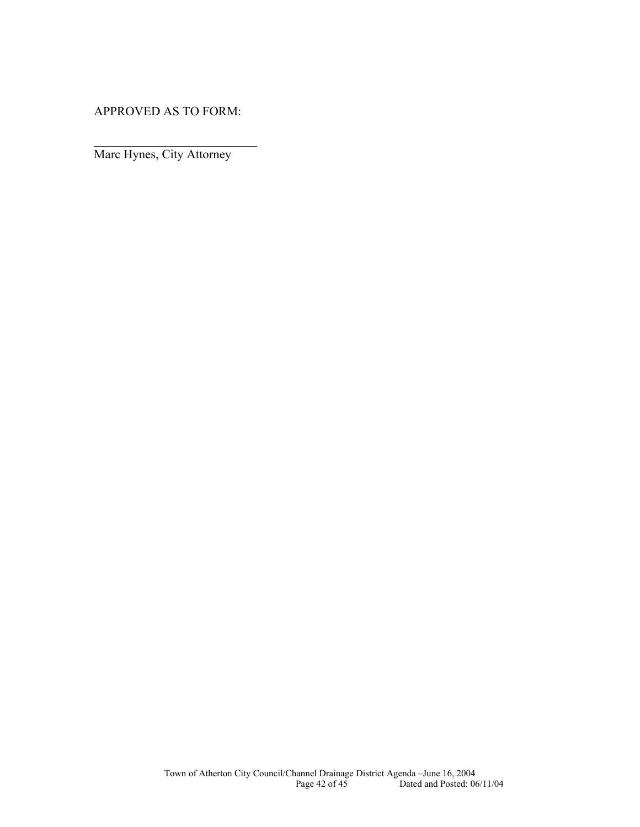APPROVED AS TO FORM:

*\_\_\_\_\_\_\_\_\_\_\_\_\_\_\_\_\_\_\_\_\_\_\_\_\_\_* 

Marc Hynes, City Attorney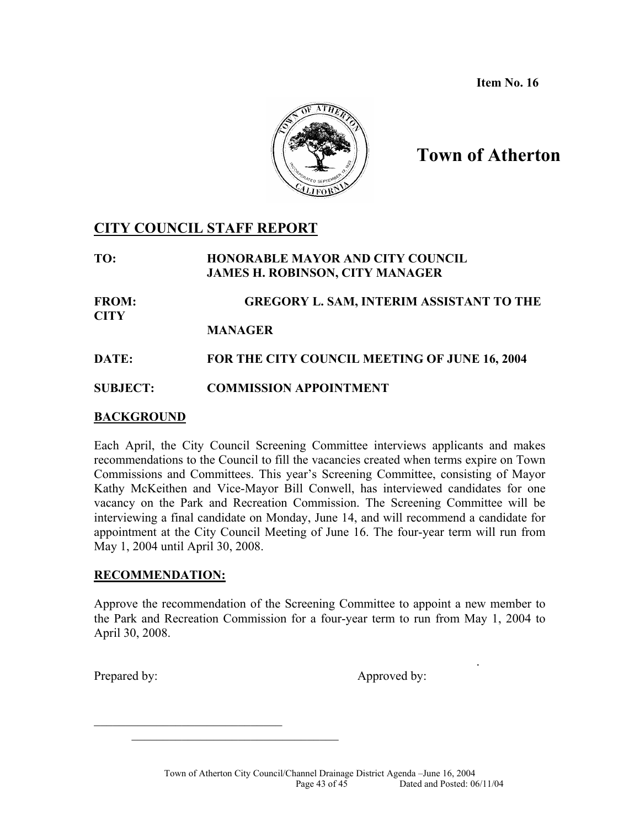**Item No. 16**



# **Town of Atherton**

# **CITY COUNCIL STAFF REPORT**

**TO: HONORABLE MAYOR AND CITY COUNCIL JAMES H. ROBINSON, CITY MANAGER**

**FROM: GREGORY L. SAM, INTERIM ASSISTANT TO THE CITY** 

 **MANAGER**

**DATE: FOR THE CITY COUNCIL MEETING OF JUNE 16, 2004** 

**SUBJECT: COMMISSION APPOINTMENT** 

### **BACKGROUND**

Each April, the City Council Screening Committee interviews applicants and makes recommendations to the Council to fill the vacancies created when terms expire on Town Commissions and Committees. This year's Screening Committee, consisting of Mayor Kathy McKeithen and Vice-Mayor Bill Conwell, has interviewed candidates for one vacancy on the Park and Recreation Commission. The Screening Committee will be interviewing a final candidate on Monday, June 14, and will recommend a candidate for appointment at the City Council Meeting of June 16. The four-year term will run from May 1, 2004 until April 30, 2008.

### **RECOMMENDATION:**

 $\mathcal{L}_\text{max}$  , where  $\mathcal{L}_\text{max}$  and  $\mathcal{L}_\text{max}$ 

\_\_\_\_\_\_\_\_\_\_\_\_\_\_\_\_\_\_\_\_\_\_\_\_\_\_\_\_\_\_\_\_\_

Approve the recommendation of the Screening Committee to appoint a new member to the Park and Recreation Commission for a four-year term to run from May 1, 2004 to April 30, 2008.

.

Prepared by: Approved by: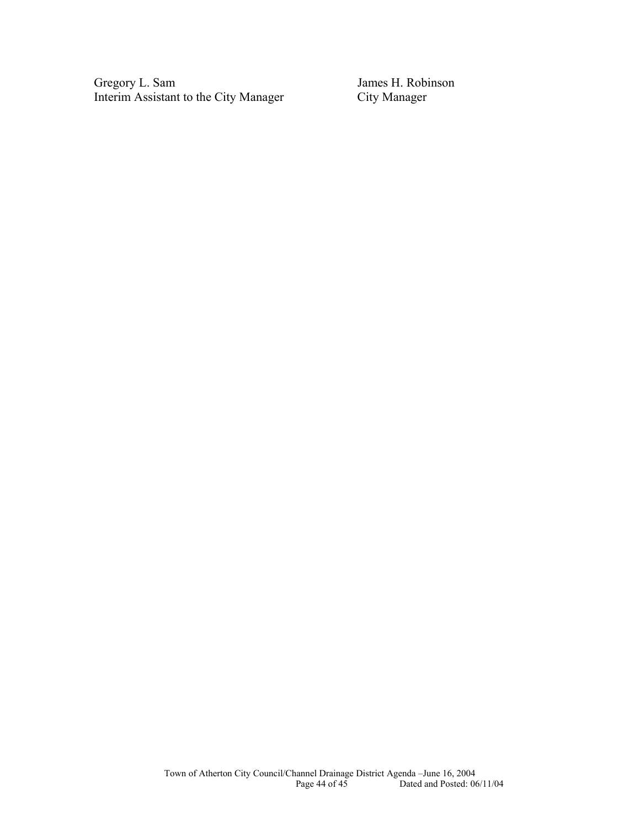Gregory L. Sam James H. Robinson<br>Interim Assistant to the City Manager City Manager Interim Assistant to the City Manager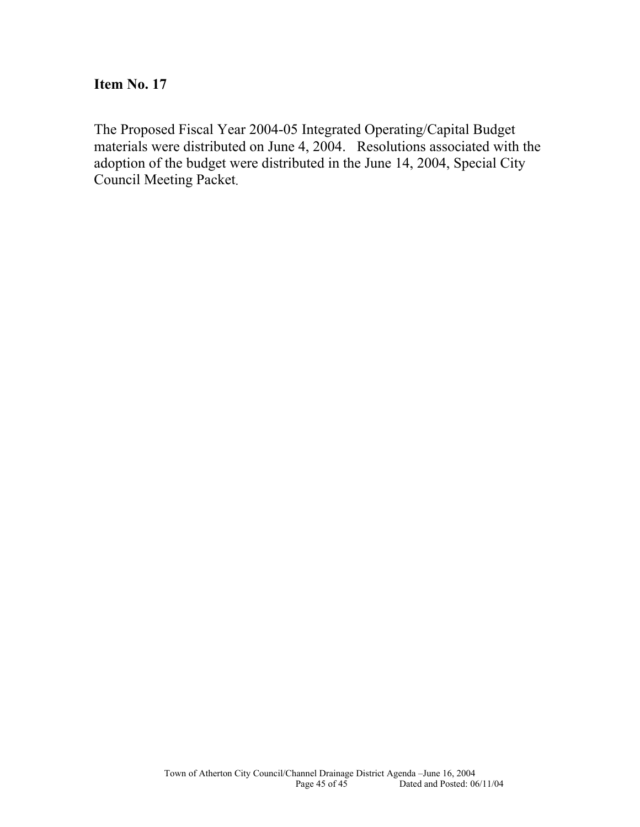# **Item No. 17**

The Proposed Fiscal Year 2004-05 Integrated Operating/Capital Budget materials were distributed on June 4, 2004. Resolutions associated with the adoption of the budget were distributed in the June 14, 2004, Special City Council Meeting Packet.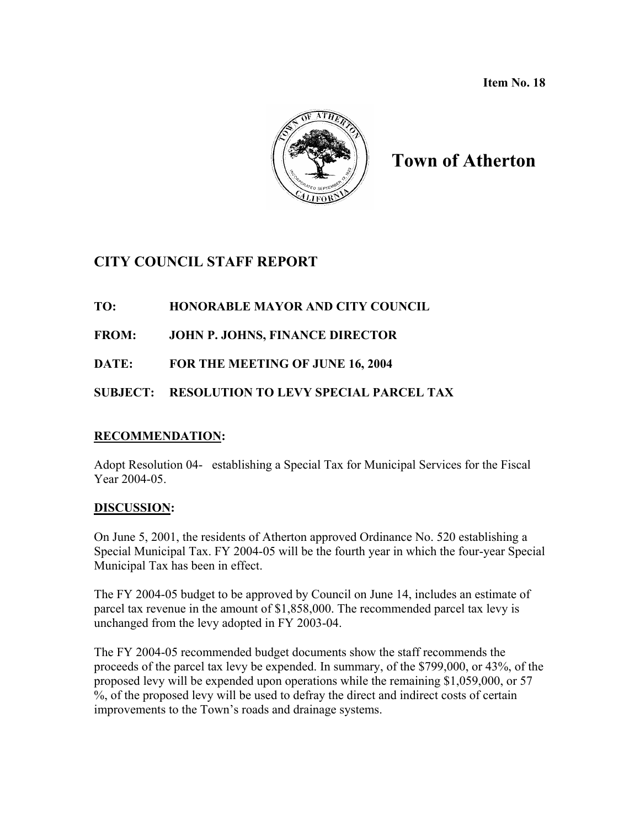**Item No. 18** 



# **Town of Atherton**

# **CITY COUNCIL STAFF REPORT**

# **TO: HONORABLE MAYOR AND CITY COUNCIL**

**FROM: JOHN P. JOHNS, FINANCE DIRECTOR** 

**DATE: FOR THE MEETING OF JUNE 16, 2004** 

# **SUBJECT: RESOLUTION TO LEVY SPECIAL PARCEL TAX**

### **RECOMMENDATION:**

Adopt Resolution 04- establishing a Special Tax for Municipal Services for the Fiscal Year 2004-05.

### **DISCUSSION:**

On June 5, 2001, the residents of Atherton approved Ordinance No. 520 establishing a Special Municipal Tax. FY 2004-05 will be the fourth year in which the four-year Special Municipal Tax has been in effect.

The FY 2004-05 budget to be approved by Council on June 14, includes an estimate of parcel tax revenue in the amount of \$1,858,000. The recommended parcel tax levy is unchanged from the levy adopted in FY 2003-04.

The FY 2004-05 recommended budget documents show the staff recommends the proceeds of the parcel tax levy be expended. In summary, of the \$799,000, or 43%, of the proposed levy will be expended upon operations while the remaining \$1,059,000, or 57 %, of the proposed levy will be used to defray the direct and indirect costs of certain improvements to the Town's roads and drainage systems.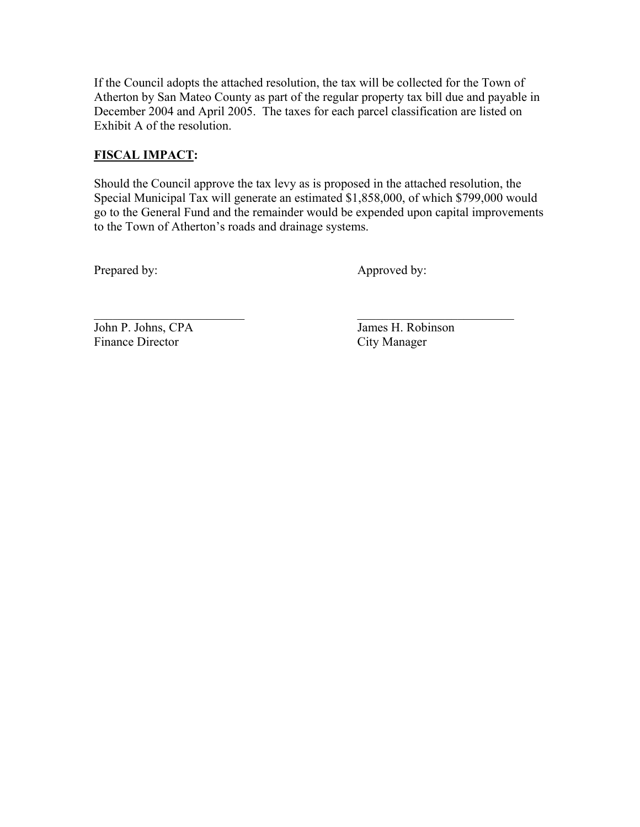If the Council adopts the attached resolution, the tax will be collected for the Town of Atherton by San Mateo County as part of the regular property tax bill due and payable in December 2004 and April 2005. The taxes for each parcel classification are listed on Exhibit A of the resolution.

# **FISCAL IMPACT:**

Should the Council approve the tax levy as is proposed in the attached resolution, the Special Municipal Tax will generate an estimated \$1,858,000, of which \$799,000 would go to the General Fund and the remainder would be expended upon capital improvements to the Town of Atherton's roads and drainage systems.

 $\mathcal{L}_\text{max}$  , and the contract of the contract of the contract of the contract of the contract of the contract of

Prepared by: Approved by:

John P. Johns, CPA James H. Robinson Finance Director City Manager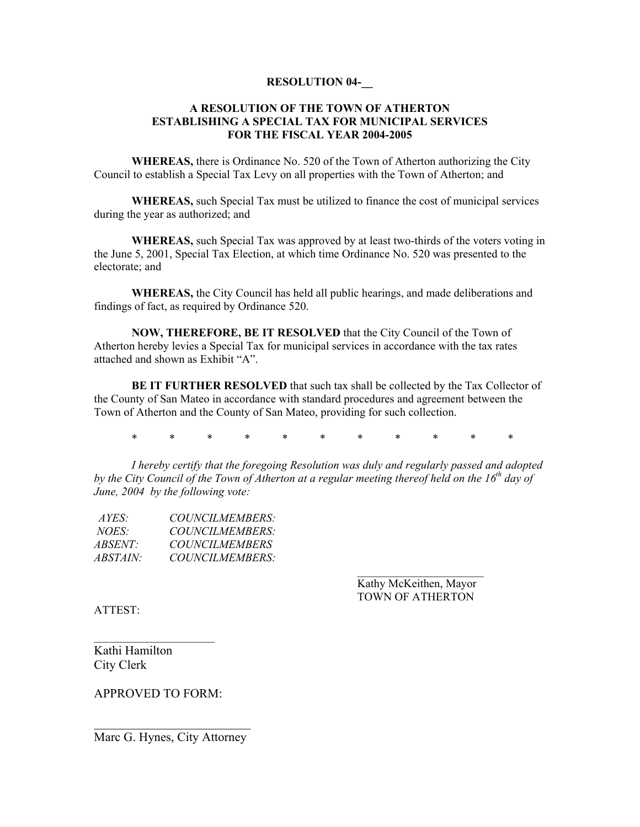#### **RESOLUTION 04-\_\_**

#### **A RESOLUTION OF THE TOWN OF ATHERTON ESTABLISHING A SPECIAL TAX FOR MUNICIPAL SERVICES FOR THE FISCAL YEAR 2004-2005**

 **WHEREAS,** there is Ordinance No. 520 of the Town of Atherton authorizing the City Council to establish a Special Tax Levy on all properties with the Town of Atherton; and

**WHEREAS,** such Special Tax must be utilized to finance the cost of municipal services during the year as authorized; and

**WHEREAS,** such Special Tax was approved by at least two-thirds of the voters voting in the June 5, 2001, Special Tax Election, at which time Ordinance No. 520 was presented to the electorate; and

**WHEREAS,** the City Council has held all public hearings, and made deliberations and findings of fact, as required by Ordinance 520.

**NOW, THEREFORE, BE IT RESOLVED** that the City Council of the Town of Atherton hereby levies a Special Tax for municipal services in accordance with the tax rates attached and shown as Exhibit "A".

**BE IT FURTHER RESOLVED** that such tax shall be collected by the Tax Collector of the County of San Mateo in accordance with standard procedures and agreement between the Town of Atherton and the County of San Mateo, providing for such collection.

\* \* \* \* \* \* \* \* \* \* \*

*I hereby certify that the foregoing Resolution was duly and regularly passed and adopted*  by the City Council of the Town of Atherton at a regular meeting thereof held on the 16<sup>th</sup> day of *June, 2004 by the following vote:* 

| $AYES^*$        | <i>COUNCILMEMBERS:</i> |
|-----------------|------------------------|
| <i>NOES</i>     | <i>COUNCILMEMBERS:</i> |
| <i>ABSENT:</i>  | <i>COUNCILMEMBERS</i>  |
| <i>ABSTAIN:</i> | <i>COUNCILMEMBERS:</i> |

 Kathy McKeithen, Mayor TOWN OF ATHERTON

ATTEST:

Kathi Hamilton City Clerk

APPROVED TO FORM:

 $\mathcal{L}_\text{max}$ 

 $\mathcal{L}_\text{max}$  , where  $\mathcal{L}_\text{max}$  , we have the set of  $\mathcal{L}_\text{max}$ Marc G. Hynes, City Attorney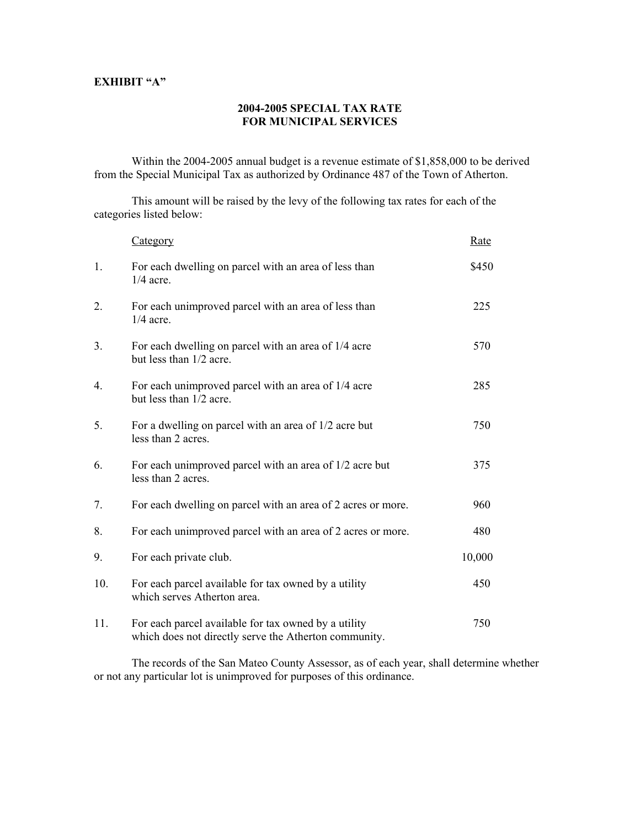### **EXHIBIT "A"**

#### **2004-2005 SPECIAL TAX RATE FOR MUNICIPAL SERVICES**

Within the 2004-2005 annual budget is a revenue estimate of \$1,858,000 to be derived from the Special Municipal Tax as authorized by Ordinance 487 of the Town of Atherton.

This amount will be raised by the levy of the following tax rates for each of the categories listed below:

|     | Category                                                                                                      | <b>Rate</b> |
|-----|---------------------------------------------------------------------------------------------------------------|-------------|
| 1.  | For each dwelling on parcel with an area of less than<br>$1/4$ acre.                                          | \$450       |
| 2.  | For each unimproved parcel with an area of less than<br>$1/4$ acre.                                           | 225         |
| 3.  | For each dwelling on parcel with an area of 1/4 acre<br>but less than 1/2 acre.                               | 570         |
| 4.  | For each unimproved parcel with an area of 1/4 acre<br>but less than 1/2 acre.                                | 285         |
| 5.  | For a dwelling on parcel with an area of 1/2 acre but<br>less than 2 acres.                                   | 750         |
| 6.  | For each unimproved parcel with an area of 1/2 acre but<br>less than 2 acres.                                 | 375         |
| 7.  | For each dwelling on parcel with an area of 2 acres or more.                                                  | 960         |
| 8.  | For each unimproved parcel with an area of 2 acres or more.                                                   | 480         |
| 9.  | For each private club.                                                                                        | 10,000      |
| 10. | For each parcel available for tax owned by a utility<br>which serves Atherton area.                           | 450         |
| 11. | For each parcel available for tax owned by a utility<br>which does not directly serve the Atherton community. | 750         |

The records of the San Mateo County Assessor, as of each year, shall determine whether or not any particular lot is unimproved for purposes of this ordinance.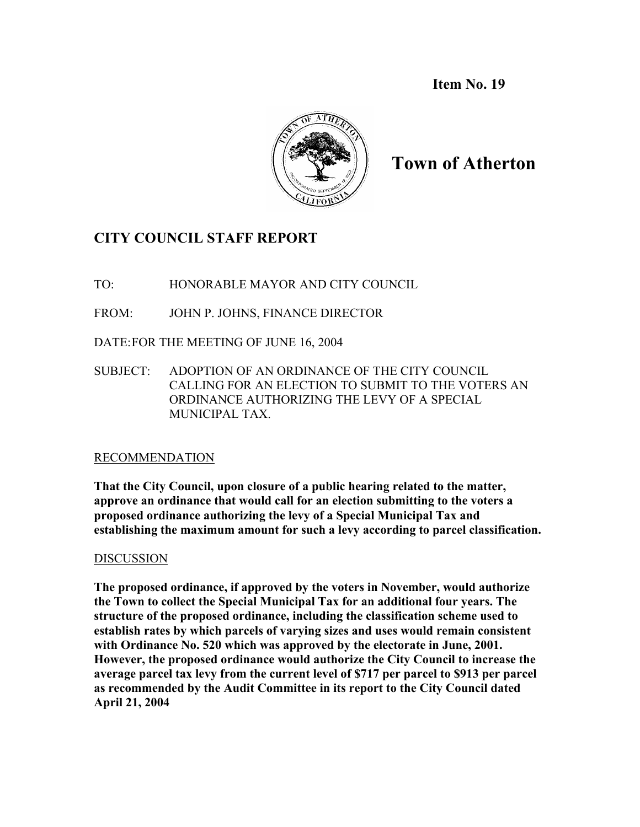**Item No. 19**



# **Town of Atherton**

# **CITY COUNCIL STAFF REPORT**

TO: HONORABLE MAYOR AND CITY COUNCIL

FROM: JOHN P. JOHNS, FINANCE DIRECTOR

DATE:FOR THE MEETING OF JUNE 16, 2004

SUBJECT: ADOPTION OF AN ORDINANCE OF THE CITY COUNCIL CALLING FOR AN ELECTION TO SUBMIT TO THE VOTERS AN ORDINANCE AUTHORIZING THE LEVY OF A SPECIAL MUNICIPAL TAX.

# RECOMMENDATION

**That the City Council, upon closure of a public hearing related to the matter, approve an ordinance that would call for an election submitting to the voters a proposed ordinance authorizing the levy of a Special Municipal Tax and establishing the maximum amount for such a levy according to parcel classification.** 

# DISCUSSION

**The proposed ordinance, if approved by the voters in November, would authorize the Town to collect the Special Municipal Tax for an additional four years. The structure of the proposed ordinance, including the classification scheme used to establish rates by which parcels of varying sizes and uses would remain consistent with Ordinance No. 520 which was approved by the electorate in June, 2001. However, the proposed ordinance would authorize the City Council to increase the average parcel tax levy from the current level of \$717 per parcel to \$913 per parcel as recommended by the Audit Committee in its report to the City Council dated April 21, 2004**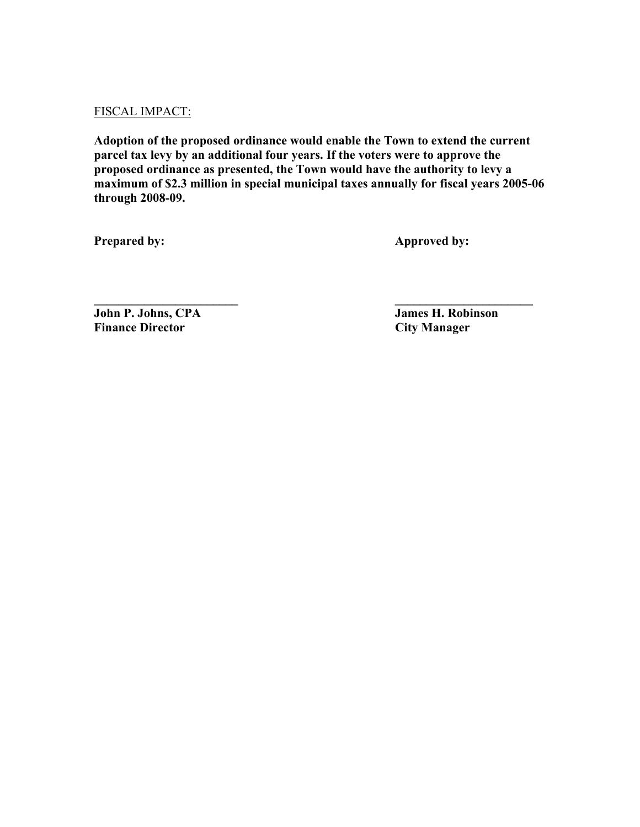### FISCAL IMPACT:

**Adoption of the proposed ordinance would enable the Town to extend the current parcel tax levy by an additional four years. If the voters were to approve the proposed ordinance as presented, the Town would have the authority to levy a maximum of \$2.3 million in special municipal taxes annually for fiscal years 2005-06 through 2008-09.** 

**\_\_\_\_\_\_\_\_\_\_\_\_\_\_\_\_\_\_\_\_\_\_\_ \_\_\_\_\_\_\_\_\_\_\_\_\_\_\_\_\_\_\_\_\_\_** 

**Prepared by: Approved by: Approved by:** 

**John P. Johns, CPA** James H. Robinson **Finance Director** City Manager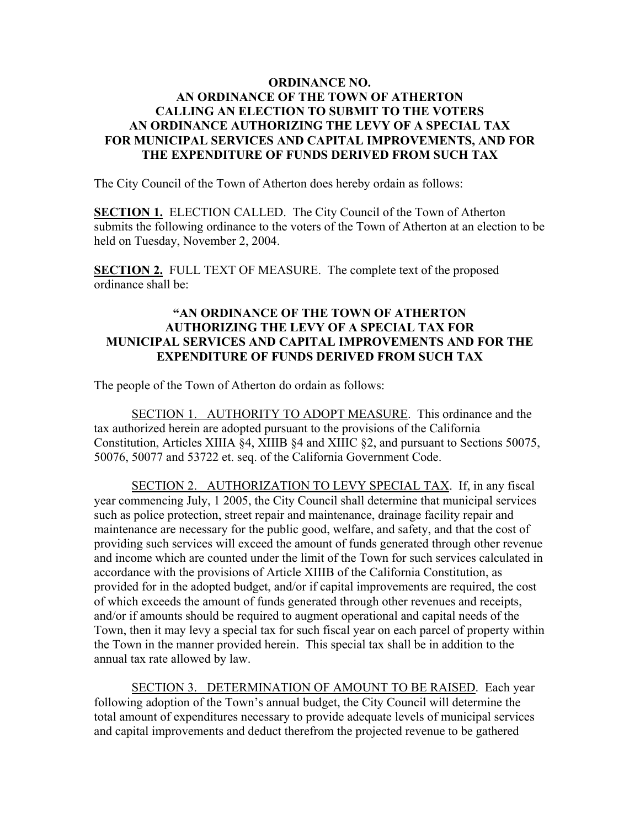### **ORDINANCE NO. AN ORDINANCE OF THE TOWN OF ATHERTON CALLING AN ELECTION TO SUBMIT TO THE VOTERS AN ORDINANCE AUTHORIZING THE LEVY OF A SPECIAL TAX FOR MUNICIPAL SERVICES AND CAPITAL IMPROVEMENTS, AND FOR THE EXPENDITURE OF FUNDS DERIVED FROM SUCH TAX**

The City Council of the Town of Atherton does hereby ordain as follows:

**SECTION 1.** ELECTION CALLED. The City Council of the Town of Atherton submits the following ordinance to the voters of the Town of Atherton at an election to be held on Tuesday, November 2, 2004.

**SECTION 2.** FULL TEXT OF MEASURE. The complete text of the proposed ordinance shall be:

### **"AN ORDINANCE OF THE TOWN OF ATHERTON AUTHORIZING THE LEVY OF A SPECIAL TAX FOR MUNICIPAL SERVICES AND CAPITAL IMPROVEMENTS AND FOR THE EXPENDITURE OF FUNDS DERIVED FROM SUCH TAX**

The people of the Town of Atherton do ordain as follows:

SECTION 1. AUTHORITY TO ADOPT MEASURE. This ordinance and the tax authorized herein are adopted pursuant to the provisions of the California Constitution, Articles XIIIA §4, XIIIB §4 and XIIIC §2, and pursuant to Sections 50075, 50076, 50077 and 53722 et. seq. of the California Government Code.

SECTION 2. AUTHORIZATION TO LEVY SPECIAL TAX. If, in any fiscal year commencing July, 1 2005, the City Council shall determine that municipal services such as police protection, street repair and maintenance, drainage facility repair and maintenance are necessary for the public good, welfare, and safety, and that the cost of providing such services will exceed the amount of funds generated through other revenue and income which are counted under the limit of the Town for such services calculated in accordance with the provisions of Article XIIIB of the California Constitution, as provided for in the adopted budget, and/or if capital improvements are required, the cost of which exceeds the amount of funds generated through other revenues and receipts, and/or if amounts should be required to augment operational and capital needs of the Town, then it may levy a special tax for such fiscal year on each parcel of property within the Town in the manner provided herein. This special tax shall be in addition to the annual tax rate allowed by law.

SECTION 3. DETERMINATION OF AMOUNT TO BE RAISED. Each year following adoption of the Town's annual budget, the City Council will determine the total amount of expenditures necessary to provide adequate levels of municipal services and capital improvements and deduct therefrom the projected revenue to be gathered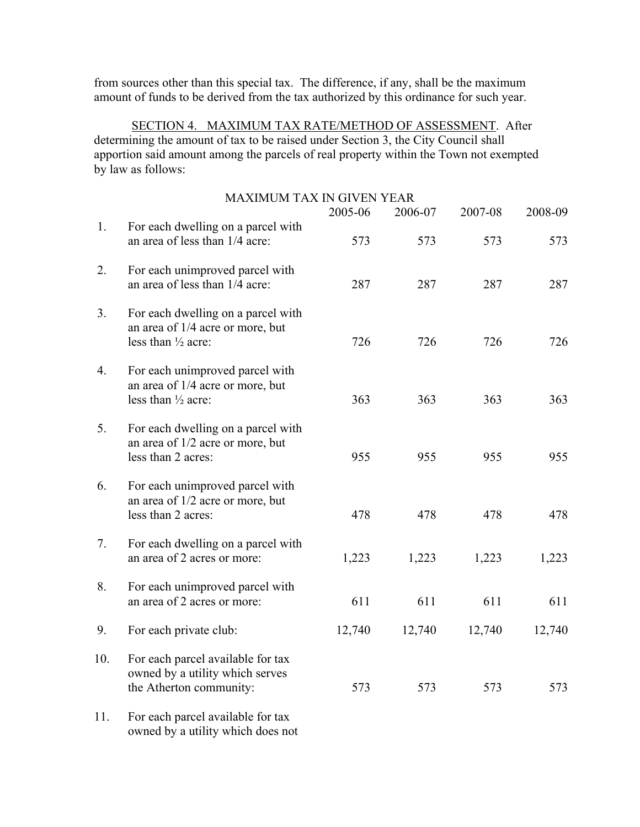from sources other than this special tax. The difference, if any, shall be the maximum amount of funds to be derived from the tax authorized by this ordinance for such year.

SECTION 4. MAXIMUM TAX RATE/METHOD OF ASSESSMENT. After determining the amount of tax to be raised under Section 3, the City Council shall apportion said amount among the parcels of real property within the Town not exempted by law as follows:

|     | <b>MAXIMUM TAX IN GIVEN YEAR</b>                                                                        | 2005-06 | 2006-07 | 2007-08 | 2008-09 |
|-----|---------------------------------------------------------------------------------------------------------|---------|---------|---------|---------|
| 1.  | For each dwelling on a parcel with<br>an area of less than 1/4 acre:                                    | 573     | 573     | 573     | 573     |
| 2.  | For each unimproved parcel with<br>an area of less than 1/4 acre:                                       | 287     | 287     | 287     | 287     |
| 3.  | For each dwelling on a parcel with<br>an area of 1/4 acre or more, but<br>less than $\frac{1}{2}$ acre: | 726     | 726     | 726     | 726     |
| 4.  | For each unimproved parcel with<br>an area of 1/4 acre or more, but<br>less than 1/2 acre:              | 363     | 363     | 363     | 363     |
| 5.  | For each dwelling on a parcel with<br>an area of 1/2 acre or more, but<br>less than 2 acres:            | 955     | 955     | 955     | 955     |
| 6.  | For each unimproved parcel with<br>an area of 1/2 acre or more, but<br>less than 2 acres:               | 478     | 478     | 478     | 478     |
| 7.  | For each dwelling on a parcel with<br>an area of 2 acres or more:                                       | 1,223   | 1,223   | 1,223   | 1,223   |
| 8.  | For each unimproved parcel with<br>an area of 2 acres or more:                                          | 611     | 611     | 611     | 611     |
| 9.  | For each private club:                                                                                  | 12,740  | 12,740  | 12,740  | 12,740  |
| 10. | For each parcel available for tax<br>owned by a utility which serves<br>the Atherton community:         | 573     | 573     | 573     | 573     |
|     | $\sim$ 1 $\sim$ 11 $\sim$<br>$\mathbf{r}$ 1                                                             |         |         |         |         |

11. For each parcel available for tax owned by a utility which does not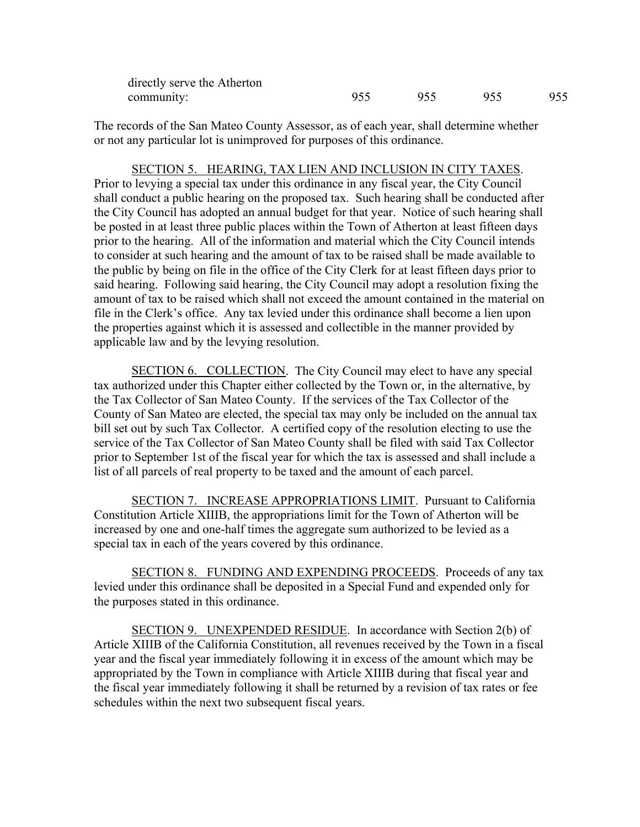| directly serve the Atherton |     |  |     |
|-----------------------------|-----|--|-----|
| community:                  | 955 |  | 955 |

The records of the San Mateo County Assessor, as of each year, shall determine whether or not any particular lot is unimproved for purposes of this ordinance.

SECTION 5. HEARING, TAX LIEN AND INCLUSION IN CITY TAXES. Prior to levying a special tax under this ordinance in any fiscal year, the City Council shall conduct a public hearing on the proposed tax. Such hearing shall be conducted after the City Council has adopted an annual budget for that year. Notice of such hearing shall be posted in at least three public places within the Town of Atherton at least fifteen days prior to the hearing. All of the information and material which the City Council intends to consider at such hearing and the amount of tax to be raised shall be made available to the public by being on file in the office of the City Clerk for at least fifteen days prior to said hearing. Following said hearing, the City Council may adopt a resolution fixing the amount of tax to be raised which shall not exceed the amount contained in the material on file in the Clerk's office. Any tax levied under this ordinance shall become a lien upon the properties against which it is assessed and collectible in the manner provided by applicable law and by the levying resolution.

SECTION 6. COLLECTION. The City Council may elect to have any special tax authorized under this Chapter either collected by the Town or, in the alternative, by the Tax Collector of San Mateo County. If the services of the Tax Collector of the County of San Mateo are elected, the special tax may only be included on the annual tax bill set out by such Tax Collector. A certified copy of the resolution electing to use the service of the Tax Collector of San Mateo County shall be filed with said Tax Collector prior to September 1st of the fiscal year for which the tax is assessed and shall include a list of all parcels of real property to be taxed and the amount of each parcel.

SECTION 7. INCREASE APPROPRIATIONS LIMIT. Pursuant to California Constitution Article XIIIB, the appropriations limit for the Town of Atherton will be increased by one and one-half times the aggregate sum authorized to be levied as a special tax in each of the years covered by this ordinance.

SECTION 8. FUNDING AND EXPENDING PROCEEDS. Proceeds of any tax levied under this ordinance shall be deposited in a Special Fund and expended only for the purposes stated in this ordinance.

SECTION 9. UNEXPENDED RESIDUE. In accordance with Section 2(b) of Article XIIIB of the California Constitution, all revenues received by the Town in a fiscal year and the fiscal year immediately following it in excess of the amount which may be appropriated by the Town in compliance with Article XIIIB during that fiscal year and the fiscal year immediately following it shall be returned by a revision of tax rates or fee schedules within the next two subsequent fiscal years.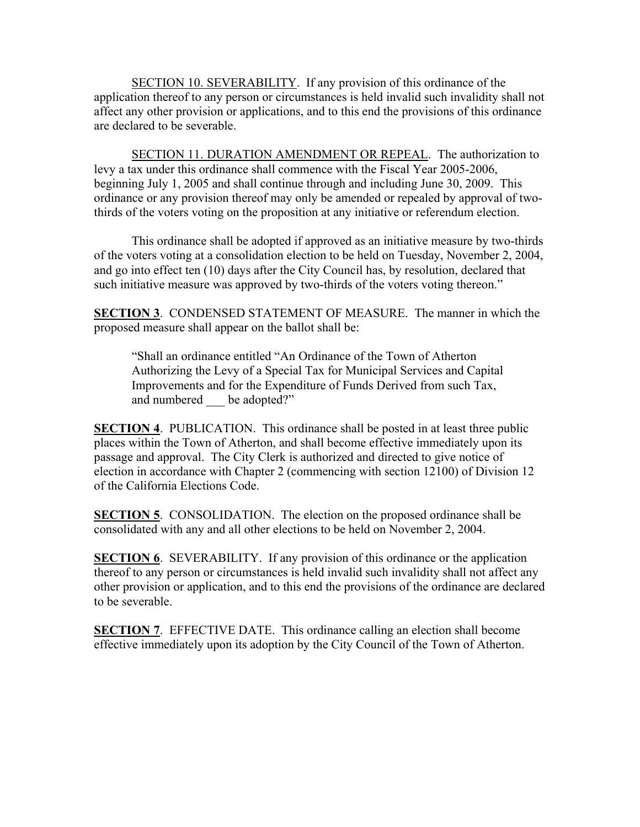SECTION 10. SEVERABILITY. If any provision of this ordinance of the application thereof to any person or circumstances is held invalid such invalidity shall not affect any other provision or applications, and to this end the provisions of this ordinance are declared to be severable.

SECTION 11. DURATION AMENDMENT OR REPEAL. The authorization to levy a tax under this ordinance shall commence with the Fiscal Year 2005-2006, beginning July 1, 2005 and shall continue through and including June 30, 2009. This ordinance or any provision thereof may only be amended or repealed by approval of twothirds of the voters voting on the proposition at any initiative or referendum election.

This ordinance shall be adopted if approved as an initiative measure by two-thirds of the voters voting at a consolidation election to be held on Tuesday, November 2, 2004, and go into effect ten (10) days after the City Council has, by resolution, declared that such initiative measure was approved by two-thirds of the voters voting thereon."

**SECTION 3**. CONDENSED STATEMENT OF MEASURE. The manner in which the proposed measure shall appear on the ballot shall be:

"Shall an ordinance entitled "An Ordinance of the Town of Atherton Authorizing the Levy of a Special Tax for Municipal Services and Capital Improvements and for the Expenditure of Funds Derived from such Tax, and numbered be adopted?"

**SECTION 4. PUBLICATION.** This ordinance shall be posted in at least three public places within the Town of Atherton, and shall become effective immediately upon its passage and approval. The City Clerk is authorized and directed to give notice of election in accordance with Chapter 2 (commencing with section 12100) of Division 12 of the California Elections Code.

**SECTION 5**. CONSOLIDATION. The election on the proposed ordinance shall be consolidated with any and all other elections to be held on November 2, 2004.

**SECTION 6.** SEVERABILITY. If any provision of this ordinance or the application thereof to any person or circumstances is held invalid such invalidity shall not affect any other provision or application, and to this end the provisions of the ordinance are declared to be severable.

**SECTION 7**. EFFECTIVE DATE. This ordinance calling an election shall become effective immediately upon its adoption by the City Council of the Town of Atherton.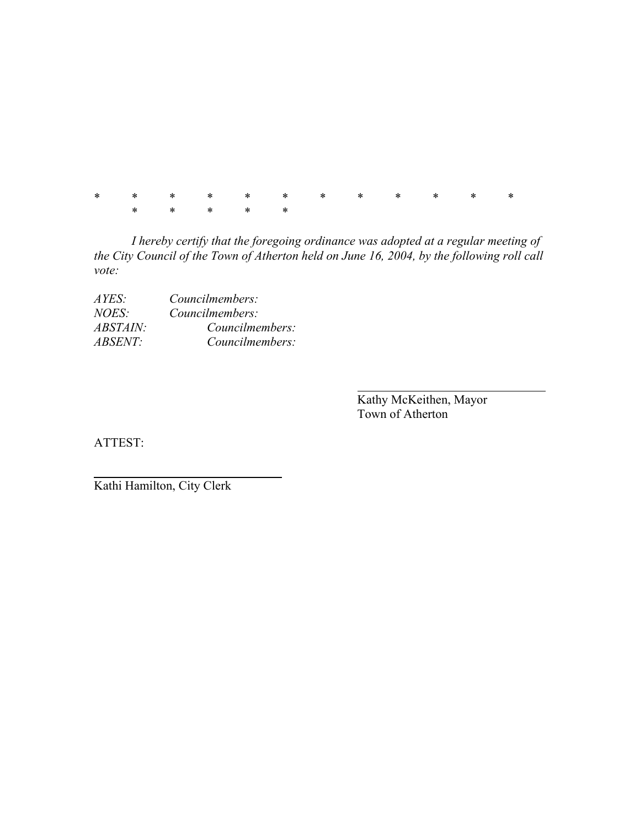\* \* \* \* \* \* \* \* \* \* \* \* \* \* \* \* \*

*I hereby certify that the foregoing ordinance was adopted at a regular meeting of the City Council of the Town of Atherton held on June 16, 2004, by the following roll call vote:* 

| AYES:           | Councilmembers: |
|-----------------|-----------------|
| <i>NOES:</i>    | Councilmembers: |
| <i>ABSTAIN:</i> | Councilmembers: |
| <i>ABSENT:</i>  | Councilmembers: |

 Kathy McKeithen, Mayor Town of Atherton

ATTEST:

Kathi Hamilton, City Clerk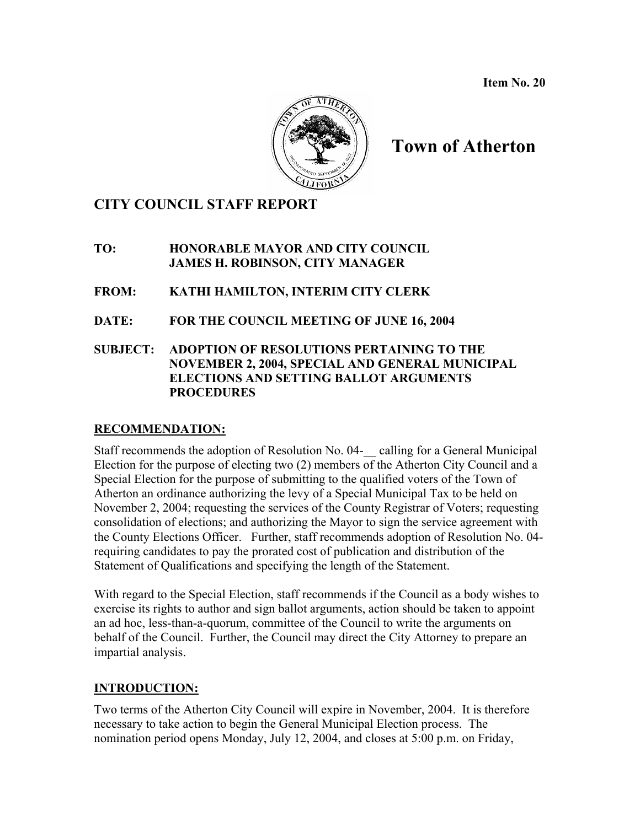**Item No. 20** 



# **Town of Atherton**

# **CITY COUNCIL STAFF REPORT**

**TO: HONORABLE MAYOR AND CITY COUNCIL JAMES H. ROBINSON, CITY MANAGER** 

**FROM: KATHI HAMILTON, INTERIM CITY CLERK** 

**DATE: FOR THE COUNCIL MEETING OF JUNE 16, 2004** 

**SUBJECT: ADOPTION OF RESOLUTIONS PERTAINING TO THE NOVEMBER 2, 2004, SPECIAL AND GENERAL MUNICIPAL ELECTIONS AND SETTING BALLOT ARGUMENTS PROCEDURES** 

### **RECOMMENDATION:**

Staff recommends the adoption of Resolution No. 04-\_\_ calling for a General Municipal Election for the purpose of electing two (2) members of the Atherton City Council and a Special Election for the purpose of submitting to the qualified voters of the Town of Atherton an ordinance authorizing the levy of a Special Municipal Tax to be held on November 2, 2004; requesting the services of the County Registrar of Voters; requesting consolidation of elections; and authorizing the Mayor to sign the service agreement with the County Elections Officer. Further, staff recommends adoption of Resolution No. 04 requiring candidates to pay the prorated cost of publication and distribution of the Statement of Qualifications and specifying the length of the Statement.

With regard to the Special Election, staff recommends if the Council as a body wishes to exercise its rights to author and sign ballot arguments, action should be taken to appoint an ad hoc, less-than-a-quorum, committee of the Council to write the arguments on behalf of the Council. Further, the Council may direct the City Attorney to prepare an impartial analysis.

# **INTRODUCTION:**

Two terms of the Atherton City Council will expire in November, 2004. It is therefore necessary to take action to begin the General Municipal Election process. The nomination period opens Monday, July 12, 2004, and closes at 5:00 p.m. on Friday,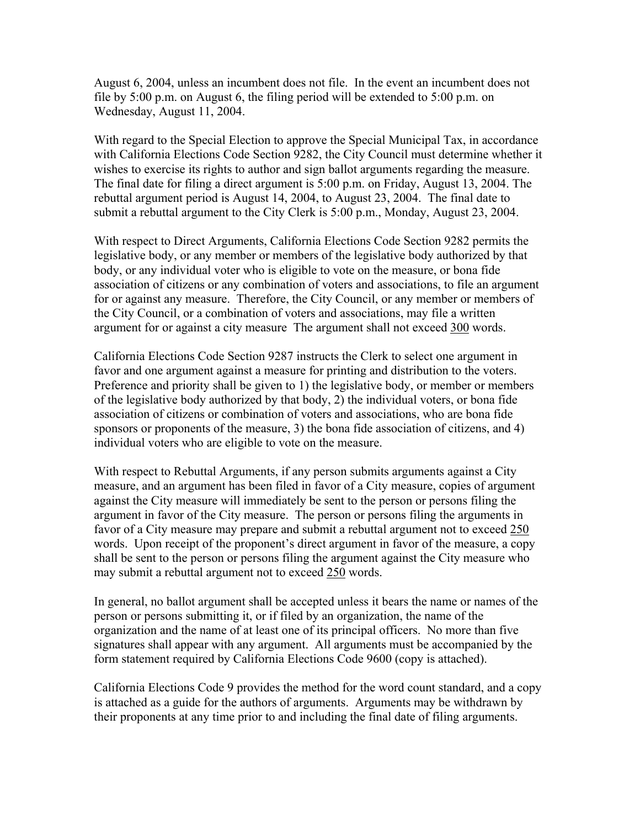August 6, 2004, unless an incumbent does not file. In the event an incumbent does not file by 5:00 p.m. on August 6, the filing period will be extended to 5:00 p.m. on Wednesday, August 11, 2004.

With regard to the Special Election to approve the Special Municipal Tax, in accordance with California Elections Code Section 9282, the City Council must determine whether it wishes to exercise its rights to author and sign ballot arguments regarding the measure. The final date for filing a direct argument is 5:00 p.m. on Friday, August 13, 2004. The rebuttal argument period is August 14, 2004, to August 23, 2004. The final date to submit a rebuttal argument to the City Clerk is 5:00 p.m., Monday, August 23, 2004.

With respect to Direct Arguments, California Elections Code Section 9282 permits the legislative body, or any member or members of the legislative body authorized by that body, or any individual voter who is eligible to vote on the measure, or bona fide association of citizens or any combination of voters and associations, to file an argument for or against any measure. Therefore, the City Council, or any member or members of the City Council, or a combination of voters and associations, may file a written argument for or against a city measure The argument shall not exceed 300 words.

California Elections Code Section 9287 instructs the Clerk to select one argument in favor and one argument against a measure for printing and distribution to the voters. Preference and priority shall be given to 1) the legislative body, or member or members of the legislative body authorized by that body, 2) the individual voters, or bona fide association of citizens or combination of voters and associations, who are bona fide sponsors or proponents of the measure, 3) the bona fide association of citizens, and 4) individual voters who are eligible to vote on the measure.

With respect to Rebuttal Arguments, if any person submits arguments against a City measure, and an argument has been filed in favor of a City measure, copies of argument against the City measure will immediately be sent to the person or persons filing the argument in favor of the City measure. The person or persons filing the arguments in favor of a City measure may prepare and submit a rebuttal argument not to exceed 250 words. Upon receipt of the proponent's direct argument in favor of the measure, a copy shall be sent to the person or persons filing the argument against the City measure who may submit a rebuttal argument not to exceed 250 words.

In general, no ballot argument shall be accepted unless it bears the name or names of the person or persons submitting it, or if filed by an organization, the name of the organization and the name of at least one of its principal officers. No more than five signatures shall appear with any argument. All arguments must be accompanied by the form statement required by California Elections Code 9600 (copy is attached).

California Elections Code 9 provides the method for the word count standard, and a copy is attached as a guide for the authors of arguments. Arguments may be withdrawn by their proponents at any time prior to and including the final date of filing arguments.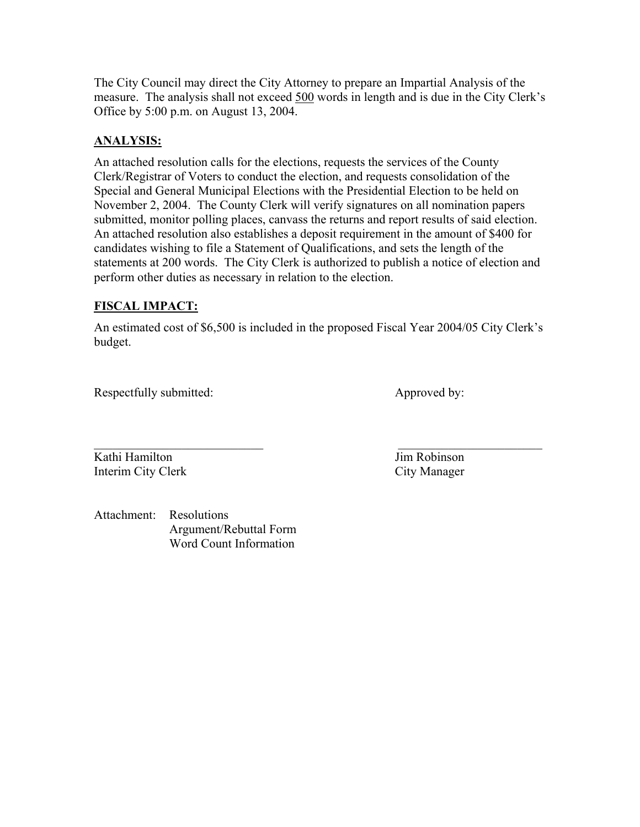The City Council may direct the City Attorney to prepare an Impartial Analysis of the measure. The analysis shall not exceed 500 words in length and is due in the City Clerk's Office by 5:00 p.m. on August 13, 2004.

### **ANALYSIS:**

An attached resolution calls for the elections, requests the services of the County Clerk/Registrar of Voters to conduct the election, and requests consolidation of the Special and General Municipal Elections with the Presidential Election to be held on November 2, 2004. The County Clerk will verify signatures on all nomination papers submitted, monitor polling places, canvass the returns and report results of said election. An attached resolution also establishes a deposit requirement in the amount of \$400 for candidates wishing to file a Statement of Qualifications, and sets the length of the statements at 200 words. The City Clerk is authorized to publish a notice of election and perform other duties as necessary in relation to the election.

### **FISCAL IMPACT:**

An estimated cost of \$6,500 is included in the proposed Fiscal Year 2004/05 City Clerk's budget.

 $\mathcal{L}_\text{max}$  , and the contract of the contract of the contract of the contract of the contract of the contract of

Respectfully submitted: Approved by:

Kathi Hamilton **Jim Robinson** Interim City Clerk City Manager

Attachment: Resolutions Argument/Rebuttal Form Word Count Information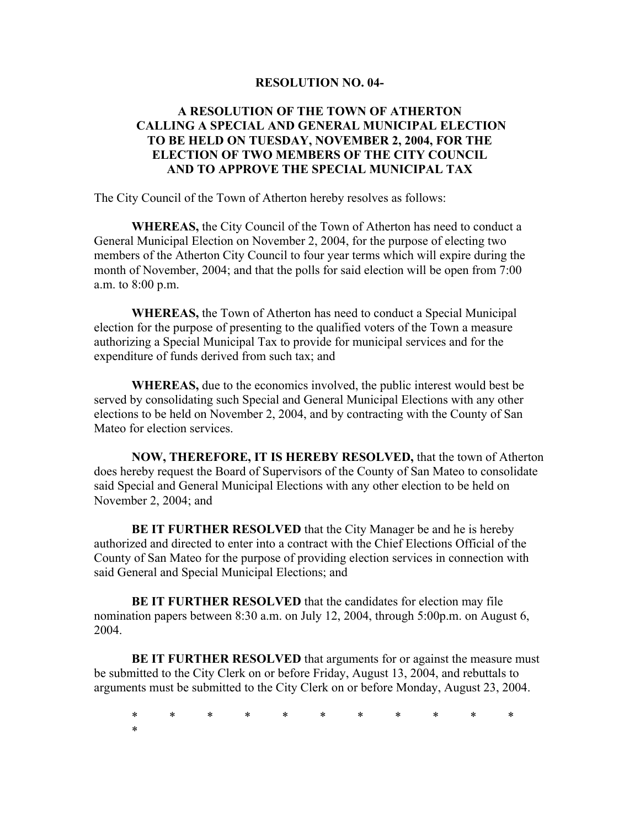#### **RESOLUTION NO. 04-**

### **A RESOLUTION OF THE TOWN OF ATHERTON CALLING A SPECIAL AND GENERAL MUNICIPAL ELECTION TO BE HELD ON TUESDAY, NOVEMBER 2, 2004, FOR THE ELECTION OF TWO MEMBERS OF THE CITY COUNCIL AND TO APPROVE THE SPECIAL MUNICIPAL TAX**

The City Council of the Town of Atherton hereby resolves as follows:

**WHEREAS,** the City Council of the Town of Atherton has need to conduct a General Municipal Election on November 2, 2004, for the purpose of electing two members of the Atherton City Council to four year terms which will expire during the month of November, 2004; and that the polls for said election will be open from 7:00 a.m. to 8:00 p.m.

**WHEREAS,** the Town of Atherton has need to conduct a Special Municipal election for the purpose of presenting to the qualified voters of the Town a measure authorizing a Special Municipal Tax to provide for municipal services and for the expenditure of funds derived from such tax; and

**WHEREAS,** due to the economics involved, the public interest would best be served by consolidating such Special and General Municipal Elections with any other elections to be held on November 2, 2004, and by contracting with the County of San Mateo for election services.

**NOW, THEREFORE, IT IS HEREBY RESOLVED,** that the town of Atherton does hereby request the Board of Supervisors of the County of San Mateo to consolidate said Special and General Municipal Elections with any other election to be held on November 2, 2004; and

**BE IT FURTHER RESOLVED** that the City Manager be and he is hereby authorized and directed to enter into a contract with the Chief Elections Official of the County of San Mateo for the purpose of providing election services in connection with said General and Special Municipal Elections; and

**BE IT FURTHER RESOLVED** that the candidates for election may file nomination papers between 8:30 a.m. on July 12, 2004, through 5:00p.m. on August 6, 2004.

**BE IT FURTHER RESOLVED** that arguments for or against the measure must be submitted to the City Clerk on or before Friday, August 13, 2004, and rebuttals to arguments must be submitted to the City Clerk on or before Monday, August 23, 2004.

\* \* \* \* \* \* \* \* \* \* \* \*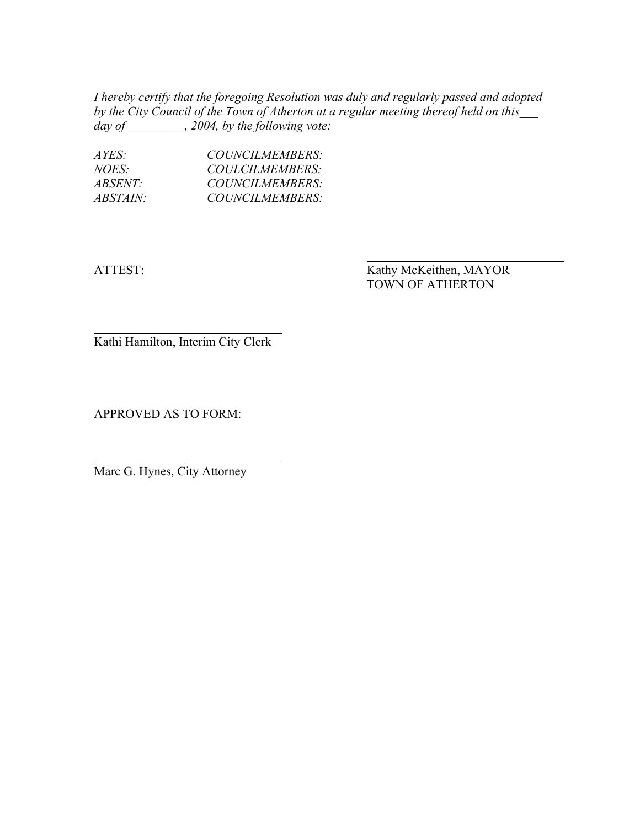*I hereby certify that the foregoing Resolution was duly and regularly passed and adopted by the City Council of the Town of Atherton at a regular meeting thereof held on this\_\_\_ day of \_\_\_\_\_\_\_\_\_, 2004, by the following vote:* 

| $AYES^+$        | COUNCILMEMBERS: |
|-----------------|-----------------|
| $NOES^+$        | COULCILMEMBERS: |
| <i>ABSENT:</i>  | COUNCILMEMBERS: |
| <i>ABSTAIN:</i> | COUNCILMEMBERS: |

ATTEST: Kathy McKeithen, MAYOR TOWN OF ATHERTON

Kathi Hamilton, Interim City Clerk

APPROVED AS TO FORM:

Marc G. Hynes, City Attorney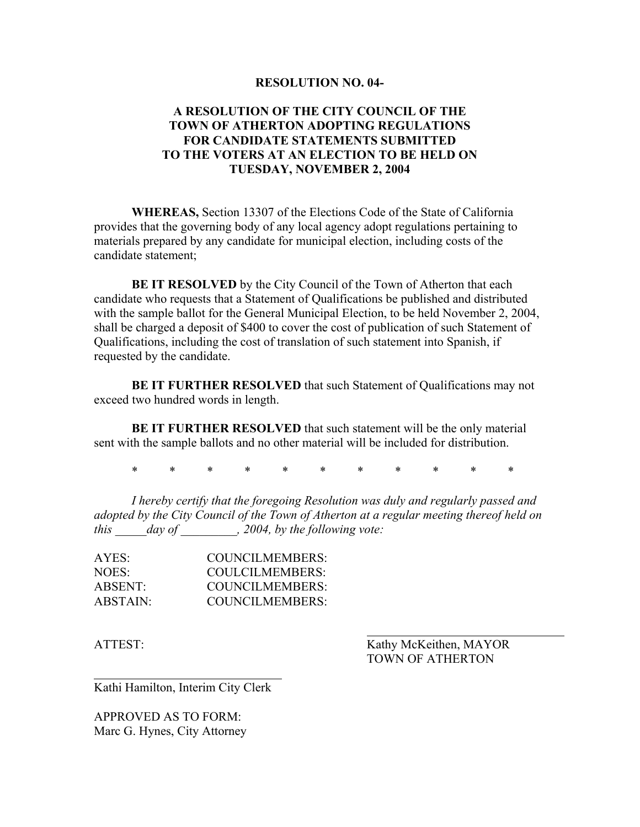#### **RESOLUTION NO. 04-**

### **A RESOLUTION OF THE CITY COUNCIL OF THE TOWN OF ATHERTON ADOPTING REGULATIONS FOR CANDIDATE STATEMENTS SUBMITTED TO THE VOTERS AT AN ELECTION TO BE HELD ON TUESDAY, NOVEMBER 2, 2004**

**WHEREAS,** Section 13307 of the Elections Code of the State of California provides that the governing body of any local agency adopt regulations pertaining to materials prepared by any candidate for municipal election, including costs of the candidate statement;

**BE IT RESOLVED** by the City Council of the Town of Atherton that each candidate who requests that a Statement of Qualifications be published and distributed with the sample ballot for the General Municipal Election, to be held November 2, 2004, shall be charged a deposit of \$400 to cover the cost of publication of such Statement of Qualifications, including the cost of translation of such statement into Spanish, if requested by the candidate.

**BE IT FURTHER RESOLVED** that such Statement of Qualifications may not exceed two hundred words in length.

**BE IT FURTHER RESOLVED** that such statement will be the only material sent with the sample ballots and no other material will be included for distribution.

\* \* \* \* \* \* \* \* \* \* \*

*I hereby certify that the foregoing Resolution was duly and regularly passed and adopted by the City Council of the Town of Atherton at a regular meeting thereof held on this \_\_\_\_\_day of \_\_\_\_\_\_\_\_\_, 2004, by the following vote:* 

| AYES:             | COUNCILMEMBERS: |
|-------------------|-----------------|
| NOES <sup>.</sup> | COULCILMEMBERS: |
| ABSENT:           | COUNCILMEMBERS: |
| ABSTAIN:          | COUNCILMEMBERS: |

ATTEST: Kathy McKeithen, MAYOR TOWN OF ATHERTON

Kathi Hamilton, Interim City Clerk

APPROVED AS TO FORM: Marc G. Hynes, City Attorney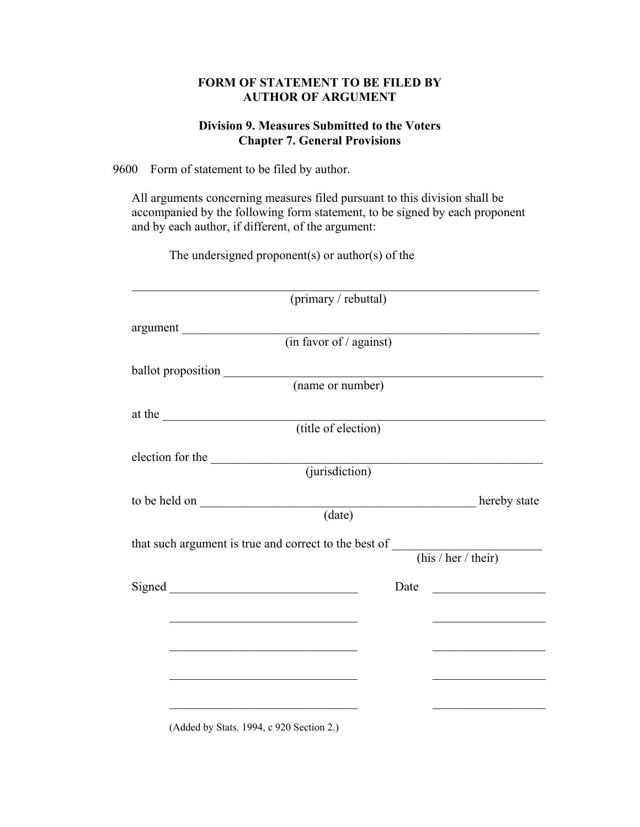### **FORM OF STATEMENT TO BE FILED BY AUTHOR OF ARGUMENT**

### **Division 9. Measures Submitted to the Voters Chapter 7. General Provisions**

9600 Form of statement to be filed by author.

All arguments concerning measures filed pursuant to this division shall be accompanied by the following form statement, to be signed by each proponent and by each author, if different, of the argument:

The undersigned proponent(s) or author(s) of the

|                    | (primary / rebuttal)                                                                                                                                                                                                                 |      |                                                   |
|--------------------|--------------------------------------------------------------------------------------------------------------------------------------------------------------------------------------------------------------------------------------|------|---------------------------------------------------|
| argument           |                                                                                                                                                                                                                                      |      |                                                   |
|                    | $(in \overline{favor \space of / \space against)}$                                                                                                                                                                                   |      |                                                   |
| ballot proposition |                                                                                                                                                                                                                                      |      |                                                   |
|                    | (name or number)                                                                                                                                                                                                                     |      |                                                   |
| at the             |                                                                                                                                                                                                                                      |      |                                                   |
|                    | (title of election)                                                                                                                                                                                                                  |      |                                                   |
|                    | election for the <u>contact (jurisdiction</u> )                                                                                                                                                                                      |      |                                                   |
|                    |                                                                                                                                                                                                                                      |      |                                                   |
|                    | to be held on <u>the contract of the contract of the contract of the contract of the contract of the contract of the contract of the contract of the contract of the contract of the contract of the contract of the contract of</u> |      |                                                   |
|                    |                                                                                                                                                                                                                                      |      |                                                   |
|                    | that such argument is true and correct to the best of ______                                                                                                                                                                         |      |                                                   |
|                    |                                                                                                                                                                                                                                      |      | (his / her / their)                               |
|                    | Signed                                                                                                                                                                                                                               | Date |                                                   |
|                    | <u> 1989 - Johann Stein, mars an deutscher Stein und der Stein und der Stein und der Stein und der Stein und der</u>                                                                                                                 |      | <u> 1980 - Johann Barbara, martxa alemaniar a</u> |
|                    |                                                                                                                                                                                                                                      |      |                                                   |
|                    | <u> 1989 - Johann John Stone, market fan it ferskearre fan it ferskearre fan it ferskearre fan it ferskearre fan i</u>                                                                                                               |      | <u> 1980 - Johann Stein, markinsk politik (</u>   |
|                    |                                                                                                                                                                                                                                      |      |                                                   |
|                    |                                                                                                                                                                                                                                      |      |                                                   |
|                    |                                                                                                                                                                                                                                      |      |                                                   |

(Added by Stats. 1994, c 920 Section 2.)